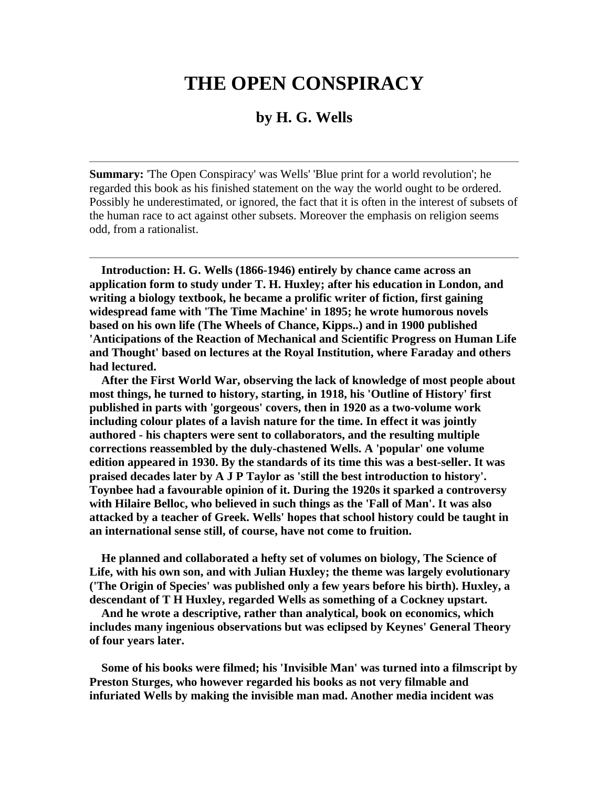## **THE OPEN CONSPIRACY**

### **by H. G. Wells**

**Summary:** 'The Open Conspiracy' was Wells' 'Blue print for a world revolution'; he regarded this book as his finished statement on the way the world ought to be ordered. Possibly he underestimated, or ignored, the fact that it is often in the interest of subsets of the human race to act against other subsets. Moreover the emphasis on religion seems odd, from a rationalist.

 **Introduction: H. G. Wells (1866-1946) entirely by chance came across an application form to study under T. H. Huxley; after his education in London, and writing a biology textbook, he became a prolific writer of fiction, first gaining widespread fame with 'The Time Machine' in 1895; he wrote humorous novels based on his own life (The Wheels of Chance, Kipps..) and in 1900 published 'Anticipations of the Reaction of Mechanical and Scientific Progress on Human Life and Thought' based on lectures at the Royal Institution, where Faraday and others had lectured.** 

 **After the First World War, observing the lack of knowledge of most people about most things, he turned to history, starting, in 1918, his 'Outline of History' first published in parts with 'gorgeous' covers, then in 1920 as a two-volume work including colour plates of a lavish nature for the time. In effect it was jointly authored - his chapters were sent to collaborators, and the resulting multiple corrections reassembled by the duly-chastened Wells. A 'popular' one volume edition appeared in 1930. By the standards of its time this was a best-seller. It was praised decades later by A J P Taylor as 'still the best introduction to history'. Toynbee had a favourable opinion of it. During the 1920s it sparked a controversy with Hilaire Belloc, who believed in such things as the 'Fall of Man'. It was also attacked by a teacher of Greek. Wells' hopes that school history could be taught in an international sense still, of course, have not come to fruition.** 

 **He planned and collaborated a hefty set of volumes on biology, The Science of Life, with his own son, and with Julian Huxley; the theme was largely evolutionary ('The Origin of Species' was published only a few years before his birth). Huxley, a descendant of T H Huxley, regarded Wells as something of a Cockney upstart.** 

 **And he wrote a descriptive, rather than analytical, book on economics, which includes many ingenious observations but was eclipsed by Keynes' General Theory of four years later.** 

 **Some of his books were filmed; his 'Invisible Man' was turned into a filmscript by Preston Sturges, who however regarded his books as not very filmable and infuriated Wells by making the invisible man mad. Another media incident was**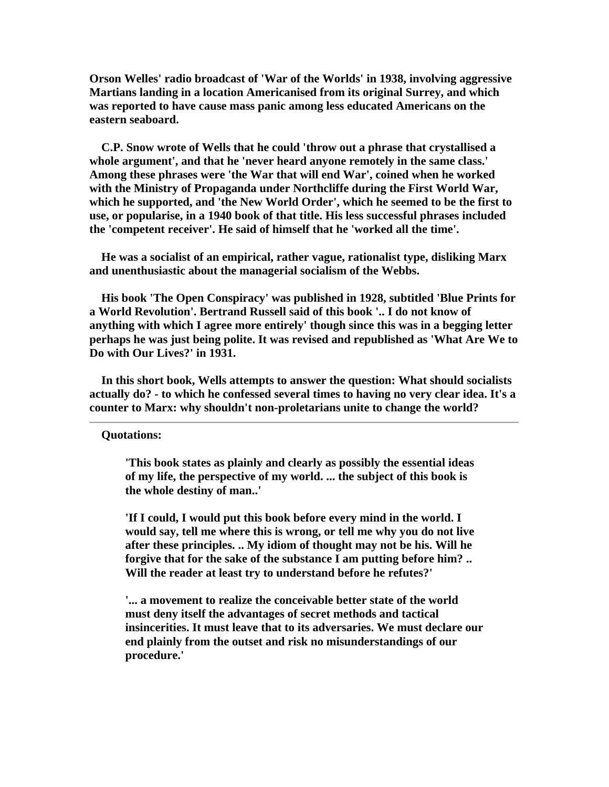**Orson Welles' radio broadcast of 'War of the Worlds' in 1938, involving aggressive Martians landing in a location Americanised from its original Surrey, and which was reported to have cause mass panic among less educated Americans on the eastern seaboard.** 

 **C.P. Snow wrote of Wells that he could 'throw out a phrase that crystallised a whole argument', and that he 'never heard anyone remotely in the same class.' Among these phrases were 'the War that will end War', coined when he worked with the Ministry of Propaganda under Northcliffe during the First World War, which he supported, and 'the New World Order', which he seemed to be the first to use, or popularise, in a 1940 book of that title. His less successful phrases included the 'competent receiver'. He said of himself that he 'worked all the time'.** 

 **He was a socialist of an empirical, rather vague, rationalist type, disliking Marx and unenthusiastic about the managerial socialism of the Webbs.** 

 **His book 'The Open Conspiracy' was published in 1928, subtitled 'Blue Prints for a World Revolution'. Bertrand Russell said of this book '.. I do not know of anything with which I agree more entirely' though since this was in a begging letter perhaps he was just being polite. It was revised and republished as 'What Are We to Do with Our Lives?' in 1931.** 

 **In this short book, Wells attempts to answer the question: What should socialists actually do? - to which he confessed several times to having no very clear idea. It's a counter to Marx: why shouldn't non-proletarians unite to change the world?**

 **Quotations:**

**'This book states as plainly and clearly as possibly the essential ideas of my life, the perspective of my world. ... the subject of this book is the whole destiny of man..'**

**'If I could, I would put this book before every mind in the world. I would say, tell me where this is wrong, or tell me why you do not live after these principles. .. My idiom of thought may not be his. Will he forgive that for the sake of the substance I am putting before him? .. Will the reader at least try to understand before he refutes?'**

**'... a movement to realize the conceivable better state of the world must deny itself the advantages of secret methods and tactical insincerities. It must leave that to its adversaries. We must declare our end plainly from the outset and risk no misunderstandings of our procedure.'**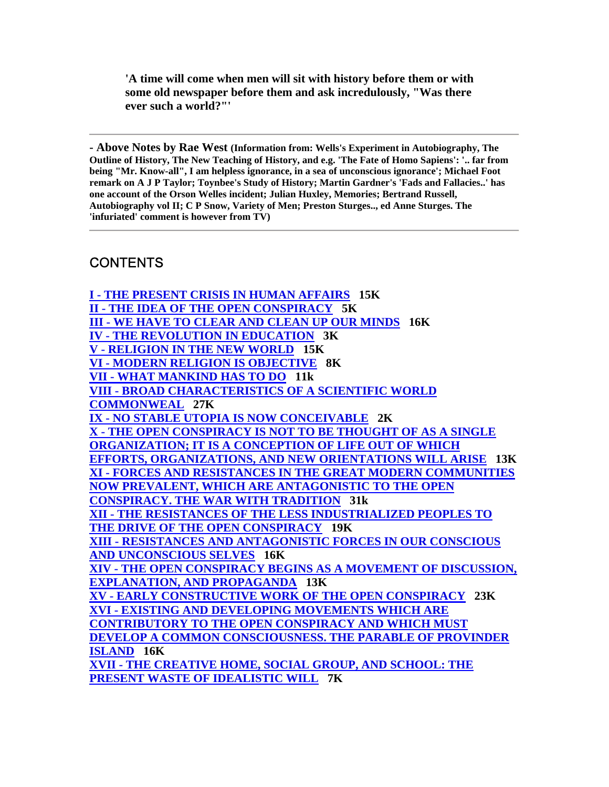**'A time will come when men will sit with history before them or with some old newspaper before them and ask incredulously, "Was there ever such a world?"'**

**- Above Notes by Rae West (Information from: Wells's Experiment in Autobiography, The Outline of History, The New Teaching of History, and e.g. 'The Fate of Homo Sapiens': '.. far from being "Mr. Know-all", I am helpless ignorance, in a sea of unconscious ignorance'; Michael Foot remark on A J P Taylor; Toynbee's Study of History; Martin Gardner's 'Fads and Fallacies..' has one account of the Orson Welles incident; Julian Huxley, Memories; Bertrand Russell, Autobiography vol II; C P Snow, Variety of Men; Preston Sturges.., ed Anne Sturges. The 'infuriated' comment is however from TV)**

### **CONTENTS**

**I - THE PRESENT CRISIS IN HUMAN AFFAIRS 15K II - THE IDEA OF THE OPEN CONSPIRACY 5K III - WE HAVE TO CLEAR AND CLEAN UP OUR MINDS 16K IV - THE REVOLUTION IN EDUCATION 3K V - RELIGION IN THE NEW WORLD 15K VI - MODERN RELIGION IS OBJECTIVE 8K VII - WHAT MANKIND HAS TO DO 11k VIII - BROAD CHARACTERISTICS OF A SCIENTIFIC WORLD COMMONWEAL 27K IX - NO STABLE UTOPIA IS NOW CONCEIVABLE 2K X - THE OPEN CONSPIRACY IS NOT TO BE THOUGHT OF AS A SINGLE ORGANIZATION; IT IS A CONCEPTION OF LIFE OUT OF WHICH EFFORTS, ORGANIZATIONS, AND NEW ORIENTATIONS WILL ARISE 13K XI - FORCES AND RESISTANCES IN THE GREAT MODERN COMMUNITIES NOW PREVALENT, WHICH ARE ANTAGONISTIC TO THE OPEN CONSPIRACY. THE WAR WITH TRADITION 31k XII - THE RESISTANCES OF THE LESS INDUSTRIALIZED PEOPLES TO THE DRIVE OF THE OPEN CONSPIRACY 19K XIII - RESISTANCES AND ANTAGONISTIC FORCES IN OUR CONSCIOUS AND UNCONSCIOUS SELVES 16K XIV - THE OPEN CONSPIRACY BEGINS AS A MOVEMENT OF DISCUSSION, EXPLANATION, AND PROPAGANDA 13K XV - EARLY CONSTRUCTIVE WORK OF THE OPEN CONSPIRACY 23K XVI - EXISTING AND DEVELOPING MOVEMENTS WHICH ARE CONTRIBUTORY TO THE OPEN CONSPIRACY AND WHICH MUST DEVELOP A COMMON CONSCIOUSNESS. THE PARABLE OF PROVINDER ISLAND 16K XVII - THE CREATIVE HOME, SOCIAL GROUP, AND SCHOOL: THE PRESENT WASTE OF IDEALISTIC WILL 7K**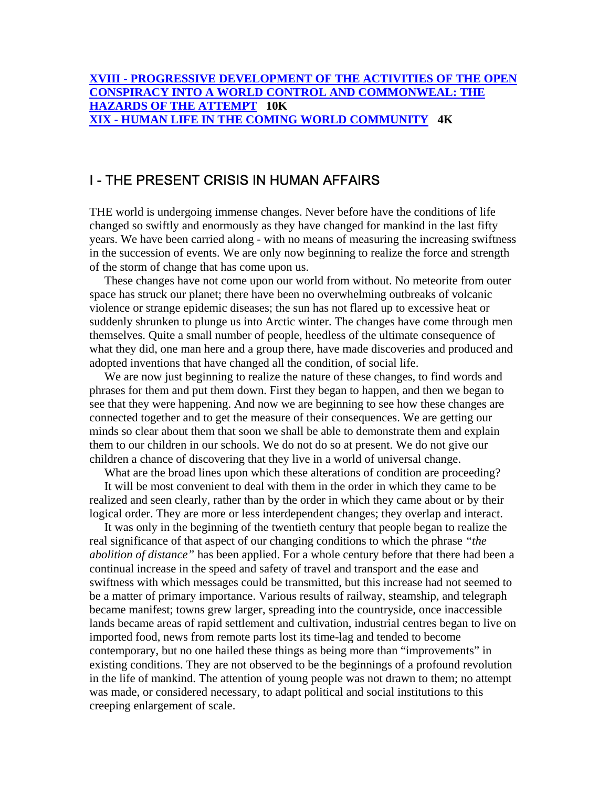### I - THE PRESENT CRISIS IN HUMAN AFFAIRS

THE world is undergoing immense changes. Never before have the conditions of life changed so swiftly and enormously as they have changed for mankind in the last fifty years. We have been carried along - with no means of measuring the increasing swiftness in the succession of events. We are only now beginning to realize the force and strength of the storm of change that has come upon us.

 These changes have not come upon our world from without. No meteorite from outer space has struck our planet; there have been no overwhelming outbreaks of volcanic violence or strange epidemic diseases; the sun has not flared up to excessive heat or suddenly shrunken to plunge us into Arctic winter. The changes have come through men themselves. Quite a small number of people, heedless of the ultimate consequence of what they did, one man here and a group there, have made discoveries and produced and adopted inventions that have changed all the condition, of social life.

 We are now just beginning to realize the nature of these changes, to find words and phrases for them and put them down. First they began to happen, and then we began to see that they were happening. And now we are beginning to see how these changes are connected together and to get the measure of their consequences. We are getting our minds so clear about them that soon we shall be able to demonstrate them and explain them to our children in our schools. We do not do so at present. We do not give our children a chance of discovering that they live in a world of universal change.

What are the broad lines upon which these alterations of condition are proceeding?

 It will be most convenient to deal with them in the order in which they came to be realized and seen clearly, rather than by the order in which they came about or by their logical order. They are more or less interdependent changes; they overlap and interact.

 It was only in the beginning of the twentieth century that people began to realize the real significance of that aspect of our changing conditions to which the phrase *"the abolition of distance"* has been applied. For a whole century before that there had been a continual increase in the speed and safety of travel and transport and the ease and swiftness with which messages could be transmitted, but this increase had not seemed to be a matter of primary importance. Various results of railway, steamship, and telegraph became manifest; towns grew larger, spreading into the countryside, once inaccessible lands became areas of rapid settlement and cultivation, industrial centres began to live on imported food, news from remote parts lost its time-lag and tended to become contemporary, but no one hailed these things as being more than "improvements" in existing conditions. They are not observed to be the beginnings of a profound revolution in the life of mankind. The attention of young people was not drawn to them; no attempt was made, or considered necessary, to adapt political and social institutions to this creeping enlargement of scale.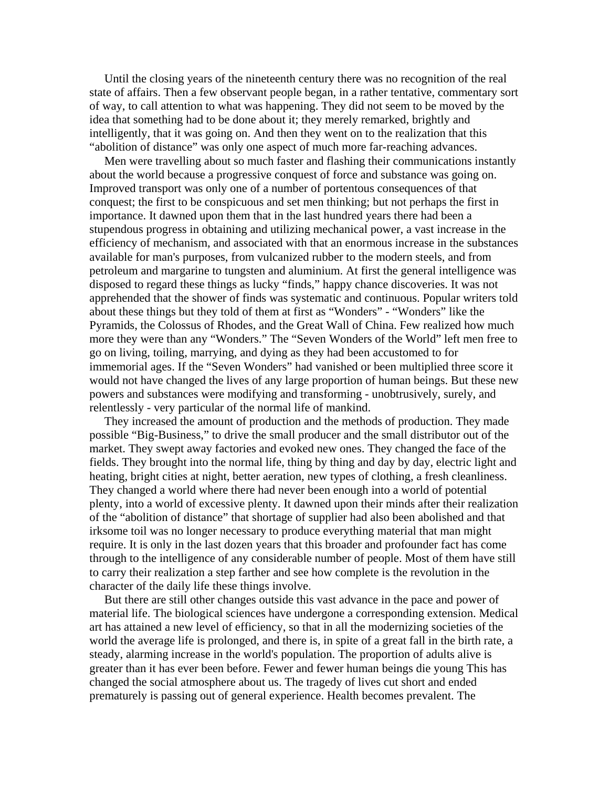Until the closing years of the nineteenth century there was no recognition of the real state of affairs. Then a few observant people began, in a rather tentative, commentary sort of way, to call attention to what was happening. They did not seem to be moved by the idea that something had to be done about it; they merely remarked, brightly and intelligently, that it was going on. And then they went on to the realization that this "abolition of distance" was only one aspect of much more far-reaching advances.

 Men were travelling about so much faster and flashing their communications instantly about the world because a progressive conquest of force and substance was going on. Improved transport was only one of a number of portentous consequences of that conquest; the first to be conspicuous and set men thinking; but not perhaps the first in importance. It dawned upon them that in the last hundred years there had been a stupendous progress in obtaining and utilizing mechanical power, a vast increase in the efficiency of mechanism, and associated with that an enormous increase in the substances available for man's purposes, from vulcanized rubber to the modern steels, and from petroleum and margarine to tungsten and aluminium. At first the general intelligence was disposed to regard these things as lucky "finds," happy chance discoveries. It was not apprehended that the shower of finds was systematic and continuous. Popular writers told about these things but they told of them at first as "Wonders" - "Wonders" like the Pyramids, the Colossus of Rhodes, and the Great Wall of China. Few realized how much more they were than any "Wonders." The "Seven Wonders of the World" left men free to go on living, toiling, marrying, and dying as they had been accustomed to for immemorial ages. If the "Seven Wonders" had vanished or been multiplied three score it would not have changed the lives of any large proportion of human beings. But these new powers and substances were modifying and transforming - unobtrusively, surely, and relentlessly - very particular of the normal life of mankind.

 They increased the amount of production and the methods of production. They made possible "Big-Business," to drive the small producer and the small distributor out of the market. They swept away factories and evoked new ones. They changed the face of the fields. They brought into the normal life, thing by thing and day by day, electric light and heating, bright cities at night, better aeration, new types of clothing, a fresh cleanliness. They changed a world where there had never been enough into a world of potential plenty, into a world of excessive plenty. It dawned upon their minds after their realization of the "abolition of distance" that shortage of supplier had also been abolished and that irksome toil was no longer necessary to produce everything material that man might require. It is only in the last dozen years that this broader and profounder fact has come through to the intelligence of any considerable number of people. Most of them have still to carry their realization a step farther and see how complete is the revolution in the character of the daily life these things involve.

 But there are still other changes outside this vast advance in the pace and power of material life. The biological sciences have undergone a corresponding extension. Medical art has attained a new level of efficiency, so that in all the modernizing societies of the world the average life is prolonged, and there is, in spite of a great fall in the birth rate, a steady, alarming increase in the world's population. The proportion of adults alive is greater than it has ever been before. Fewer and fewer human beings die young This has changed the social atmosphere about us. The tragedy of lives cut short and ended prematurely is passing out of general experience. Health becomes prevalent. The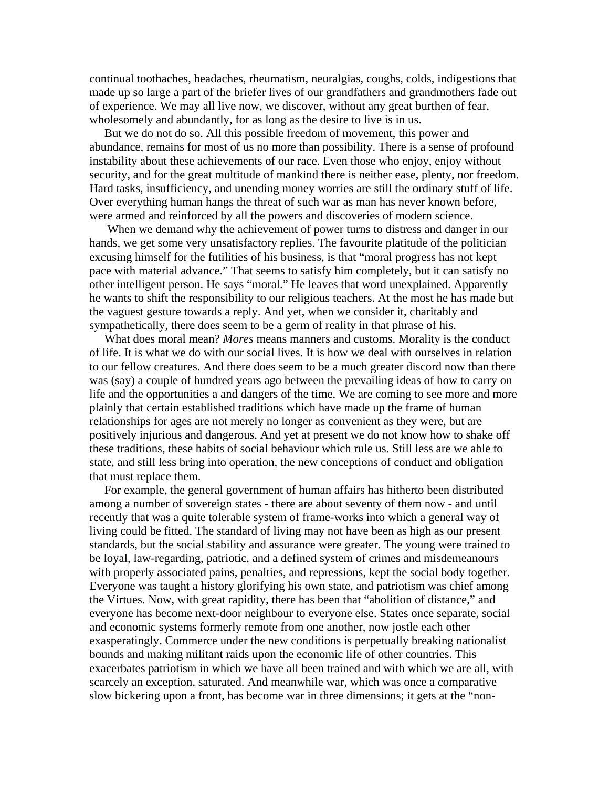continual toothaches, headaches, rheumatism, neuralgias, coughs, colds, indigestions that made up so large a part of the briefer lives of our grandfathers and grandmothers fade out of experience. We may all live now, we discover, without any great burthen of fear, wholesomely and abundantly, for as long as the desire to live is in us.

 But we do not do so. All this possible freedom of movement, this power and abundance, remains for most of us no more than possibility. There is a sense of profound instability about these achievements of our race. Even those who enjoy, enjoy without security, and for the great multitude of mankind there is neither ease, plenty, nor freedom. Hard tasks, insufficiency, and unending money worries are still the ordinary stuff of life. Over everything human hangs the threat of such war as man has never known before, were armed and reinforced by all the powers and discoveries of modern science.

 When we demand why the achievement of power turns to distress and danger in our hands, we get some very unsatisfactory replies. The favourite platitude of the politician excusing himself for the futilities of his business, is that "moral progress has not kept pace with material advance." That seems to satisfy him completely, but it can satisfy no other intelligent person. He says "moral." He leaves that word unexplained. Apparently he wants to shift the responsibility to our religious teachers. At the most he has made but the vaguest gesture towards a reply. And yet, when we consider it, charitably and sympathetically, there does seem to be a germ of reality in that phrase of his.

 What does moral mean? *Mores* means manners and customs. Morality is the conduct of life. It is what we do with our social lives. It is how we deal with ourselves in relation to our fellow creatures. And there does seem to be a much greater discord now than there was (say) a couple of hundred years ago between the prevailing ideas of how to carry on life and the opportunities a and dangers of the time. We are coming to see more and more plainly that certain established traditions which have made up the frame of human relationships for ages are not merely no longer as convenient as they were, but are positively injurious and dangerous. And yet at present we do not know how to shake off these traditions, these habits of social behaviour which rule us. Still less are we able to state, and still less bring into operation, the new conceptions of conduct and obligation that must replace them.

 For example, the general government of human affairs has hitherto been distributed among a number of sovereign states - there are about seventy of them now - and until recently that was a quite tolerable system of frame-works into which a general way of living could be fitted. The standard of living may not have been as high as our present standards, but the social stability and assurance were greater. The young were trained to be loyal, law-regarding, patriotic, and a defined system of crimes and misdemeanours with properly associated pains, penalties, and repressions, kept the social body together. Everyone was taught a history glorifying his own state, and patriotism was chief among the Virtues. Now, with great rapidity, there has been that "abolition of distance," and everyone has become next-door neighbour to everyone else. States once separate, social and economic systems formerly remote from one another, now jostle each other exasperatingly. Commerce under the new conditions is perpetually breaking nationalist bounds and making militant raids upon the economic life of other countries. This exacerbates patriotism in which we have all been trained and with which we are all, with scarcely an exception, saturated. And meanwhile war, which was once a comparative slow bickering upon a front, has become war in three dimensions; it gets at the "non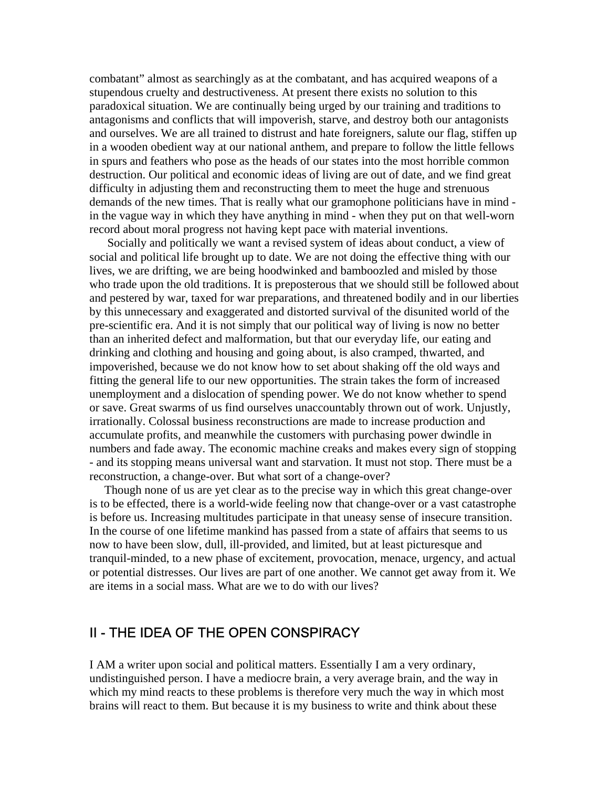combatant" almost as searchingly as at the combatant, and has acquired weapons of a stupendous cruelty and destructiveness. At present there exists no solution to this paradoxical situation. We are continually being urged by our training and traditions to antagonisms and conflicts that will impoverish, starve, and destroy both our antagonists and ourselves. We are all trained to distrust and hate foreigners, salute our flag, stiffen up in a wooden obedient way at our national anthem, and prepare to follow the little fellows in spurs and feathers who pose as the heads of our states into the most horrible common destruction. Our political and economic ideas of living are out of date, and we find great difficulty in adjusting them and reconstructing them to meet the huge and strenuous demands of the new times. That is really what our gramophone politicians have in mind in the vague way in which they have anything in mind - when they put on that well-worn record about moral progress not having kept pace with material inventions.

 Socially and politically we want a revised system of ideas about conduct, a view of social and political life brought up to date. We are not doing the effective thing with our lives, we are drifting, we are being hoodwinked and bamboozled and misled by those who trade upon the old traditions. It is preposterous that we should still be followed about and pestered by war, taxed for war preparations, and threatened bodily and in our liberties by this unnecessary and exaggerated and distorted survival of the disunited world of the pre-scientific era. And it is not simply that our political way of living is now no better than an inherited defect and malformation, but that our everyday life, our eating and drinking and clothing and housing and going about, is also cramped, thwarted, and impoverished, because we do not know how to set about shaking off the old ways and fitting the general life to our new opportunities. The strain takes the form of increased unemployment and a dislocation of spending power. We do not know whether to spend or save. Great swarms of us find ourselves unaccountably thrown out of work. Unjustly, irrationally. Colossal business reconstructions are made to increase production and accumulate profits, and meanwhile the customers with purchasing power dwindle in numbers and fade away. The economic machine creaks and makes every sign of stopping - and its stopping means universal want and starvation. It must not stop. There must be a reconstruction, a change-over. But what sort of a change-over?

 Though none of us are yet clear as to the precise way in which this great change-over is to be effected, there is a world-wide feeling now that change-over or a vast catastrophe is before us. Increasing multitudes participate in that uneasy sense of insecure transition. In the course of one lifetime mankind has passed from a state of affairs that seems to us now to have been slow, dull, ill-provided, and limited, but at least picturesque and tranquil-minded, to a new phase of excitement, provocation, menace, urgency, and actual or potential distresses. Our lives are part of one another. We cannot get away from it. We are items in a social mass. What are we to do with our lives?

#### II - THE IDEA OF THE OPEN CONSPIRACY

I AM a writer upon social and political matters. Essentially I am a very ordinary, undistinguished person. I have a mediocre brain, a very average brain, and the way in which my mind reacts to these problems is therefore very much the way in which most brains will react to them. But because it is my business to write and think about these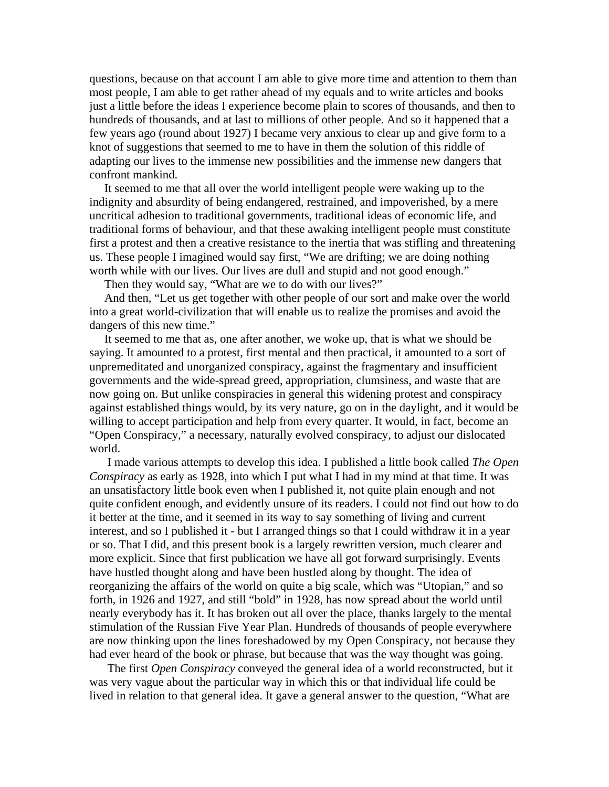questions, because on that account I am able to give more time and attention to them than most people, I am able to get rather ahead of my equals and to write articles and books just a little before the ideas I experience become plain to scores of thousands, and then to hundreds of thousands, and at last to millions of other people. And so it happened that a few years ago (round about 1927) I became very anxious to clear up and give form to a knot of suggestions that seemed to me to have in them the solution of this riddle of adapting our lives to the immense new possibilities and the immense new dangers that confront mankind.

 It seemed to me that all over the world intelligent people were waking up to the indignity and absurdity of being endangered, restrained, and impoverished, by a mere uncritical adhesion to traditional governments, traditional ideas of economic life, and traditional forms of behaviour, and that these awaking intelligent people must constitute first a protest and then a creative resistance to the inertia that was stifling and threatening us. These people I imagined would say first, "We are drifting; we are doing nothing worth while with our lives. Our lives are dull and stupid and not good enough."

Then they would say, "What are we to do with our lives?"

 And then, "Let us get together with other people of our sort and make over the world into a great world-civilization that will enable us to realize the promises and avoid the dangers of this new time."

 It seemed to me that as, one after another, we woke up, that is what we should be saying. It amounted to a protest, first mental and then practical, it amounted to a sort of unpremeditated and unorganized conspiracy, against the fragmentary and insufficient governments and the wide-spread greed, appropriation, clumsiness, and waste that are now going on. But unlike conspiracies in general this widening protest and conspiracy against established things would, by its very nature, go on in the daylight, and it would be willing to accept participation and help from every quarter. It would, in fact, become an "Open Conspiracy," a necessary, naturally evolved conspiracy, to adjust our dislocated world.

 I made various attempts to develop this idea. I published a little book called *The Open Conspiracy* as early as 1928, into which I put what I had in my mind at that time. It was an unsatisfactory little book even when I published it, not quite plain enough and not quite confident enough, and evidently unsure of its readers. I could not find out how to do it better at the time, and it seemed in its way to say something of living and current interest, and so I published it - but I arranged things so that I could withdraw it in a year or so. That I did, and this present book is a largely rewritten version, much clearer and more explicit. Since that first publication we have all got forward surprisingly. Events have hustled thought along and have been hustled along by thought. The idea of reorganizing the affairs of the world on quite a big scale, which was "Utopian," and so forth, in 1926 and 1927, and still "bold" in 1928, has now spread about the world until nearly everybody has it. It has broken out all over the place, thanks largely to the mental stimulation of the Russian Five Year Plan. Hundreds of thousands of people everywhere are now thinking upon the lines foreshadowed by my Open Conspiracy, not because they had ever heard of the book or phrase, but because that was the way thought was going.

 The first *Open Conspiracy* conveyed the general idea of a world reconstructed, but it was very vague about the particular way in which this or that individual life could be lived in relation to that general idea. It gave a general answer to the question, "What are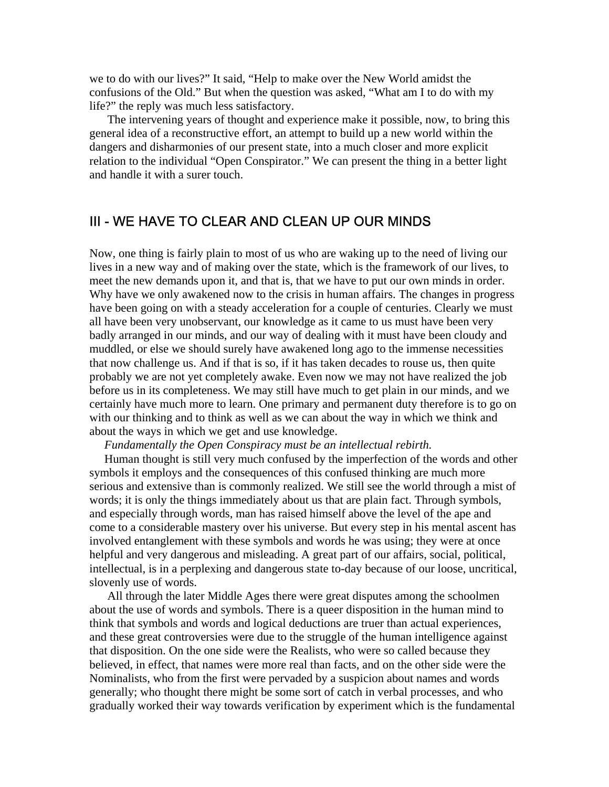we to do with our lives?" It said, "Help to make over the New World amidst the confusions of the Old." But when the question was asked, "What am I to do with my life?" the reply was much less satisfactory.

 The intervening years of thought and experience make it possible, now, to bring this general idea of a reconstructive effort, an attempt to build up a new world within the dangers and disharmonies of our present state, into a much closer and more explicit relation to the individual "Open Conspirator." We can present the thing in a better light and handle it with a surer touch.

### III - WE HAVE TO CLEAR AND CLEAN UP OUR MINDS

Now, one thing is fairly plain to most of us who are waking up to the need of living our lives in a new way and of making over the state, which is the framework of our lives, to meet the new demands upon it, and that is, that we have to put our own minds in order. Why have we only awakened now to the crisis in human affairs. The changes in progress have been going on with a steady acceleration for a couple of centuries. Clearly we must all have been very unobservant, our knowledge as it came to us must have been very badly arranged in our minds, and our way of dealing with it must have been cloudy and muddled, or else we should surely have awakened long ago to the immense necessities that now challenge us. And if that is so, if it has taken decades to rouse us, then quite probably we are not yet completely awake. Even now we may not have realized the job before us in its completeness. We may still have much to get plain in our minds, and we certainly have much more to learn. One primary and permanent duty therefore is to go on with our thinking and to think as well as we can about the way in which we think and about the ways in which we get and use knowledge.

*Fundamentally the Open Conspiracy must be an intellectual rebirth.*

 Human thought is still very much confused by the imperfection of the words and other symbols it employs and the consequences of this confused thinking are much more serious and extensive than is commonly realized. We still see the world through a mist of words; it is only the things immediately about us that are plain fact. Through symbols, and especially through words, man has raised himself above the level of the ape and come to a considerable mastery over his universe. But every step in his mental ascent has involved entanglement with these symbols and words he was using; they were at once helpful and very dangerous and misleading. A great part of our affairs, social, political, intellectual, is in a perplexing and dangerous state to-day because of our loose, uncritical, slovenly use of words.

 All through the later Middle Ages there were great disputes among the schoolmen about the use of words and symbols. There is a queer disposition in the human mind to think that symbols and words and logical deductions are truer than actual experiences, and these great controversies were due to the struggle of the human intelligence against that disposition. On the one side were the Realists, who were so called because they believed, in effect, that names were more real than facts, and on the other side were the Nominalists, who from the first were pervaded by a suspicion about names and words generally; who thought there might be some sort of catch in verbal processes, and who gradually worked their way towards verification by experiment which is the fundamental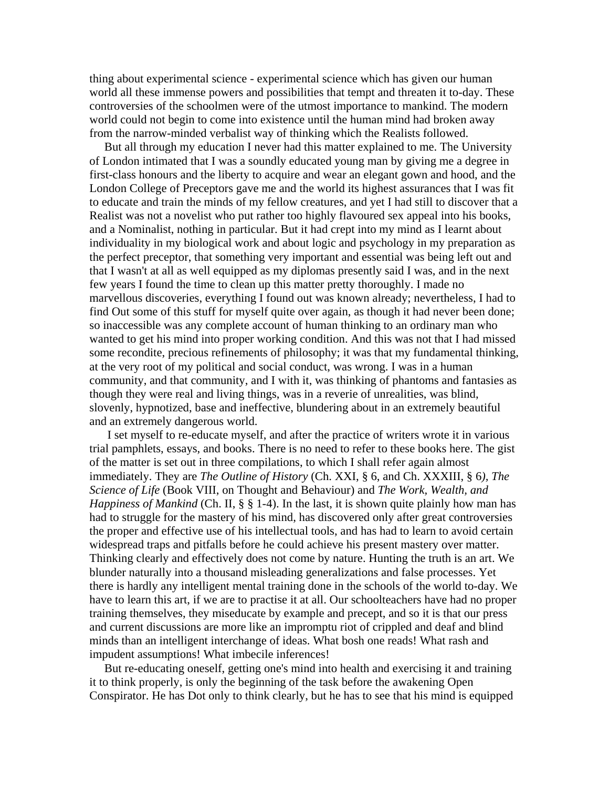thing about experimental science - experimental science which has given our human world all these immense powers and possibilities that tempt and threaten it to-day. These controversies of the schoolmen were of the utmost importance to mankind. The modern world could not begin to come into existence until the human mind had broken away from the narrow-minded verbalist way of thinking which the Realists followed.

 But all through my education I never had this matter explained to me. The University of London intimated that I was a soundly educated young man by giving me a degree in first-class honours and the liberty to acquire and wear an elegant gown and hood, and the London College of Preceptors gave me and the world its highest assurances that I was fit to educate and train the minds of my fellow creatures, and yet I had still to discover that a Realist was not a novelist who put rather too highly flavoured sex appeal into his books, and a Nominalist, nothing in particular. But it had crept into my mind as I learnt about individuality in my biological work and about logic and psychology in my preparation as the perfect preceptor, that something very important and essential was being left out and that I wasn't at all as well equipped as my diplomas presently said I was, and in the next few years I found the time to clean up this matter pretty thoroughly. I made no marvellous discoveries, everything I found out was known already; nevertheless, I had to find Out some of this stuff for myself quite over again, as though it had never been done; so inaccessible was any complete account of human thinking to an ordinary man who wanted to get his mind into proper working condition. And this was not that I had missed some recondite, precious refinements of philosophy; it was that my fundamental thinking, at the very root of my political and social conduct, was wrong. I was in a human community, and that community, and I with it, was thinking of phantoms and fantasies as though they were real and living things, was in a reverie of unrealities, was blind, slovenly, hypnotized, base and ineffective, blundering about in an extremely beautiful and an extremely dangerous world.

 I set myself to re-educate myself, and after the practice of writers wrote it in various trial pamphlets, essays, and books. There is no need to refer to these books here. The gist of the matter is set out in three compilations, to which I shall refer again almost immediately. They are *The Outline of History* (Ch. XXI, § 6, and Ch. XXXIII, § 6*), The Science of Life* (Book VIII, on Thought and Behaviour) and *The Work, Wealth, and Happiness of Mankind* (Ch. II, § § 1-4). In the last, it is shown quite plainly how man has had to struggle for the mastery of his mind, has discovered only after great controversies the proper and effective use of his intellectual tools, and has had to learn to avoid certain widespread traps and pitfalls before he could achieve his present mastery over matter. Thinking clearly and effectively does not come by nature. Hunting the truth is an art. We blunder naturally into a thousand misleading generalizations and false processes. Yet there is hardly any intelligent mental training done in the schools of the world to-day. We have to learn this art, if we are to practise it at all. Our schoolteachers have had no proper training themselves, they miseducate by example and precept, and so it is that our press and current discussions are more like an impromptu riot of crippled and deaf and blind minds than an intelligent interchange of ideas. What bosh one reads! What rash and impudent assumptions! What imbecile inferences!

 But re-educating oneself, getting one's mind into health and exercising it and training it to think properly, is only the beginning of the task before the awakening Open Conspirator. He has Dot only to think clearly, but he has to see that his mind is equipped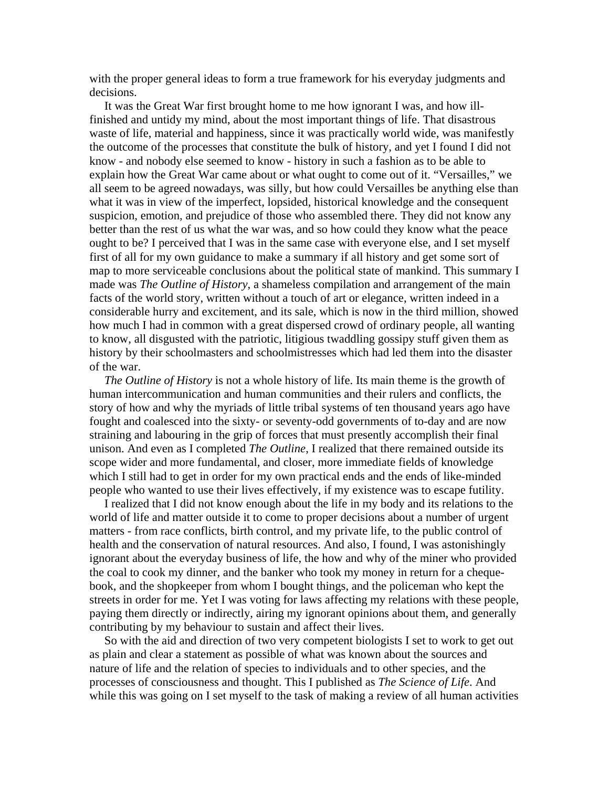with the proper general ideas to form a true framework for his everyday judgments and decisions.

 It was the Great War first brought home to me how ignorant I was, and how illfinished and untidy my mind, about the most important things of life. That disastrous waste of life, material and happiness, since it was practically world wide, was manifestly the outcome of the processes that constitute the bulk of history, and yet I found I did not know - and nobody else seemed to know - history in such a fashion as to be able to explain how the Great War came about or what ought to come out of it. "Versailles," we all seem to be agreed nowadays, was silly, but how could Versailles be anything else than what it was in view of the imperfect, lopsided, historical knowledge and the consequent suspicion, emotion, and prejudice of those who assembled there. They did not know any better than the rest of us what the war was, and so how could they know what the peace ought to be? I perceived that I was in the same case with everyone else, and I set myself first of all for my own guidance to make a summary if all history and get some sort of map to more serviceable conclusions about the political state of mankind. This summary I made was *The Outline of History*, a shameless compilation and arrangement of the main facts of the world story, written without a touch of art or elegance, written indeed in a considerable hurry and excitement, and its sale, which is now in the third million, showed how much I had in common with a great dispersed crowd of ordinary people, all wanting to know, all disgusted with the patriotic, litigious twaddling gossipy stuff given them as history by their schoolmasters and schoolmistresses which had led them into the disaster of the war.

 *The Outline of History* is not a whole history of life. Its main theme is the growth of human intercommunication and human communities and their rulers and conflicts, the story of how and why the myriads of little tribal systems of ten thousand years ago have fought and coalesced into the sixty- or seventy-odd governments of to-day and are now straining and labouring in the grip of forces that must presently accomplish their final unison. And even as I completed *The Outline*, I realized that there remained outside its scope wider and more fundamental, and closer, more immediate fields of knowledge which I still had to get in order for my own practical ends and the ends of like-minded people who wanted to use their lives effectively, if my existence was to escape futility.

 I realized that I did not know enough about the life in my body and its relations to the world of life and matter outside it to come to proper decisions about a number of urgent matters - from race conflicts, birth control, and my private life, to the public control of health and the conservation of natural resources. And also, I found, I was astonishingly ignorant about the everyday business of life, the how and why of the miner who provided the coal to cook my dinner, and the banker who took my money in return for a chequebook, and the shopkeeper from whom I bought things, and the policeman who kept the streets in order for me. Yet I was voting for laws affecting my relations with these people, paying them directly or indirectly, airing my ignorant opinions about them, and generally contributing by my behaviour to sustain and affect their lives.

 So with the aid and direction of two very competent biologists I set to work to get out as plain and clear a statement as possible of what was known about the sources and nature of life and the relation of species to individuals and to other species, and the processes of consciousness and thought. This I published as *The Science of Life*. And while this was going on I set myself to the task of making a review of all human activities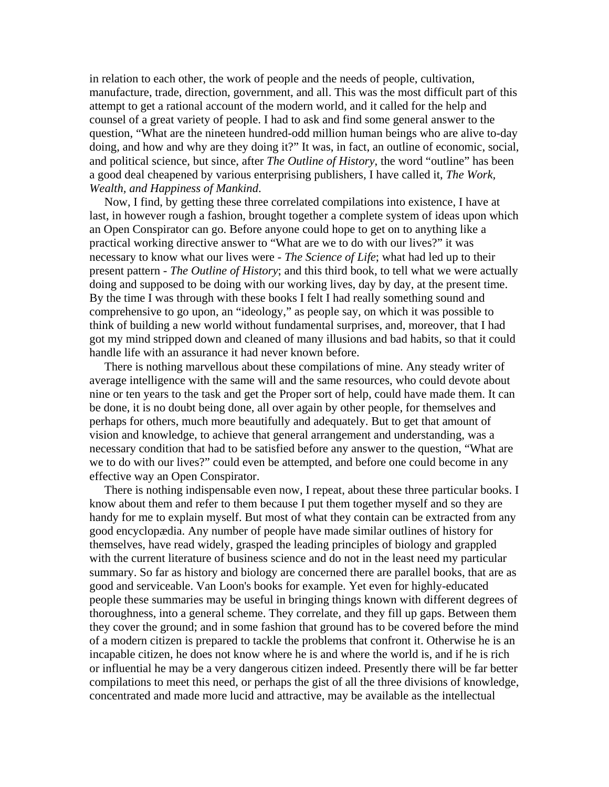in relation to each other, the work of people and the needs of people, cultivation, manufacture, trade, direction, government, and all. This was the most difficult part of this attempt to get a rational account of the modern world, and it called for the help and counsel of a great variety of people. I had to ask and find some general answer to the question, "What are the nineteen hundred-odd million human beings who are alive to-day doing, and how and why are they doing it?" It was, in fact, an outline of economic, social, and political science, but since, after *The Outline of History*, the word "outline" has been a good deal cheapened by various enterprising publishers, I have called it, *The Work, Wealth, and Happiness of Mankind*.

 Now, I find, by getting these three correlated compilations into existence, I have at last, in however rough a fashion, brought together a complete system of ideas upon which an Open Conspirator can go. Before anyone could hope to get on to anything like a practical working directive answer to "What are we to do with our lives?" it was necessary to know what our lives were - *The Science of Life*; what had led up to their present pattern - *The Outline of History*; and this third book, to tell what we were actually doing and supposed to be doing with our working lives, day by day, at the present time. By the time I was through with these books I felt I had really something sound and comprehensive to go upon, an "ideology," as people say, on which it was possible to think of building a new world without fundamental surprises, and, moreover, that I had got my mind stripped down and cleaned of many illusions and bad habits, so that it could handle life with an assurance it had never known before.

 There is nothing marvellous about these compilations of mine. Any steady writer of average intelligence with the same will and the same resources, who could devote about nine or ten years to the task and get the Proper sort of help, could have made them. It can be done, it is no doubt being done, all over again by other people, for themselves and perhaps for others, much more beautifully and adequately. But to get that amount of vision and knowledge, to achieve that general arrangement and understanding, was a necessary condition that had to be satisfied before any answer to the question, "What are we to do with our lives?" could even be attempted, and before one could become in any effective way an Open Conspirator.

 There is nothing indispensable even now, I repeat, about these three particular books. I know about them and refer to them because I put them together myself and so they are handy for me to explain myself. But most of what they contain can be extracted from any good encyclopædia. Any number of people have made similar outlines of history for themselves, have read widely, grasped the leading principles of biology and grappled with the current literature of business science and do not in the least need my particular summary. So far as history and biology are concerned there are parallel books, that are as good and serviceable. Van Loon's books for example. Yet even for highly-educated people these summaries may be useful in bringing things known with different degrees of thoroughness, into a general scheme. They correlate, and they fill up gaps. Between them they cover the ground; and in some fashion that ground has to be covered before the mind of a modern citizen is prepared to tackle the problems that confront it. Otherwise he is an incapable citizen, he does not know where he is and where the world is, and if he is rich or influential he may be a very dangerous citizen indeed. Presently there will be far better compilations to meet this need, or perhaps the gist of all the three divisions of knowledge, concentrated and made more lucid and attractive, may be available as the intellectual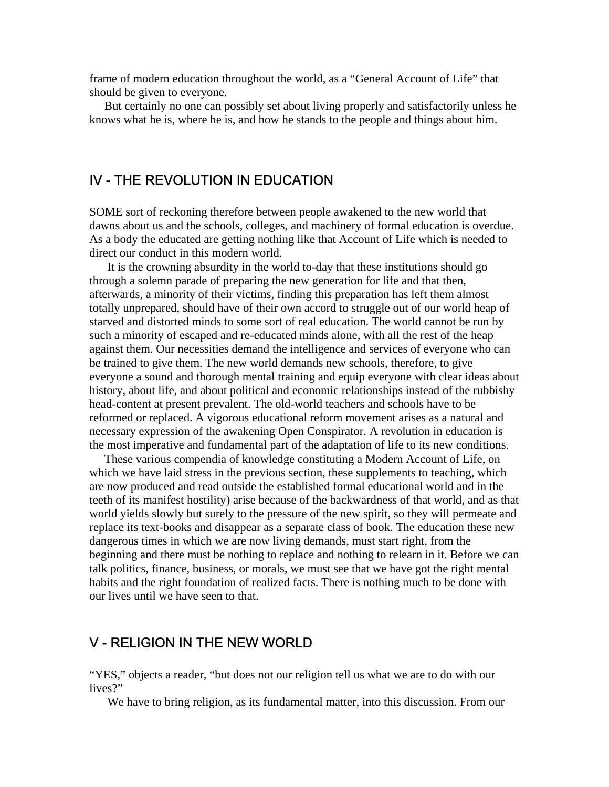frame of modern education throughout the world, as a "General Account of Life" that should be given to everyone.

 But certainly no one can possibly set about living properly and satisfactorily unless he knows what he is, where he is, and how he stands to the people and things about him.

### IV - THE REVOLUTION IN EDUCATION

SOME sort of reckoning therefore between people awakened to the new world that dawns about us and the schools, colleges, and machinery of formal education is overdue. As a body the educated are getting nothing like that Account of Life which is needed to direct our conduct in this modern world.

 It is the crowning absurdity in the world to-day that these institutions should go through a solemn parade of preparing the new generation for life and that then, afterwards, a minority of their victims, finding this preparation has left them almost totally unprepared, should have of their own accord to struggle out of our world heap of starved and distorted minds to some sort of real education. The world cannot be run by such a minority of escaped and re-educated minds alone, with all the rest of the heap against them. Our necessities demand the intelligence and services of everyone who can be trained to give them. The new world demands new schools, therefore, to give everyone a sound and thorough mental training and equip everyone with clear ideas about history, about life, and about political and economic relationships instead of the rubbishy head-content at present prevalent. The old-world teachers and schools have to be reformed or replaced. A vigorous educational reform movement arises as a natural and necessary expression of the awakening Open Conspirator. A revolution in education is the most imperative and fundamental part of the adaptation of life to its new conditions.

 These various compendia of knowledge constituting a Modern Account of Life, on which we have laid stress in the previous section, these supplements to teaching, which are now produced and read outside the established formal educational world and in the teeth of its manifest hostility) arise because of the backwardness of that world, and as that world yields slowly but surely to the pressure of the new spirit, so they will permeate and replace its text-books and disappear as a separate class of book. The education these new dangerous times in which we are now living demands, must start right, from the beginning and there must be nothing to replace and nothing to relearn in it. Before we can talk politics, finance, business, or morals, we must see that we have got the right mental habits and the right foundation of realized facts. There is nothing much to be done with our lives until we have seen to that.

### V - RELIGION IN THE NEW WORLD

"YES," objects a reader, "but does not our religion tell us what we are to do with our lives?"

We have to bring religion, as its fundamental matter, into this discussion. From our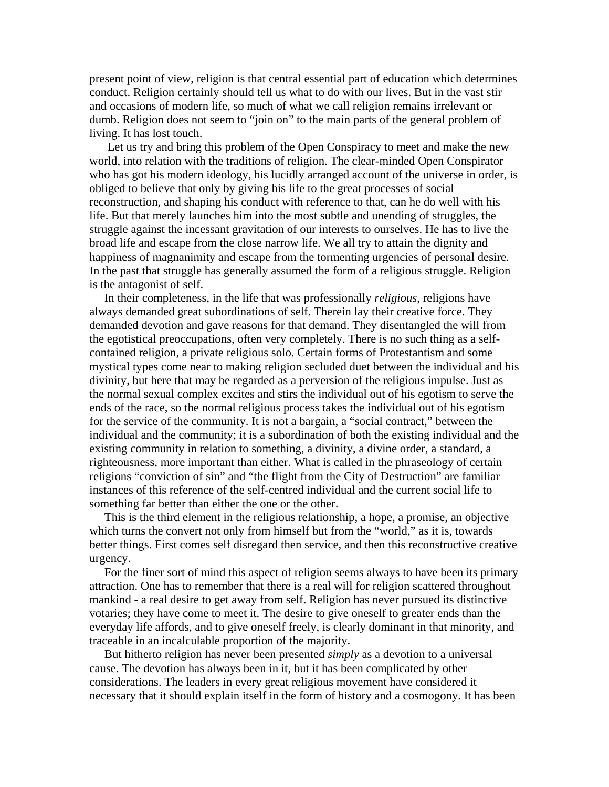present point of view, religion is that central essential part of education which determines conduct. Religion certainly should tell us what to do with our lives. But in the vast stir and occasions of modern life, so much of what we call religion remains irrelevant or dumb. Religion does not seem to "join on" to the main parts of the general problem of living. It has lost touch.

 Let us try and bring this problem of the Open Conspiracy to meet and make the new world, into relation with the traditions of religion. The clear-minded Open Conspirator who has got his modern ideology, his lucidly arranged account of the universe in order, is obliged to believe that only by giving his life to the great processes of social reconstruction, and shaping his conduct with reference to that, can he do well with his life. But that merely launches him into the most subtle and unending of struggles, the struggle against the incessant gravitation of our interests to ourselves. He has to live the broad life and escape from the close narrow life. We all try to attain the dignity and happiness of magnanimity and escape from the tormenting urgencies of personal desire. In the past that struggle has generally assumed the form of a religious struggle. Religion is the antagonist of self.

 In their completeness, in the life that was professionally *religious*, religions have always demanded great subordinations of self. Therein lay their creative force. They demanded devotion and gave reasons for that demand. They disentangled the will from the egotistical preoccupations, often very completely. There is no such thing as a selfcontained religion, a private religious solo. Certain forms of Protestantism and some mystical types come near to making religion secluded duet between the individual and his divinity, but here that may be regarded as a perversion of the religious impulse. Just as the normal sexual complex excites and stirs the individual out of his egotism to serve the ends of the race, so the normal religious process takes the individual out of his egotism for the service of the community. It is not a bargain, a "social contract," between the individual and the community; it is a subordination of both the existing individual and the existing community in relation to something, a divinity, a divine order, a standard, a righteousness, more important than either. What is called in the phraseology of certain religions "conviction of sin" and "the flight from the City of Destruction" are familiar instances of this reference of the self-centred individual and the current social life to something far better than either the one or the other.

 This is the third element in the religious relationship, a hope, a promise, an objective which turns the convert not only from himself but from the "world," as it is, towards better things. First comes self disregard then service, and then this reconstructive creative urgency.

 For the finer sort of mind this aspect of religion seems always to have been its primary attraction. One has to remember that there is a real will for religion scattered throughout mankind - a real desire to get away from self. Religion has never pursued its distinctive votaries; they have come to meet it. The desire to give oneself to greater ends than the everyday life affords, and to give oneself freely, is clearly dominant in that minority, and traceable in an incalculable proportion of the majority.

 But hitherto religion has never been presented *simply* as a devotion to a universal cause. The devotion has always been in it, but it has been complicated by other considerations. The leaders in every great religious movement have considered it necessary that it should explain itself in the form of history and a cosmogony. It has been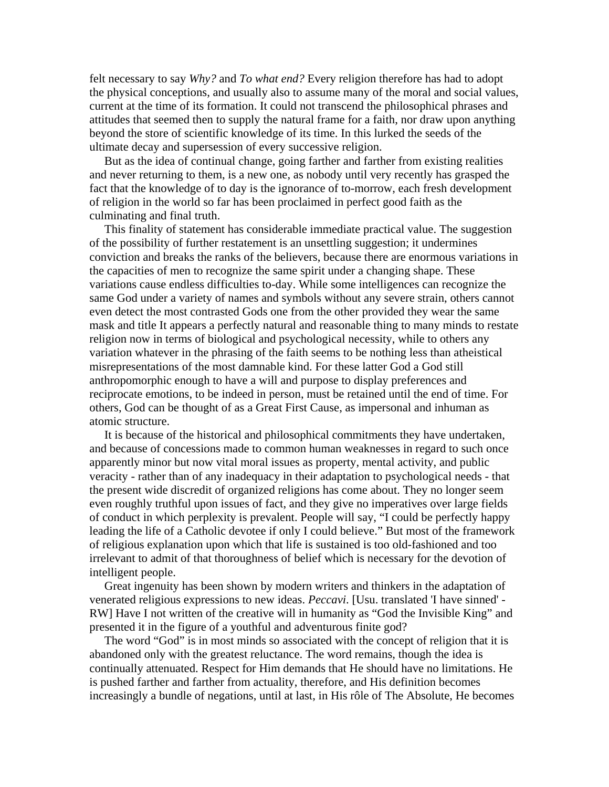felt necessary to say *Why?* and *To what end?* Every religion therefore has had to adopt the physical conceptions, and usually also to assume many of the moral and social values, current at the time of its formation. It could not transcend the philosophical phrases and attitudes that seemed then to supply the natural frame for a faith, nor draw upon anything beyond the store of scientific knowledge of its time. In this lurked the seeds of the ultimate decay and supersession of every successive religion.

 But as the idea of continual change, going farther and farther from existing realities and never returning to them, is a new one, as nobody until very recently has grasped the fact that the knowledge of to day is the ignorance of to-morrow, each fresh development of religion in the world so far has been proclaimed in perfect good faith as the culminating and final truth.

 This finality of statement has considerable immediate practical value. The suggestion of the possibility of further restatement is an unsettling suggestion; it undermines conviction and breaks the ranks of the believers, because there are enormous variations in the capacities of men to recognize the same spirit under a changing shape. These variations cause endless difficulties to-day. While some intelligences can recognize the same God under a variety of names and symbols without any severe strain, others cannot even detect the most contrasted Gods one from the other provided they wear the same mask and title It appears a perfectly natural and reasonable thing to many minds to restate religion now in terms of biological and psychological necessity, while to others any variation whatever in the phrasing of the faith seems to be nothing less than atheistical misrepresentations of the most damnable kind. For these latter God a God still anthropomorphic enough to have a will and purpose to display preferences and reciprocate emotions, to be indeed in person, must be retained until the end of time. For others, God can be thought of as a Great First Cause, as impersonal and inhuman as atomic structure.

 It is because of the historical and philosophical commitments they have undertaken, and because of concessions made to common human weaknesses in regard to such once apparently minor but now vital moral issues as property, mental activity, and public veracity - rather than of any inadequacy in their adaptation to psychological needs - that the present wide discredit of organized religions has come about. They no longer seem even roughly truthful upon issues of fact, and they give no imperatives over large fields of conduct in which perplexity is prevalent. People will say, "I could be perfectly happy leading the life of a Catholic devotee if only I could believe." But most of the framework of religious explanation upon which that life is sustained is too old-fashioned and too irrelevant to admit of that thoroughness of belief which is necessary for the devotion of intelligent people.

 Great ingenuity has been shown by modern writers and thinkers in the adaptation of venerated religious expressions to new ideas. *Peccavi*. [Usu. translated 'I have sinned' - RW] Have I not written of the creative will in humanity as "God the Invisible King" and presented it in the figure of a youthful and adventurous finite god?

 The word "God" is in most minds so associated with the concept of religion that it is abandoned only with the greatest reluctance. The word remains, though the idea is continually attenuated. Respect for Him demands that He should have no limitations. He is pushed farther and farther from actuality, therefore, and His definition becomes increasingly a bundle of negations, until at last, in His rôle of The Absolute, He becomes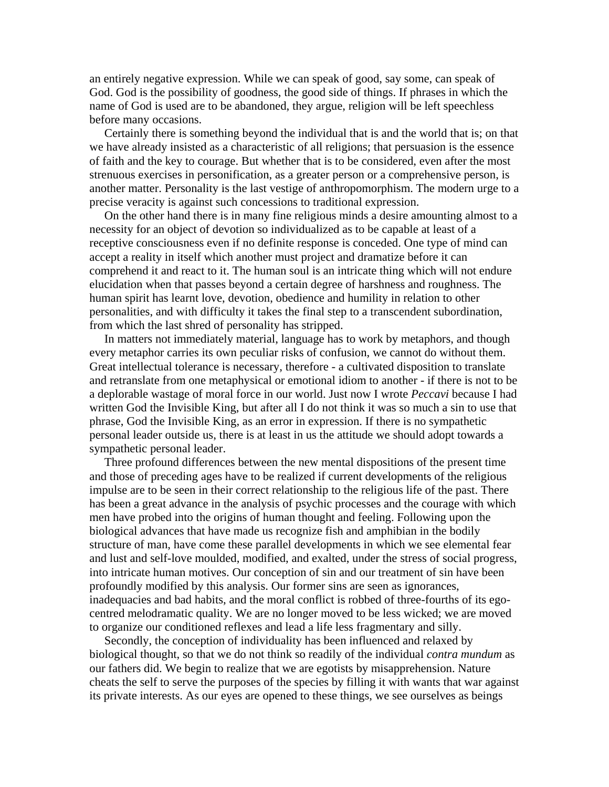an entirely negative expression. While we can speak of good, say some, can speak of God. God is the possibility of goodness, the good side of things. If phrases in which the name of God is used are to be abandoned, they argue, religion will be left speechless before many occasions.

 Certainly there is something beyond the individual that is and the world that is; on that we have already insisted as a characteristic of all religions; that persuasion is the essence of faith and the key to courage. But whether that is to be considered, even after the most strenuous exercises in personification, as a greater person or a comprehensive person, is another matter. Personality is the last vestige of anthropomorphism. The modern urge to a precise veracity is against such concessions to traditional expression.

 On the other hand there is in many fine religious minds a desire amounting almost to a necessity for an object of devotion so individualized as to be capable at least of a receptive consciousness even if no definite response is conceded. One type of mind can accept a reality in itself which another must project and dramatize before it can comprehend it and react to it. The human soul is an intricate thing which will not endure elucidation when that passes beyond a certain degree of harshness and roughness. The human spirit has learnt love, devotion, obedience and humility in relation to other personalities, and with difficulty it takes the final step to a transcendent subordination, from which the last shred of personality has stripped.

 In matters not immediately material, language has to work by metaphors, and though every metaphor carries its own peculiar risks of confusion, we cannot do without them. Great intellectual tolerance is necessary, therefore - a cultivated disposition to translate and retranslate from one metaphysical or emotional idiom to another - if there is not to be a deplorable wastage of moral force in our world. Just now I wrote *Peccavi* because I had written God the Invisible King, but after all I do not think it was so much a sin to use that phrase, God the Invisible King, as an error in expression. If there is no sympathetic personal leader outside us, there is at least in us the attitude we should adopt towards a sympathetic personal leader.

 Three profound differences between the new mental dispositions of the present time and those of preceding ages have to be realized if current developments of the religious impulse are to be seen in their correct relationship to the religious life of the past. There has been a great advance in the analysis of psychic processes and the courage with which men have probed into the origins of human thought and feeling. Following upon the biological advances that have made us recognize fish and amphibian in the bodily structure of man, have come these parallel developments in which we see elemental fear and lust and self-love moulded, modified, and exalted, under the stress of social progress, into intricate human motives. Our conception of sin and our treatment of sin have been profoundly modified by this analysis. Our former sins are seen as ignorances, inadequacies and bad habits, and the moral conflict is robbed of three-fourths of its egocentred melodramatic quality. We are no longer moved to be less wicked; we are moved to organize our conditioned reflexes and lead a life less fragmentary and silly.

 Secondly, the conception of individuality has been influenced and relaxed by biological thought, so that we do not think so readily of the individual *contra mundum* as our fathers did. We begin to realize that we are egotists by misapprehension. Nature cheats the self to serve the purposes of the species by filling it with wants that war against its private interests. As our eyes are opened to these things, we see ourselves as beings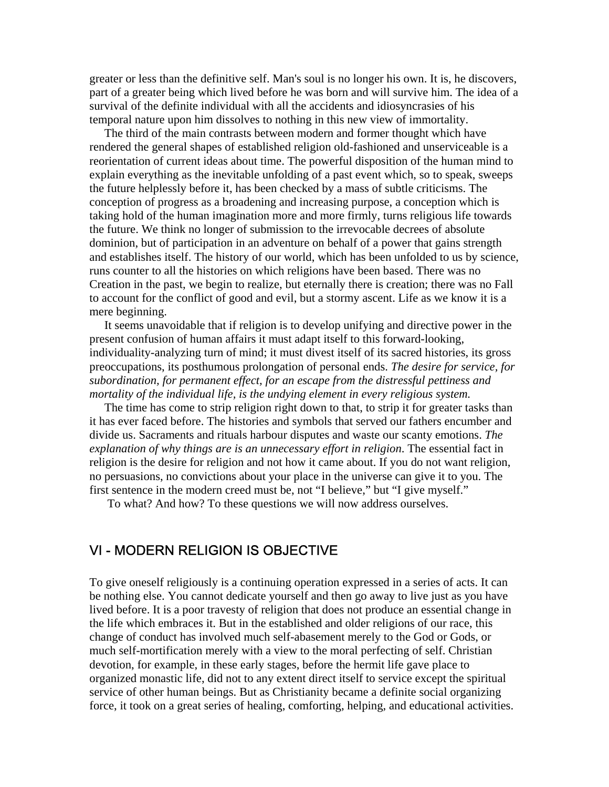greater or less than the definitive self. Man's soul is no longer his own. It is, he discovers, part of a greater being which lived before he was born and will survive him. The idea of a survival of the definite individual with all the accidents and idiosyncrasies of his temporal nature upon him dissolves to nothing in this new view of immortality.

 The third of the main contrasts between modern and former thought which have rendered the general shapes of established religion old-fashioned and unserviceable is a reorientation of current ideas about time. The powerful disposition of the human mind to explain everything as the inevitable unfolding of a past event which, so to speak, sweeps the future helplessly before it, has been checked by a mass of subtle criticisms. The conception of progress as a broadening and increasing purpose, a conception which is taking hold of the human imagination more and more firmly, turns religious life towards the future. We think no longer of submission to the irrevocable decrees of absolute dominion, but of participation in an adventure on behalf of a power that gains strength and establishes itself. The history of our world, which has been unfolded to us by science, runs counter to all the histories on which religions have been based. There was no Creation in the past, we begin to realize, but eternally there is creation; there was no Fall to account for the conflict of good and evil, but a stormy ascent. Life as we know it is a mere beginning.

 It seems unavoidable that if religion is to develop unifying and directive power in the present confusion of human affairs it must adapt itself to this forward-looking, individuality-analyzing turn of mind; it must divest itself of its sacred histories, its gross preoccupations, its posthumous prolongation of personal ends. *The desire for service, for subordination, for permanent effect, for an escape from the distressful pettiness and mortality of the individual life, is the undying element in every religious system.*

 The time has come to strip religion right down to that, to strip it for greater tasks than it has ever faced before. The histories and symbols that served our fathers encumber and divide us. Sacraments and rituals harbour disputes and waste our scanty emotions. *The explanation of why things are is an unnecessary effort in religion*. The essential fact in religion is the desire for religion and not how it came about. If you do not want religion, no persuasions, no convictions about your place in the universe can give it to you. The first sentence in the modern creed must be, not "I believe," but "I give myself."

To what? And how? To these questions we will now address ourselves.

### VI - MODERN RELIGION IS OBJECTIVE

To give oneself religiously is a continuing operation expressed in a series of acts. It can be nothing else. You cannot dedicate yourself and then go away to live just as you have lived before. It is a poor travesty of religion that does not produce an essential change in the life which embraces it. But in the established and older religions of our race, this change of conduct has involved much self-abasement merely to the God or Gods, or much self-mortification merely with a view to the moral perfecting of self. Christian devotion, for example, in these early stages, before the hermit life gave place to organized monastic life, did not to any extent direct itself to service except the spiritual service of other human beings. But as Christianity became a definite social organizing force, it took on a great series of healing, comforting, helping, and educational activities.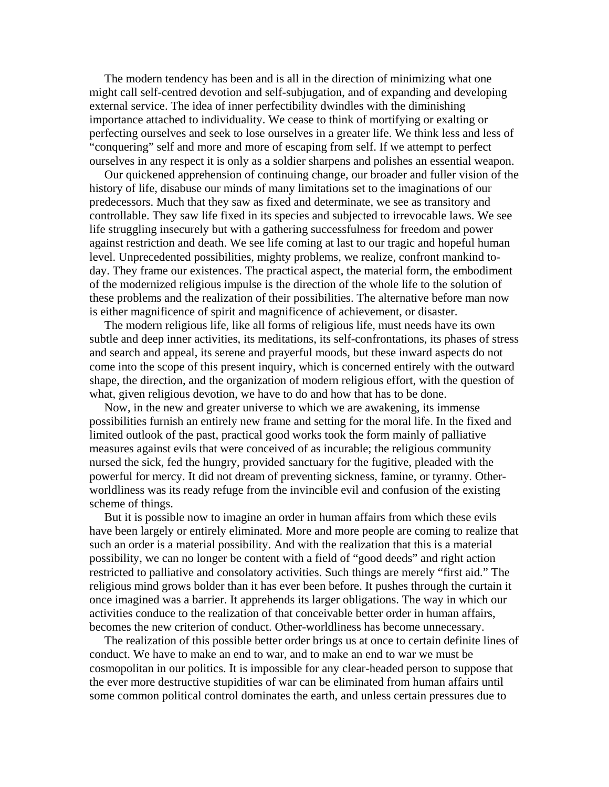The modern tendency has been and is all in the direction of minimizing what one might call self-centred devotion and self-subjugation, and of expanding and developing external service. The idea of inner perfectibility dwindles with the diminishing importance attached to individuality. We cease to think of mortifying or exalting or perfecting ourselves and seek to lose ourselves in a greater life. We think less and less of "conquering" self and more and more of escaping from self. If we attempt to perfect ourselves in any respect it is only as a soldier sharpens and polishes an essential weapon.

 Our quickened apprehension of continuing change, our broader and fuller vision of the history of life, disabuse our minds of many limitations set to the imaginations of our predecessors. Much that they saw as fixed and determinate, we see as transitory and controllable. They saw life fixed in its species and subjected to irrevocable laws. We see life struggling insecurely but with a gathering successfulness for freedom and power against restriction and death. We see life coming at last to our tragic and hopeful human level. Unprecedented possibilities, mighty problems, we realize, confront mankind today. They frame our existences. The practical aspect, the material form, the embodiment of the modernized religious impulse is the direction of the whole life to the solution of these problems and the realization of their possibilities. The alternative before man now is either magnificence of spirit and magnificence of achievement, or disaster.

 The modern religious life, like all forms of religious life, must needs have its own subtle and deep inner activities, its meditations, its self-confrontations, its phases of stress and search and appeal, its serene and prayerful moods, but these inward aspects do not come into the scope of this present inquiry, which is concerned entirely with the outward shape, the direction, and the organization of modern religious effort, with the question of what, given religious devotion, we have to do and how that has to be done.

 Now, in the new and greater universe to which we are awakening, its immense possibilities furnish an entirely new frame and setting for the moral life. In the fixed and limited outlook of the past, practical good works took the form mainly of palliative measures against evils that were conceived of as incurable; the religious community nursed the sick, fed the hungry, provided sanctuary for the fugitive, pleaded with the powerful for mercy. It did not dream of preventing sickness, famine, or tyranny. Otherworldliness was its ready refuge from the invincible evil and confusion of the existing scheme of things.

 But it is possible now to imagine an order in human affairs from which these evils have been largely or entirely eliminated. More and more people are coming to realize that such an order is a material possibility. And with the realization that this is a material possibility, we can no longer be content with a field of "good deeds" and right action restricted to palliative and consolatory activities. Such things are merely "first aid." The religious mind grows bolder than it has ever been before. It pushes through the curtain it once imagined was a barrier. It apprehends its larger obligations. The way in which our activities conduce to the realization of that conceivable better order in human affairs, becomes the new criterion of conduct. Other-worldliness has become unnecessary.

 The realization of this possible better order brings us at once to certain definite lines of conduct. We have to make an end to war, and to make an end to war we must be cosmopolitan in our politics. It is impossible for any clear-headed person to suppose that the ever more destructive stupidities of war can be eliminated from human affairs until some common political control dominates the earth, and unless certain pressures due to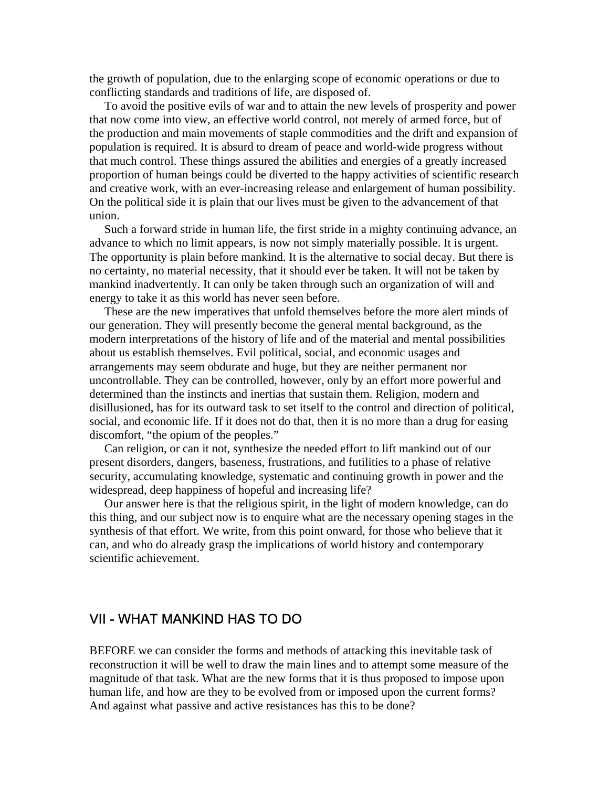the growth of population, due to the enlarging scope of economic operations or due to conflicting standards and traditions of life, are disposed of.

 To avoid the positive evils of war and to attain the new levels of prosperity and power that now come into view, an effective world control, not merely of armed force, but of the production and main movements of staple commodities and the drift and expansion of population is required. It is absurd to dream of peace and world-wide progress without that much control. These things assured the abilities and energies of a greatly increased proportion of human beings could be diverted to the happy activities of scientific research and creative work, with an ever-increasing release and enlargement of human possibility. On the political side it is plain that our lives must be given to the advancement of that union.

 Such a forward stride in human life, the first stride in a mighty continuing advance, an advance to which no limit appears, is now not simply materially possible. It is urgent. The opportunity is plain before mankind. It is the alternative to social decay. But there is no certainty, no material necessity, that it should ever be taken. It will not be taken by mankind inadvertently. It can only be taken through such an organization of will and energy to take it as this world has never seen before.

 These are the new imperatives that unfold themselves before the more alert minds of our generation. They will presently become the general mental background, as the modern interpretations of the history of life and of the material and mental possibilities about us establish themselves. Evil political, social, and economic usages and arrangements may seem obdurate and huge, but they are neither permanent nor uncontrollable. They can be controlled, however, only by an effort more powerful and determined than the instincts and inertias that sustain them. Religion, modern and disillusioned, has for its outward task to set itself to the control and direction of political, social, and economic life. If it does not do that, then it is no more than a drug for easing discomfort, "the opium of the peoples."

 Can religion, or can it not, synthesize the needed effort to lift mankind out of our present disorders, dangers, baseness, frustrations, and futilities to a phase of relative security, accumulating knowledge, systematic and continuing growth in power and the widespread, deep happiness of hopeful and increasing life?

 Our answer here is that the religious spirit, in the light of modern knowledge, can do this thing, and our subject now is to enquire what are the necessary opening stages in the synthesis of that effort. We write, from this point onward, for those who believe that it can, and who do already grasp the implications of world history and contemporary scientific achievement.

### VII - WHAT MANKIND HAS TO DO

BEFORE we can consider the forms and methods of attacking this inevitable task of reconstruction it will be well to draw the main lines and to attempt some measure of the magnitude of that task. What are the new forms that it is thus proposed to impose upon human life, and how are they to be evolved from or imposed upon the current forms? And against what passive and active resistances has this to be done?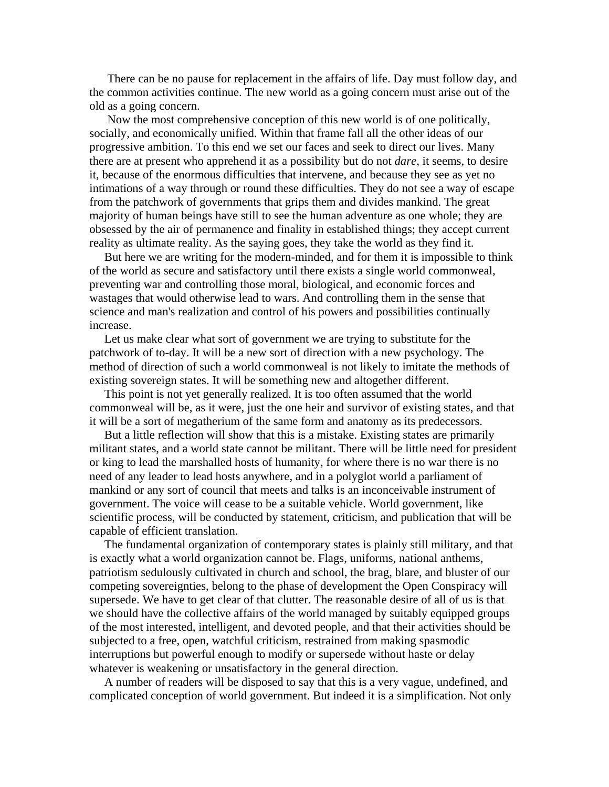There can be no pause for replacement in the affairs of life. Day must follow day, and the common activities continue. The new world as a going concern must arise out of the old as a going concern.

 Now the most comprehensive conception of this new world is of one politically, socially, and economically unified. Within that frame fall all the other ideas of our progressive ambition. To this end we set our faces and seek to direct our lives. Many there are at present who apprehend it as a possibility but do not *dare*, it seems, to desire it, because of the enormous difficulties that intervene, and because they see as yet no intimations of a way through or round these difficulties. They do not see a way of escape from the patchwork of governments that grips them and divides mankind. The great majority of human beings have still to see the human adventure as one whole; they are obsessed by the air of permanence and finality in established things; they accept current reality as ultimate reality. As the saying goes, they take the world as they find it.

 But here we are writing for the modern-minded, and for them it is impossible to think of the world as secure and satisfactory until there exists a single world commonweal, preventing war and controlling those moral, biological, and economic forces and wastages that would otherwise lead to wars. And controlling them in the sense that science and man's realization and control of his powers and possibilities continually increase.

 Let us make clear what sort of government we are trying to substitute for the patchwork of to-day. It will be a new sort of direction with a new psychology. The method of direction of such a world commonweal is not likely to imitate the methods of existing sovereign states. It will be something new and altogether different.

 This point is not yet generally realized. It is too often assumed that the world commonweal will be, as it were, just the one heir and survivor of existing states, and that it will be a sort of megatherium of the same form and anatomy as its predecessors.

 But a little reflection will show that this is a mistake. Existing states are primarily militant states, and a world state cannot be militant. There will be little need for president or king to lead the marshalled hosts of humanity, for where there is no war there is no need of any leader to lead hosts anywhere, and in a polyglot world a parliament of mankind or any sort of council that meets and talks is an inconceivable instrument of government. The voice will cease to be a suitable vehicle. World government, like scientific process, will be conducted by statement, criticism, and publication that will be capable of efficient translation.

 The fundamental organization of contemporary states is plainly still military, and that is exactly what a world organization cannot be. Flags, uniforms, national anthems, patriotism sedulously cultivated in church and school, the brag, blare, and bluster of our competing sovereignties, belong to the phase of development the Open Conspiracy will supersede. We have to get clear of that clutter. The reasonable desire of all of us is that we should have the collective affairs of the world managed by suitably equipped groups of the most interested, intelligent, and devoted people, and that their activities should be subjected to a free, open, watchful criticism, restrained from making spasmodic interruptions but powerful enough to modify or supersede without haste or delay whatever is weakening or unsatisfactory in the general direction.

 A number of readers will be disposed to say that this is a very vague, undefined, and complicated conception of world government. But indeed it is a simplification. Not only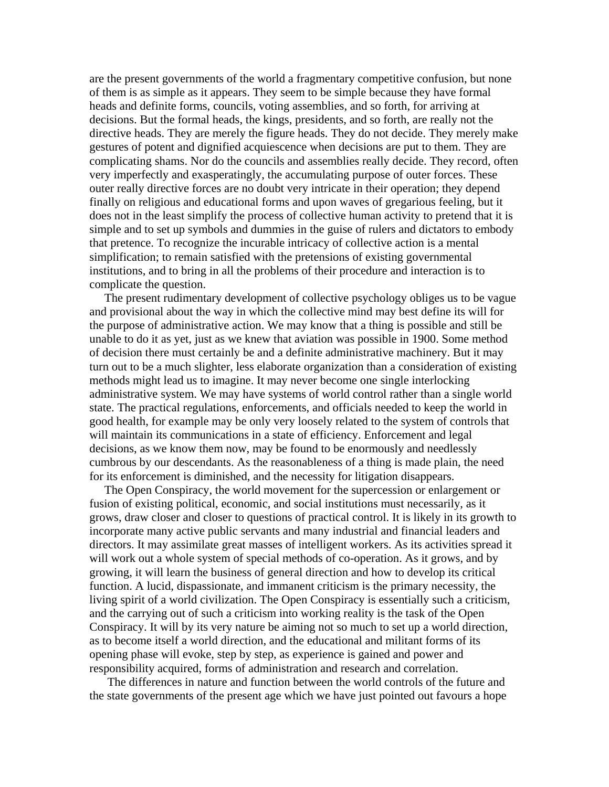are the present governments of the world a fragmentary competitive confusion, but none of them is as simple as it appears. They seem to be simple because they have formal heads and definite forms, councils, voting assemblies, and so forth, for arriving at decisions. But the formal heads, the kings, presidents, and so forth, are really not the directive heads. They are merely the figure heads. They do not decide. They merely make gestures of potent and dignified acquiescence when decisions are put to them. They are complicating shams. Nor do the councils and assemblies really decide. They record, often very imperfectly and exasperatingly, the accumulating purpose of outer forces. These outer really directive forces are no doubt very intricate in their operation; they depend finally on religious and educational forms and upon waves of gregarious feeling, but it does not in the least simplify the process of collective human activity to pretend that it is simple and to set up symbols and dummies in the guise of rulers and dictators to embody that pretence. To recognize the incurable intricacy of collective action is a mental simplification; to remain satisfied with the pretensions of existing governmental institutions, and to bring in all the problems of their procedure and interaction is to complicate the question.

 The present rudimentary development of collective psychology obliges us to be vague and provisional about the way in which the collective mind may best define its will for the purpose of administrative action. We may know that a thing is possible and still be unable to do it as yet, just as we knew that aviation was possible in 1900. Some method of decision there must certainly be and a definite administrative machinery. But it may turn out to be a much slighter, less elaborate organization than a consideration of existing methods might lead us to imagine. It may never become one single interlocking administrative system. We may have systems of world control rather than a single world state. The practical regulations, enforcements, and officials needed to keep the world in good health, for example may be only very loosely related to the system of controls that will maintain its communications in a state of efficiency. Enforcement and legal decisions, as we know them now, may be found to be enormously and needlessly cumbrous by our descendants. As the reasonableness of a thing is made plain, the need for its enforcement is diminished, and the necessity for litigation disappears.

 The Open Conspiracy, the world movement for the supercession or enlargement or fusion of existing political, economic, and social institutions must necessarily, as it grows, draw closer and closer to questions of practical control. It is likely in its growth to incorporate many active public servants and many industrial and financial leaders and directors. It may assimilate great masses of intelligent workers. As its activities spread it will work out a whole system of special methods of co-operation. As it grows, and by growing, it will learn the business of general direction and how to develop its critical function. A lucid, dispassionate, and immanent criticism is the primary necessity, the living spirit of a world civilization. The Open Conspiracy is essentially such a criticism, and the carrying out of such a criticism into working reality is the task of the Open Conspiracy. It will by its very nature be aiming not so much to set up a world direction, as to become itself a world direction, and the educational and militant forms of its opening phase will evoke, step by step, as experience is gained and power and responsibility acquired, forms of administration and research and correlation.

 The differences in nature and function between the world controls of the future and the state governments of the present age which we have just pointed out favours a hope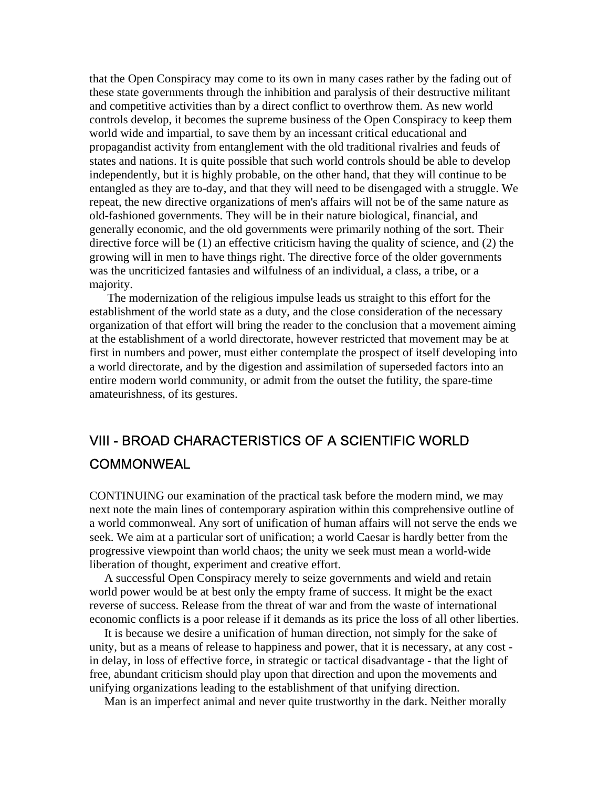that the Open Conspiracy may come to its own in many cases rather by the fading out of these state governments through the inhibition and paralysis of their destructive militant and competitive activities than by a direct conflict to overthrow them. As new world controls develop, it becomes the supreme business of the Open Conspiracy to keep them world wide and impartial, to save them by an incessant critical educational and propagandist activity from entanglement with the old traditional rivalries and feuds of states and nations. It is quite possible that such world controls should be able to develop independently, but it is highly probable, on the other hand, that they will continue to be entangled as they are to-day, and that they will need to be disengaged with a struggle. We repeat, the new directive organizations of men's affairs will not be of the same nature as old-fashioned governments. They will be in their nature biological, financial, and generally economic, and the old governments were primarily nothing of the sort. Their directive force will be (1) an effective criticism having the quality of science, and (2) the growing will in men to have things right. The directive force of the older governments was the uncriticized fantasies and wilfulness of an individual, a class, a tribe, or a majority.

 The modernization of the religious impulse leads us straight to this effort for the establishment of the world state as a duty, and the close consideration of the necessary organization of that effort will bring the reader to the conclusion that a movement aiming at the establishment of a world directorate, however restricted that movement may be at first in numbers and power, must either contemplate the prospect of itself developing into a world directorate, and by the digestion and assimilation of superseded factors into an entire modern world community, or admit from the outset the futility, the spare-time amateurishness, of its gestures.

### VIII - BROAD CHARACTERISTICS OF A SCIENTIFIC WORLD **COMMONWEAL**

CONTINUING our examination of the practical task before the modern mind, we may next note the main lines of contemporary aspiration within this comprehensive outline of a world commonweal. Any sort of unification of human affairs will not serve the ends we seek. We aim at a particular sort of unification; a world Caesar is hardly better from the progressive viewpoint than world chaos; the unity we seek must mean a world-wide liberation of thought, experiment and creative effort.

 A successful Open Conspiracy merely to seize governments and wield and retain world power would be at best only the empty frame of success. It might be the exact reverse of success. Release from the threat of war and from the waste of international economic conflicts is a poor release if it demands as its price the loss of all other liberties.

 It is because we desire a unification of human direction, not simply for the sake of unity, but as a means of release to happiness and power, that it is necessary, at any cost in delay, in loss of effective force, in strategic or tactical disadvantage - that the light of free, abundant criticism should play upon that direction and upon the movements and unifying organizations leading to the establishment of that unifying direction.

Man is an imperfect animal and never quite trustworthy in the dark. Neither morally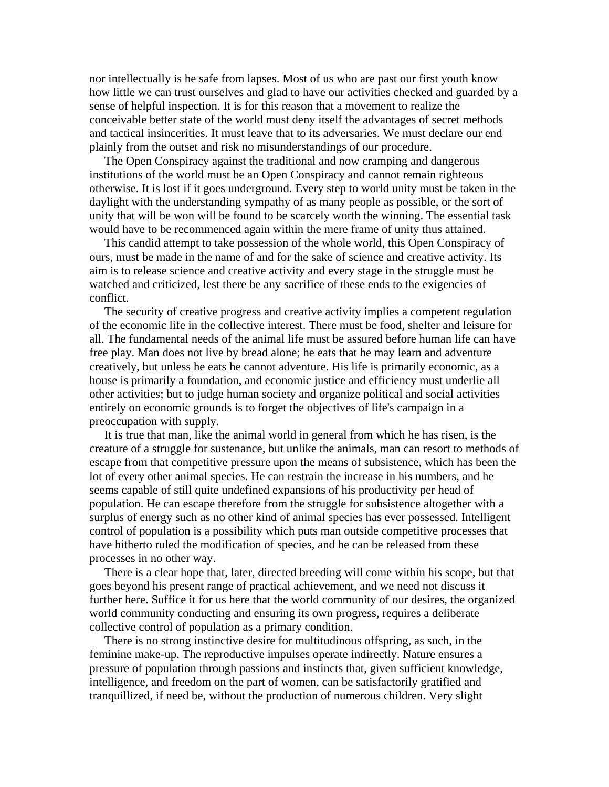nor intellectually is he safe from lapses. Most of us who are past our first youth know how little we can trust ourselves and glad to have our activities checked and guarded by a sense of helpful inspection. It is for this reason that a movement to realize the conceivable better state of the world must deny itself the advantages of secret methods and tactical insincerities. It must leave that to its adversaries. We must declare our end plainly from the outset and risk no misunderstandings of our procedure.

 The Open Conspiracy against the traditional and now cramping and dangerous institutions of the world must be an Open Conspiracy and cannot remain righteous otherwise. It is lost if it goes underground. Every step to world unity must be taken in the daylight with the understanding sympathy of as many people as possible, or the sort of unity that will be won will be found to be scarcely worth the winning. The essential task would have to be recommenced again within the mere frame of unity thus attained.

 This candid attempt to take possession of the whole world, this Open Conspiracy of ours, must be made in the name of and for the sake of science and creative activity. Its aim is to release science and creative activity and every stage in the struggle must be watched and criticized, lest there be any sacrifice of these ends to the exigencies of conflict.

 The security of creative progress and creative activity implies a competent regulation of the economic life in the collective interest. There must be food, shelter and leisure for all. The fundamental needs of the animal life must be assured before human life can have free play. Man does not live by bread alone; he eats that he may learn and adventure creatively, but unless he eats he cannot adventure. His life is primarily economic, as a house is primarily a foundation, and economic justice and efficiency must underlie all other activities; but to judge human society and organize political and social activities entirely on economic grounds is to forget the objectives of life's campaign in a preoccupation with supply.

 It is true that man, like the animal world in general from which he has risen, is the creature of a struggle for sustenance, but unlike the animals, man can resort to methods of escape from that competitive pressure upon the means of subsistence, which has been the lot of every other animal species. He can restrain the increase in his numbers, and he seems capable of still quite undefined expansions of his productivity per head of population. He can escape therefore from the struggle for subsistence altogether with a surplus of energy such as no other kind of animal species has ever possessed. Intelligent control of population is a possibility which puts man outside competitive processes that have hitherto ruled the modification of species, and he can be released from these processes in no other way.

 There is a clear hope that, later, directed breeding will come within his scope, but that goes beyond his present range of practical achievement, and we need not discuss it further here. Suffice it for us here that the world community of our desires, the organized world community conducting and ensuring its own progress, requires a deliberate collective control of population as a primary condition.

 There is no strong instinctive desire for multitudinous offspring, as such, in the feminine make-up. The reproductive impulses operate indirectly. Nature ensures a pressure of population through passions and instincts that, given sufficient knowledge, intelligence, and freedom on the part of women, can be satisfactorily gratified and tranquillized, if need be, without the production of numerous children. Very slight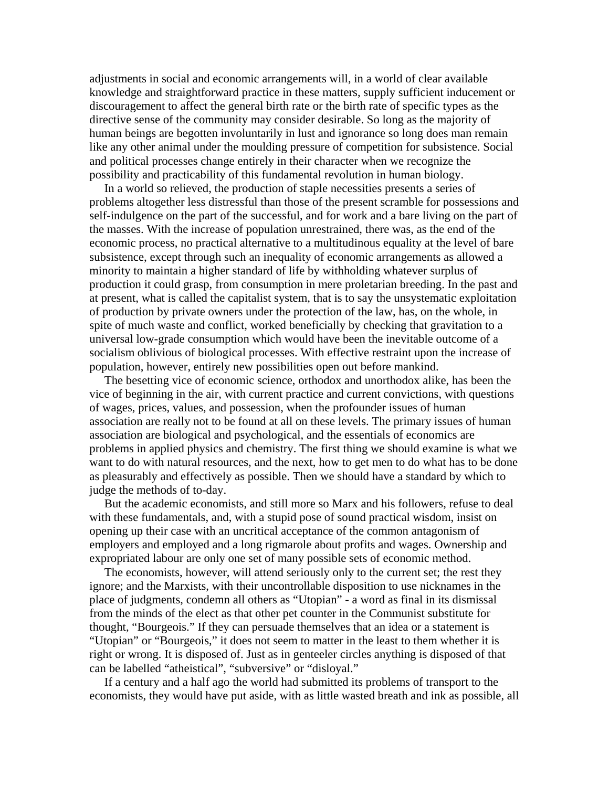adjustments in social and economic arrangements will, in a world of clear available knowledge and straightforward practice in these matters, supply sufficient inducement or discouragement to affect the general birth rate or the birth rate of specific types as the directive sense of the community may consider desirable. So long as the majority of human beings are begotten involuntarily in lust and ignorance so long does man remain like any other animal under the moulding pressure of competition for subsistence. Social and political processes change entirely in their character when we recognize the possibility and practicability of this fundamental revolution in human biology.

 In a world so relieved, the production of staple necessities presents a series of problems altogether less distressful than those of the present scramble for possessions and self-indulgence on the part of the successful, and for work and a bare living on the part of the masses. With the increase of population unrestrained, there was, as the end of the economic process, no practical alternative to a multitudinous equality at the level of bare subsistence, except through such an inequality of economic arrangements as allowed a minority to maintain a higher standard of life by withholding whatever surplus of production it could grasp, from consumption in mere proletarian breeding. In the past and at present, what is called the capitalist system, that is to say the unsystematic exploitation of production by private owners under the protection of the law, has, on the whole, in spite of much waste and conflict, worked beneficially by checking that gravitation to a universal low-grade consumption which would have been the inevitable outcome of a socialism oblivious of biological processes. With effective restraint upon the increase of population, however, entirely new possibilities open out before mankind.

 The besetting vice of economic science, orthodox and unorthodox alike, has been the vice of beginning in the air, with current practice and current convictions, with questions of wages, prices, values, and possession, when the profounder issues of human association are really not to be found at all on these levels. The primary issues of human association are biological and psychological, and the essentials of economics are problems in applied physics and chemistry. The first thing we should examine is what we want to do with natural resources, and the next, how to get men to do what has to be done as pleasurably and effectively as possible. Then we should have a standard by which to judge the methods of to-day.

 But the academic economists, and still more so Marx and his followers, refuse to deal with these fundamentals, and, with a stupid pose of sound practical wisdom, insist on opening up their case with an uncritical acceptance of the common antagonism of employers and employed and a long rigmarole about profits and wages. Ownership and expropriated labour are only one set of many possible sets of economic method.

 The economists, however, will attend seriously only to the current set; the rest they ignore; and the Marxists, with their uncontrollable disposition to use nicknames in the place of judgments, condemn all others as "Utopian" - a word as final in its dismissal from the minds of the elect as that other pet counter in the Communist substitute for thought, "Bourgeois." If they can persuade themselves that an idea or a statement is "Utopian" or "Bourgeois," it does not seem to matter in the least to them whether it is right or wrong. It is disposed of. Just as in genteeler circles anything is disposed of that can be labelled "atheistical", "subversive" or "disloyal."

 If a century and a half ago the world had submitted its problems of transport to the economists, they would have put aside, with as little wasted breath and ink as possible, all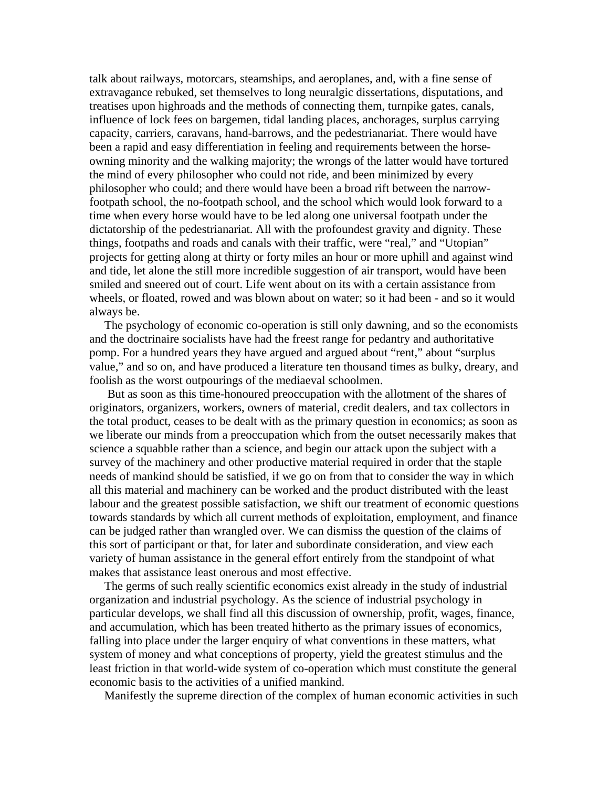talk about railways, motorcars, steamships, and aeroplanes, and, with a fine sense of extravagance rebuked, set themselves to long neuralgic dissertations, disputations, and treatises upon highroads and the methods of connecting them, turnpike gates, canals, influence of lock fees on bargemen, tidal landing places, anchorages, surplus carrying capacity, carriers, caravans, hand-barrows, and the pedestrianariat. There would have been a rapid and easy differentiation in feeling and requirements between the horseowning minority and the walking majority; the wrongs of the latter would have tortured the mind of every philosopher who could not ride, and been minimized by every philosopher who could; and there would have been a broad rift between the narrowfootpath school, the no-footpath school, and the school which would look forward to a time when every horse would have to be led along one universal footpath under the dictatorship of the pedestrianariat. All with the profoundest gravity and dignity. These things, footpaths and roads and canals with their traffic, were "real," and "Utopian" projects for getting along at thirty or forty miles an hour or more uphill and against wind and tide, let alone the still more incredible suggestion of air transport, would have been smiled and sneered out of court. Life went about on its with a certain assistance from wheels, or floated, rowed and was blown about on water; so it had been - and so it would always be.

 The psychology of economic co-operation is still only dawning, and so the economists and the doctrinaire socialists have had the freest range for pedantry and authoritative pomp. For a hundred years they have argued and argued about "rent," about "surplus value," and so on, and have produced a literature ten thousand times as bulky, dreary, and foolish as the worst outpourings of the mediaeval schoolmen.

 But as soon as this time-honoured preoccupation with the allotment of the shares of originators, organizers, workers, owners of material, credit dealers, and tax collectors in the total product, ceases to be dealt with as the primary question in economics; as soon as we liberate our minds from a preoccupation which from the outset necessarily makes that science a squabble rather than a science, and begin our attack upon the subject with a survey of the machinery and other productive material required in order that the staple needs of mankind should be satisfied, if we go on from that to consider the way in which all this material and machinery can be worked and the product distributed with the least labour and the greatest possible satisfaction, we shift our treatment of economic questions towards standards by which all current methods of exploitation, employment, and finance can be judged rather than wrangled over. We can dismiss the question of the claims of this sort of participant or that, for later and subordinate consideration, and view each variety of human assistance in the general effort entirely from the standpoint of what makes that assistance least onerous and most effective.

 The germs of such really scientific economics exist already in the study of industrial organization and industrial psychology. As the science of industrial psychology in particular develops, we shall find all this discussion of ownership, profit, wages, finance, and accumulation, which has been treated hitherto as the primary issues of economics, falling into place under the larger enquiry of what conventions in these matters, what system of money and what conceptions of property, yield the greatest stimulus and the least friction in that world-wide system of co-operation which must constitute the general economic basis to the activities of a unified mankind.

Manifestly the supreme direction of the complex of human economic activities in such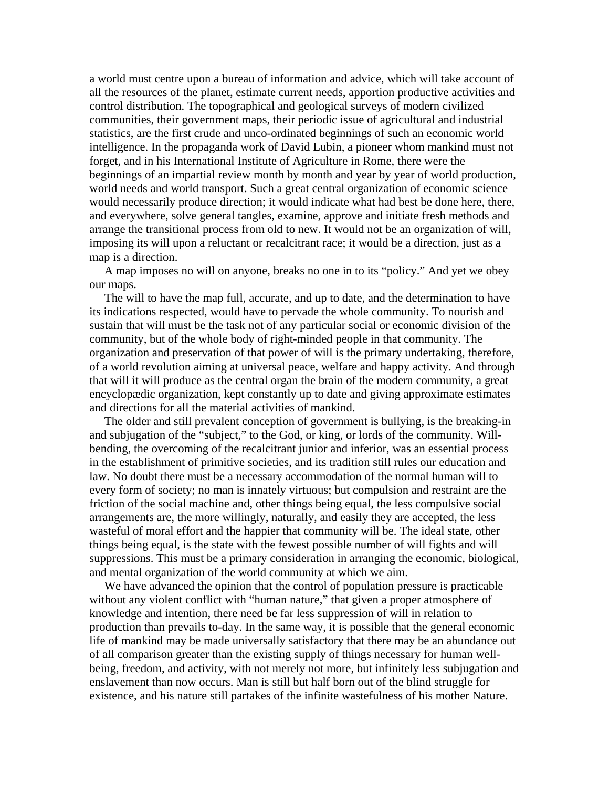a world must centre upon a bureau of information and advice, which will take account of all the resources of the planet, estimate current needs, apportion productive activities and control distribution. The topographical and geological surveys of modern civilized communities, their government maps, their periodic issue of agricultural and industrial statistics, are the first crude and unco-ordinated beginnings of such an economic world intelligence. In the propaganda work of David Lubin, a pioneer whom mankind must not forget, and in his International Institute of Agriculture in Rome, there were the beginnings of an impartial review month by month and year by year of world production, world needs and world transport. Such a great central organization of economic science would necessarily produce direction; it would indicate what had best be done here, there, and everywhere, solve general tangles, examine, approve and initiate fresh methods and arrange the transitional process from old to new. It would not be an organization of will, imposing its will upon a reluctant or recalcitrant race; it would be a direction, just as a map is a direction.

 A map imposes no will on anyone, breaks no one in to its "policy." And yet we obey our maps.

 The will to have the map full, accurate, and up to date, and the determination to have its indications respected, would have to pervade the whole community. To nourish and sustain that will must be the task not of any particular social or economic division of the community, but of the whole body of right-minded people in that community. The organization and preservation of that power of will is the primary undertaking, therefore, of a world revolution aiming at universal peace, welfare and happy activity. And through that will it will produce as the central organ the brain of the modern community, a great encyclopædic organization, kept constantly up to date and giving approximate estimates and directions for all the material activities of mankind.

 The older and still prevalent conception of government is bullying, is the breaking-in and subjugation of the "subject," to the God, or king, or lords of the community. Willbending, the overcoming of the recalcitrant junior and inferior, was an essential process in the establishment of primitive societies, and its tradition still rules our education and law. No doubt there must be a necessary accommodation of the normal human will to every form of society; no man is innately virtuous; but compulsion and restraint are the friction of the social machine and, other things being equal, the less compulsive social arrangements are, the more willingly, naturally, and easily they are accepted, the less wasteful of moral effort and the happier that community will be. The ideal state, other things being equal, is the state with the fewest possible number of will fights and will suppressions. This must be a primary consideration in arranging the economic, biological, and mental organization of the world community at which we aim.

 We have advanced the opinion that the control of population pressure is practicable without any violent conflict with "human nature," that given a proper atmosphere of knowledge and intention, there need be far less suppression of will in relation to production than prevails to-day. In the same way, it is possible that the general economic life of mankind may be made universally satisfactory that there may be an abundance out of all comparison greater than the existing supply of things necessary for human wellbeing, freedom, and activity, with not merely not more, but infinitely less subjugation and enslavement than now occurs. Man is still but half born out of the blind struggle for existence, and his nature still partakes of the infinite wastefulness of his mother Nature.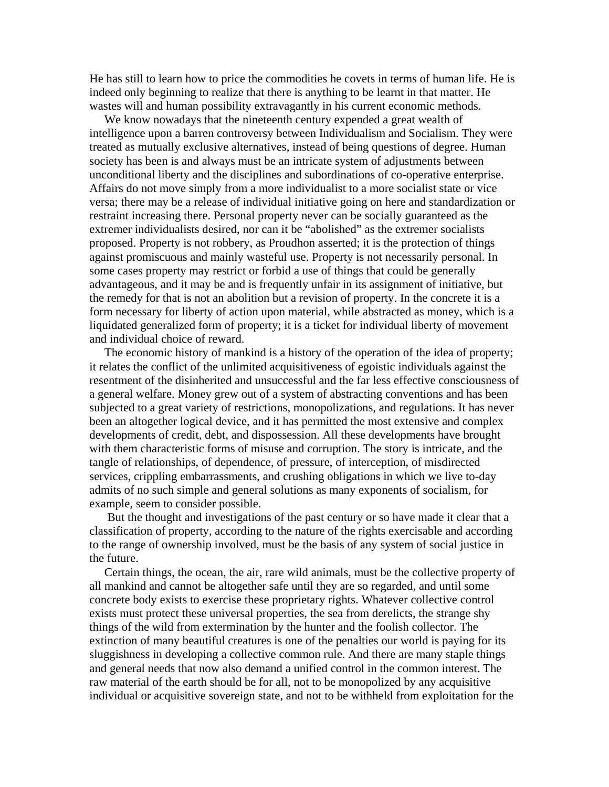He has still to learn how to price the commodities he covets in terms of human life. He is indeed only beginning to realize that there is anything to be learnt in that matter. He wastes will and human possibility extravagantly in his current economic methods.

 We know nowadays that the nineteenth century expended a great wealth of intelligence upon a barren controversy between Individualism and Socialism. They were treated as mutually exclusive alternatives, instead of being questions of degree. Human society has been is and always must be an intricate system of adjustments between unconditional liberty and the disciplines and subordinations of co-operative enterprise. Affairs do not move simply from a more individualist to a more socialist state or vice versa; there may be a release of individual initiative going on here and standardization or restraint increasing there. Personal property never can be socially guaranteed as the extremer individualists desired, nor can it be "abolished" as the extremer socialists proposed. Property is not robbery, as Proudhon asserted; it is the protection of things against promiscuous and mainly wasteful use. Property is not necessarily personal. In some cases property may restrict or forbid a use of things that could be generally advantageous, and it may be and is frequently unfair in its assignment of initiative, but the remedy for that is not an abolition but a revision of property. In the concrete it is a form necessary for liberty of action upon material, while abstracted as money, which is a liquidated generalized form of property; it is a ticket for individual liberty of movement and individual choice of reward.

 The economic history of mankind is a history of the operation of the idea of property; it relates the conflict of the unlimited acquisitiveness of egoistic individuals against the resentment of the disinherited and unsuccessful and the far less effective consciousness of a general welfare. Money grew out of a system of abstracting conventions and has been subjected to a great variety of restrictions, monopolizations, and regulations. It has never been an altogether logical device, and it has permitted the most extensive and complex developments of credit, debt, and dispossession. All these developments have brought with them characteristic forms of misuse and corruption. The story is intricate, and the tangle of relationships, of dependence, of pressure, of interception, of misdirected services, crippling embarrassments, and crushing obligations in which we live to-day admits of no such simple and general solutions as many exponents of socialism, for example, seem to consider possible.

 But the thought and investigations of the past century or so have made it clear that a classification of property, according to the nature of the rights exercisable and according to the range of ownership involved, must be the basis of any system of social justice in the future.

 Certain things, the ocean, the air, rare wild animals, must be the collective property of all mankind and cannot be altogether safe until they are so regarded, and until some concrete body exists to exercise these proprietary rights. Whatever collective control exists must protect these universal properties, the sea from derelicts, the strange shy things of the wild from extermination by the hunter and the foolish collector. The extinction of many beautiful creatures is one of the penalties our world is paying for its sluggishness in developing a collective common rule. And there are many staple things and general needs that now also demand a unified control in the common interest. The raw material of the earth should be for all, not to be monopolized by any acquisitive individual or acquisitive sovereign state, and not to be withheld from exploitation for the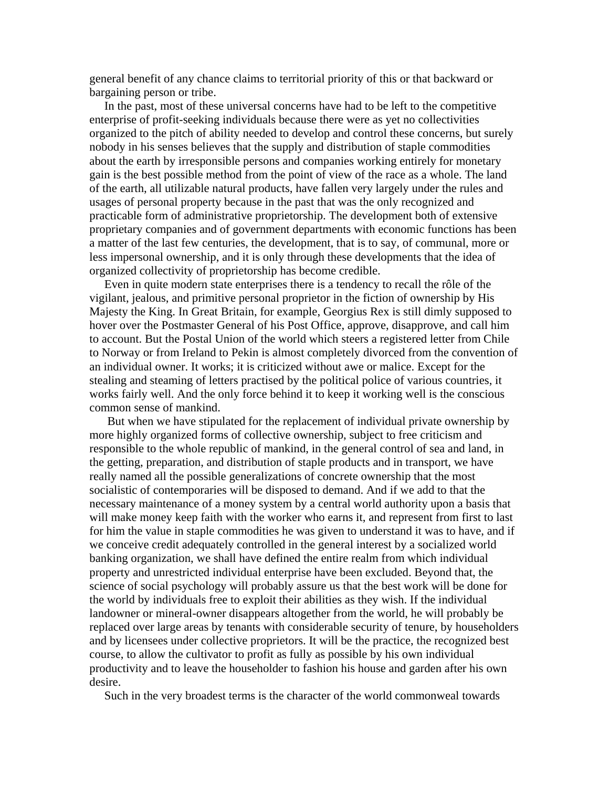general benefit of any chance claims to territorial priority of this or that backward or bargaining person or tribe.

 In the past, most of these universal concerns have had to be left to the competitive enterprise of profit-seeking individuals because there were as yet no collectivities organized to the pitch of ability needed to develop and control these concerns, but surely nobody in his senses believes that the supply and distribution of staple commodities about the earth by irresponsible persons and companies working entirely for monetary gain is the best possible method from the point of view of the race as a whole. The land of the earth, all utilizable natural products, have fallen very largely under the rules and usages of personal property because in the past that was the only recognized and practicable form of administrative proprietorship. The development both of extensive proprietary companies and of government departments with economic functions has been a matter of the last few centuries, the development, that is to say, of communal, more or less impersonal ownership, and it is only through these developments that the idea of organized collectivity of proprietorship has become credible.

 Even in quite modern state enterprises there is a tendency to recall the rôle of the vigilant, jealous, and primitive personal proprietor in the fiction of ownership by His Majesty the King. In Great Britain, for example, Georgius Rex is still dimly supposed to hover over the Postmaster General of his Post Office, approve, disapprove, and call him to account. But the Postal Union of the world which steers a registered letter from Chile to Norway or from Ireland to Pekin is almost completely divorced from the convention of an individual owner. It works; it is criticized without awe or malice. Except for the stealing and steaming of letters practised by the political police of various countries, it works fairly well. And the only force behind it to keep it working well is the conscious common sense of mankind.

 But when we have stipulated for the replacement of individual private ownership by more highly organized forms of collective ownership, subject to free criticism and responsible to the whole republic of mankind, in the general control of sea and land, in the getting, preparation, and distribution of staple products and in transport, we have really named all the possible generalizations of concrete ownership that the most socialistic of contemporaries will be disposed to demand. And if we add to that the necessary maintenance of a money system by a central world authority upon a basis that will make money keep faith with the worker who earns it, and represent from first to last for him the value in staple commodities he was given to understand it was to have, and if we conceive credit adequately controlled in the general interest by a socialized world banking organization, we shall have defined the entire realm from which individual property and unrestricted individual enterprise have been excluded. Beyond that, the science of social psychology will probably assure us that the best work will be done for the world by individuals free to exploit their abilities as they wish. If the individual landowner or mineral-owner disappears altogether from the world, he will probably be replaced over large areas by tenants with considerable security of tenure, by householders and by licensees under collective proprietors. It will be the practice, the recognized best course, to allow the cultivator to profit as fully as possible by his own individual productivity and to leave the householder to fashion his house and garden after his own desire.

Such in the very broadest terms is the character of the world commonweal towards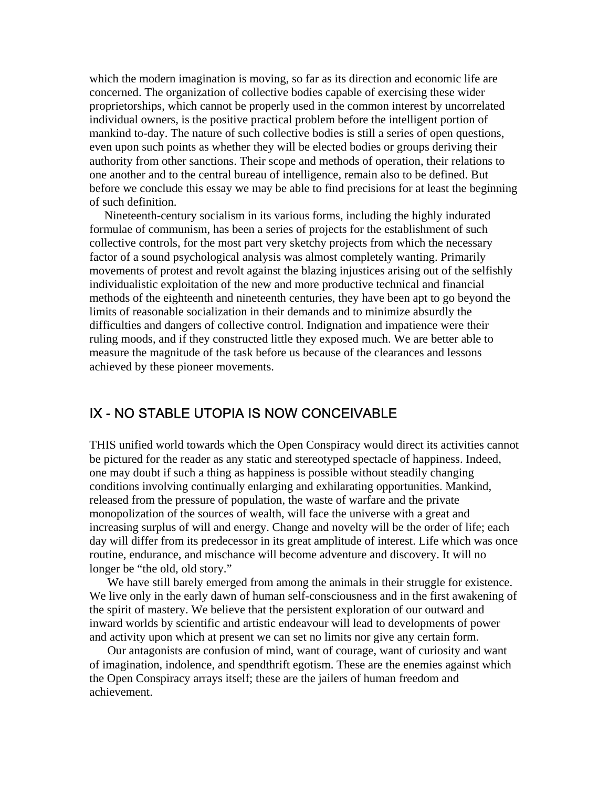which the modern imagination is moving, so far as its direction and economic life are concerned. The organization of collective bodies capable of exercising these wider proprietorships, which cannot be properly used in the common interest by uncorrelated individual owners, is the positive practical problem before the intelligent portion of mankind to-day. The nature of such collective bodies is still a series of open questions, even upon such points as whether they will be elected bodies or groups deriving their authority from other sanctions. Their scope and methods of operation, their relations to one another and to the central bureau of intelligence, remain also to be defined. But before we conclude this essay we may be able to find precisions for at least the beginning of such definition.

 Nineteenth-century socialism in its various forms, including the highly indurated formulae of communism, has been a series of projects for the establishment of such collective controls, for the most part very sketchy projects from which the necessary factor of a sound psychological analysis was almost completely wanting. Primarily movements of protest and revolt against the blazing injustices arising out of the selfishly individualistic exploitation of the new and more productive technical and financial methods of the eighteenth and nineteenth centuries, they have been apt to go beyond the limits of reasonable socialization in their demands and to minimize absurdly the difficulties and dangers of collective control. Indignation and impatience were their ruling moods, and if they constructed little they exposed much. We are better able to measure the magnitude of the task before us because of the clearances and lessons achieved by these pioneer movements.

### IX - NO STABLE UTOPIA IS NOW CONCEIVABLE

THIS unified world towards which the Open Conspiracy would direct its activities cannot be pictured for the reader as any static and stereotyped spectacle of happiness. Indeed, one may doubt if such a thing as happiness is possible without steadily changing conditions involving continually enlarging and exhilarating opportunities. Mankind, released from the pressure of population, the waste of warfare and the private monopolization of the sources of wealth, will face the universe with a great and increasing surplus of will and energy. Change and novelty will be the order of life; each day will differ from its predecessor in its great amplitude of interest. Life which was once routine, endurance, and mischance will become adventure and discovery. It will no longer be "the old, old story."

 We have still barely emerged from among the animals in their struggle for existence. We live only in the early dawn of human self-consciousness and in the first awakening of the spirit of mastery. We believe that the persistent exploration of our outward and inward worlds by scientific and artistic endeavour will lead to developments of power and activity upon which at present we can set no limits nor give any certain form.

 Our antagonists are confusion of mind, want of courage, want of curiosity and want of imagination, indolence, and spendthrift egotism. These are the enemies against which the Open Conspiracy arrays itself; these are the jailers of human freedom and achievement.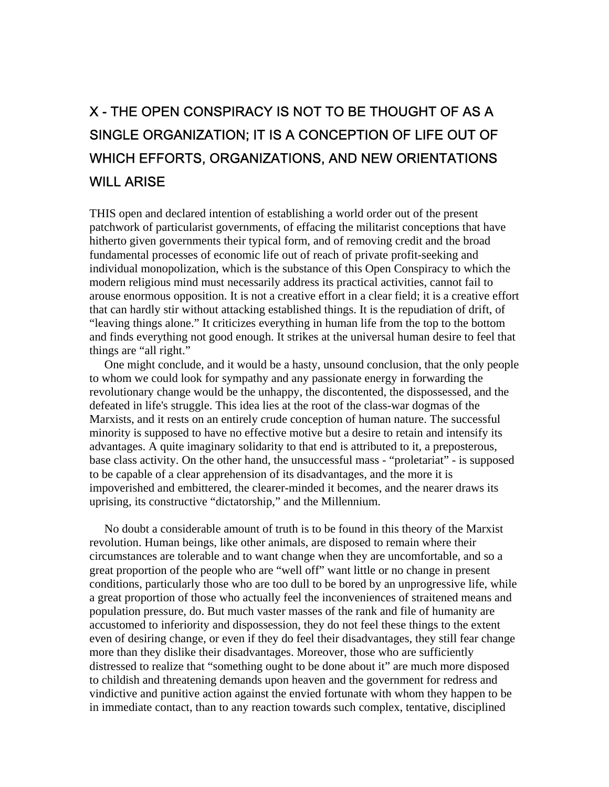# X - THE OPEN CONSPIRACY IS NOT TO BE THOUGHT OF AS A SINGLE ORGANIZATION; IT IS A CONCEPTION OF LIFE OUT OF WHICH EFFORTS, ORGANIZATIONS, AND NEW ORIENTATIONS WILL ARISE

THIS open and declared intention of establishing a world order out of the present patchwork of particularist governments, of effacing the militarist conceptions that have hitherto given governments their typical form, and of removing credit and the broad fundamental processes of economic life out of reach of private profit-seeking and individual monopolization, which is the substance of this Open Conspiracy to which the modern religious mind must necessarily address its practical activities, cannot fail to arouse enormous opposition. It is not a creative effort in a clear field; it is a creative effort that can hardly stir without attacking established things. It is the repudiation of drift, of "leaving things alone." It criticizes everything in human life from the top to the bottom and finds everything not good enough. It strikes at the universal human desire to feel that things are "all right."

 One might conclude, and it would be a hasty, unsound conclusion, that the only people to whom we could look for sympathy and any passionate energy in forwarding the revolutionary change would be the unhappy, the discontented, the dispossessed, and the defeated in life's struggle. This idea lies at the root of the class-war dogmas of the Marxists, and it rests on an entirely crude conception of human nature. The successful minority is supposed to have no effective motive but a desire to retain and intensify its advantages. A quite imaginary solidarity to that end is attributed to it, a preposterous, base class activity. On the other hand, the unsuccessful mass - "proletariat" - is supposed to be capable of a clear apprehension of its disadvantages, and the more it is impoverished and embittered, the clearer-minded it becomes, and the nearer draws its uprising, its constructive "dictatorship," and the Millennium.

 No doubt a considerable amount of truth is to be found in this theory of the Marxist revolution. Human beings, like other animals, are disposed to remain where their circumstances are tolerable and to want change when they are uncomfortable, and so a great proportion of the people who are "well off" want little or no change in present conditions, particularly those who are too dull to be bored by an unprogressive life, while a great proportion of those who actually feel the inconveniences of straitened means and population pressure, do. But much vaster masses of the rank and file of humanity are accustomed to inferiority and dispossession, they do not feel these things to the extent even of desiring change, or even if they do feel their disadvantages, they still fear change more than they dislike their disadvantages. Moreover, those who are sufficiently distressed to realize that "something ought to be done about it" are much more disposed to childish and threatening demands upon heaven and the government for redress and vindictive and punitive action against the envied fortunate with whom they happen to be in immediate contact, than to any reaction towards such complex, tentative, disciplined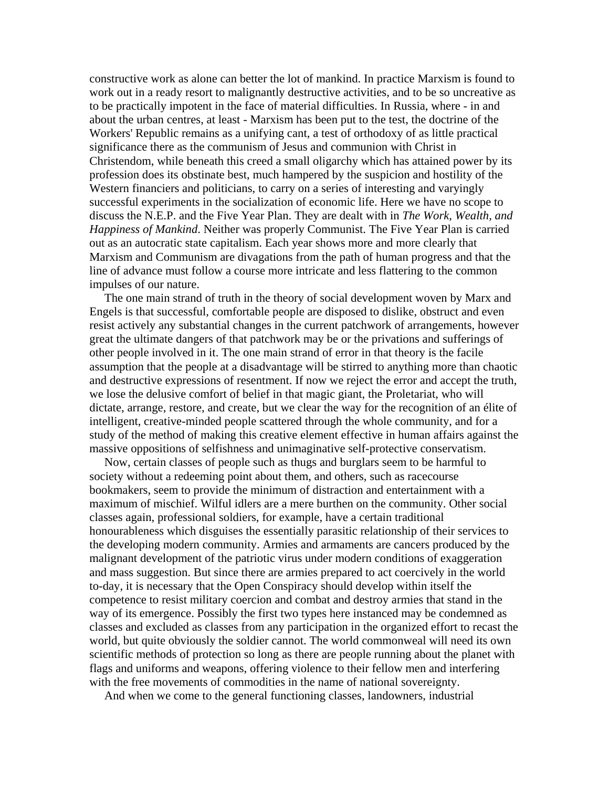constructive work as alone can better the lot of mankind. In practice Marxism is found to work out in a ready resort to malignantly destructive activities, and to be so uncreative as to be practically impotent in the face of material difficulties. In Russia, where - in and about the urban centres, at least - Marxism has been put to the test, the doctrine of the Workers' Republic remains as a unifying cant, a test of orthodoxy of as little practical significance there as the communism of Jesus and communion with Christ in Christendom, while beneath this creed a small oligarchy which has attained power by its profession does its obstinate best, much hampered by the suspicion and hostility of the Western financiers and politicians, to carry on a series of interesting and varyingly successful experiments in the socialization of economic life. Here we have no scope to discuss the N.E.P. and the Five Year Plan. They are dealt with in *The Work, Wealth, and Happiness of Mankind*. Neither was properly Communist. The Five Year Plan is carried out as an autocratic state capitalism. Each year shows more and more clearly that Marxism and Communism are divagations from the path of human progress and that the line of advance must follow a course more intricate and less flattering to the common impulses of our nature.

 The one main strand of truth in the theory of social development woven by Marx and Engels is that successful, comfortable people are disposed to dislike, obstruct and even resist actively any substantial changes in the current patchwork of arrangements, however great the ultimate dangers of that patchwork may be or the privations and sufferings of other people involved in it. The one main strand of error in that theory is the facile assumption that the people at a disadvantage will be stirred to anything more than chaotic and destructive expressions of resentment. If now we reject the error and accept the truth, we lose the delusive comfort of belief in that magic giant, the Proletariat, who will dictate, arrange, restore, and create, but we clear the way for the recognition of an élite of intelligent, creative-minded people scattered through the whole community, and for a study of the method of making this creative element effective in human affairs against the massive oppositions of selfishness and unimaginative self-protective conservatism.

 Now, certain classes of people such as thugs and burglars seem to be harmful to society without a redeeming point about them, and others, such as racecourse bookmakers, seem to provide the minimum of distraction and entertainment with a maximum of mischief. Wilful idlers are a mere burthen on the community. Other social classes again, professional soldiers, for example, have a certain traditional honourableness which disguises the essentially parasitic relationship of their services to the developing modern community. Armies and armaments are cancers produced by the malignant development of the patriotic virus under modern conditions of exaggeration and mass suggestion. But since there are armies prepared to act coercively in the world to-day, it is necessary that the Open Conspiracy should develop within itself the competence to resist military coercion and combat and destroy armies that stand in the way of its emergence. Possibly the first two types here instanced may be condemned as classes and excluded as classes from any participation in the organized effort to recast the world, but quite obviously the soldier cannot. The world commonweal will need its own scientific methods of protection so long as there are people running about the planet with flags and uniforms and weapons, offering violence to their fellow men and interfering with the free movements of commodities in the name of national sovereignty.

And when we come to the general functioning classes, landowners, industrial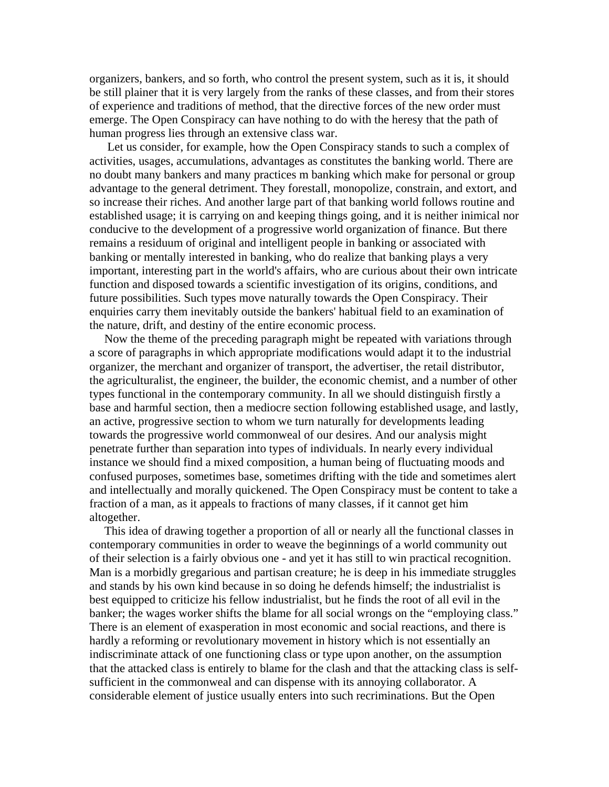organizers, bankers, and so forth, who control the present system, such as it is, it should be still plainer that it is very largely from the ranks of these classes, and from their stores of experience and traditions of method, that the directive forces of the new order must emerge. The Open Conspiracy can have nothing to do with the heresy that the path of human progress lies through an extensive class war.

 Let us consider, for example, how the Open Conspiracy stands to such a complex of activities, usages, accumulations, advantages as constitutes the banking world. There are no doubt many bankers and many practices m banking which make for personal or group advantage to the general detriment. They forestall, monopolize, constrain, and extort, and so increase their riches. And another large part of that banking world follows routine and established usage; it is carrying on and keeping things going, and it is neither inimical nor conducive to the development of a progressive world organization of finance. But there remains a residuum of original and intelligent people in banking or associated with banking or mentally interested in banking, who do realize that banking plays a very important, interesting part in the world's affairs, who are curious about their own intricate function and disposed towards a scientific investigation of its origins, conditions, and future possibilities. Such types move naturally towards the Open Conspiracy. Their enquiries carry them inevitably outside the bankers' habitual field to an examination of the nature, drift, and destiny of the entire economic process.

 Now the theme of the preceding paragraph might be repeated with variations through a score of paragraphs in which appropriate modifications would adapt it to the industrial organizer, the merchant and organizer of transport, the advertiser, the retail distributor, the agriculturalist, the engineer, the builder, the economic chemist, and a number of other types functional in the contemporary community. In all we should distinguish firstly a base and harmful section, then a mediocre section following established usage, and lastly, an active, progressive section to whom we turn naturally for developments leading towards the progressive world commonweal of our desires. And our analysis might penetrate further than separation into types of individuals. In nearly every individual instance we should find a mixed composition, a human being of fluctuating moods and confused purposes, sometimes base, sometimes drifting with the tide and sometimes alert and intellectually and morally quickened. The Open Conspiracy must be content to take a fraction of a man, as it appeals to fractions of many classes, if it cannot get him altogether.

 This idea of drawing together a proportion of all or nearly all the functional classes in contemporary communities in order to weave the beginnings of a world community out of their selection is a fairly obvious one - and yet it has still to win practical recognition. Man is a morbidly gregarious and partisan creature; he is deep in his immediate struggles and stands by his own kind because in so doing he defends himself; the industrialist is best equipped to criticize his fellow industrialist, but he finds the root of all evil in the banker; the wages worker shifts the blame for all social wrongs on the "employing class." There is an element of exasperation in most economic and social reactions, and there is hardly a reforming or revolutionary movement in history which is not essentially an indiscriminate attack of one functioning class or type upon another, on the assumption that the attacked class is entirely to blame for the clash and that the attacking class is selfsufficient in the commonweal and can dispense with its annoying collaborator. A considerable element of justice usually enters into such recriminations. But the Open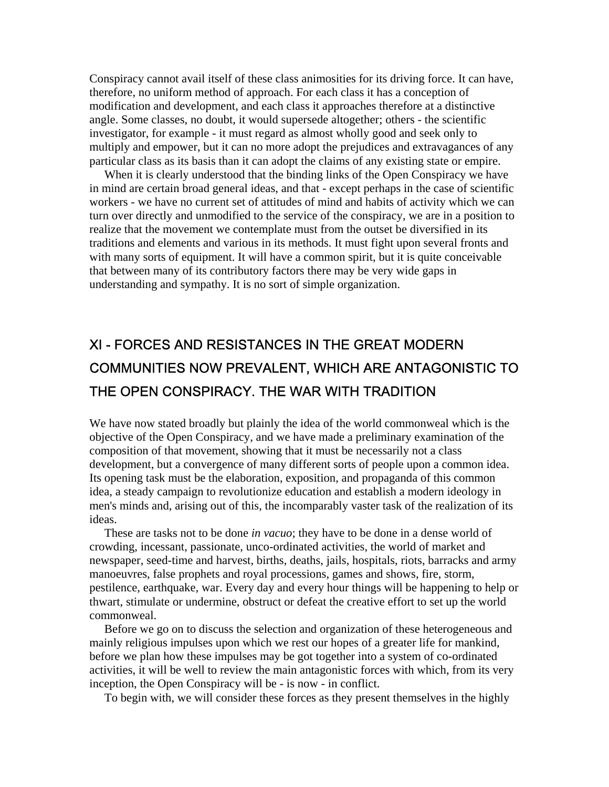Conspiracy cannot avail itself of these class animosities for its driving force. It can have, therefore, no uniform method of approach. For each class it has a conception of modification and development, and each class it approaches therefore at a distinctive angle. Some classes, no doubt, it would supersede altogether; others - the scientific investigator, for example - it must regard as almost wholly good and seek only to multiply and empower, but it can no more adopt the prejudices and extravagances of any particular class as its basis than it can adopt the claims of any existing state or empire.

 When it is clearly understood that the binding links of the Open Conspiracy we have in mind are certain broad general ideas, and that - except perhaps in the case of scientific workers - we have no current set of attitudes of mind and habits of activity which we can turn over directly and unmodified to the service of the conspiracy, we are in a position to realize that the movement we contemplate must from the outset be diversified in its traditions and elements and various in its methods. It must fight upon several fronts and with many sorts of equipment. It will have a common spirit, but it is quite conceivable that between many of its contributory factors there may be very wide gaps in understanding and sympathy. It is no sort of simple organization.

## XI - FORCES AND RESISTANCES IN THE GREAT MODERN COMMUNITIES NOW PREVALENT, WHICH ARE ANTAGONISTIC TO THE OPEN CONSPIRACY. THE WAR WITH TRADITION

We have now stated broadly but plainly the idea of the world commonweal which is the objective of the Open Conspiracy, and we have made a preliminary examination of the composition of that movement, showing that it must be necessarily not a class development, but a convergence of many different sorts of people upon a common idea. Its opening task must be the elaboration, exposition, and propaganda of this common idea, a steady campaign to revolutionize education and establish a modern ideology in men's minds and, arising out of this, the incomparably vaster task of the realization of its ideas.

 These are tasks not to be done *in vacuo*; they have to be done in a dense world of crowding, incessant, passionate, unco-ordinated activities, the world of market and newspaper, seed-time and harvest, births, deaths, jails, hospitals, riots, barracks and army manoeuvres, false prophets and royal processions, games and shows, fire, storm, pestilence, earthquake, war. Every day and every hour things will be happening to help or thwart, stimulate or undermine, obstruct or defeat the creative effort to set up the world commonweal.

 Before we go on to discuss the selection and organization of these heterogeneous and mainly religious impulses upon which we rest our hopes of a greater life for mankind, before we plan how these impulses may be got together into a system of co-ordinated activities, it will be well to review the main antagonistic forces with which, from its very inception, the Open Conspiracy will be - is now - in conflict.

To begin with, we will consider these forces as they present themselves in the highly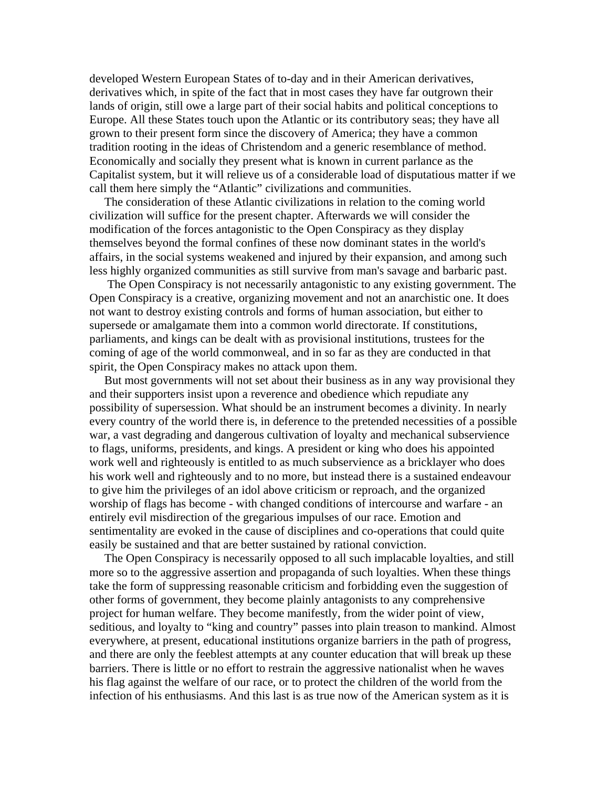developed Western European States of to-day and in their American derivatives, derivatives which, in spite of the fact that in most cases they have far outgrown their lands of origin, still owe a large part of their social habits and political conceptions to Europe. All these States touch upon the Atlantic or its contributory seas; they have all grown to their present form since the discovery of America; they have a common tradition rooting in the ideas of Christendom and a generic resemblance of method. Economically and socially they present what is known in current parlance as the Capitalist system, but it will relieve us of a considerable load of disputatious matter if we call them here simply the "Atlantic" civilizations and communities.

 The consideration of these Atlantic civilizations in relation to the coming world civilization will suffice for the present chapter. Afterwards we will consider the modification of the forces antagonistic to the Open Conspiracy as they display themselves beyond the formal confines of these now dominant states in the world's affairs, in the social systems weakened and injured by their expansion, and among such less highly organized communities as still survive from man's savage and barbaric past.

 The Open Conspiracy is not necessarily antagonistic to any existing government. The Open Conspiracy is a creative, organizing movement and not an anarchistic one. It does not want to destroy existing controls and forms of human association, but either to supersede or amalgamate them into a common world directorate. If constitutions, parliaments, and kings can be dealt with as provisional institutions, trustees for the coming of age of the world commonweal, and in so far as they are conducted in that spirit, the Open Conspiracy makes no attack upon them.

 But most governments will not set about their business as in any way provisional they and their supporters insist upon a reverence and obedience which repudiate any possibility of supersession. What should be an instrument becomes a divinity. In nearly every country of the world there is, in deference to the pretended necessities of a possible war, a vast degrading and dangerous cultivation of loyalty and mechanical subservience to flags, uniforms, presidents, and kings. A president or king who does his appointed work well and righteously is entitled to as much subservience as a bricklayer who does his work well and righteously and to no more, but instead there is a sustained endeavour to give him the privileges of an idol above criticism or reproach, and the organized worship of flags has become - with changed conditions of intercourse and warfare - an entirely evil misdirection of the gregarious impulses of our race. Emotion and sentimentality are evoked in the cause of disciplines and co-operations that could quite easily be sustained and that are better sustained by rational conviction.

 The Open Conspiracy is necessarily opposed to all such implacable loyalties, and still more so to the aggressive assertion and propaganda of such loyalties. When these things take the form of suppressing reasonable criticism and forbidding even the suggestion of other forms of government, they become plainly antagonists to any comprehensive project for human welfare. They become manifestly, from the wider point of view, seditious, and loyalty to "king and country" passes into plain treason to mankind. Almost everywhere, at present, educational institutions organize barriers in the path of progress, and there are only the feeblest attempts at any counter education that will break up these barriers. There is little or no effort to restrain the aggressive nationalist when he waves his flag against the welfare of our race, or to protect the children of the world from the infection of his enthusiasms. And this last is as true now of the American system as it is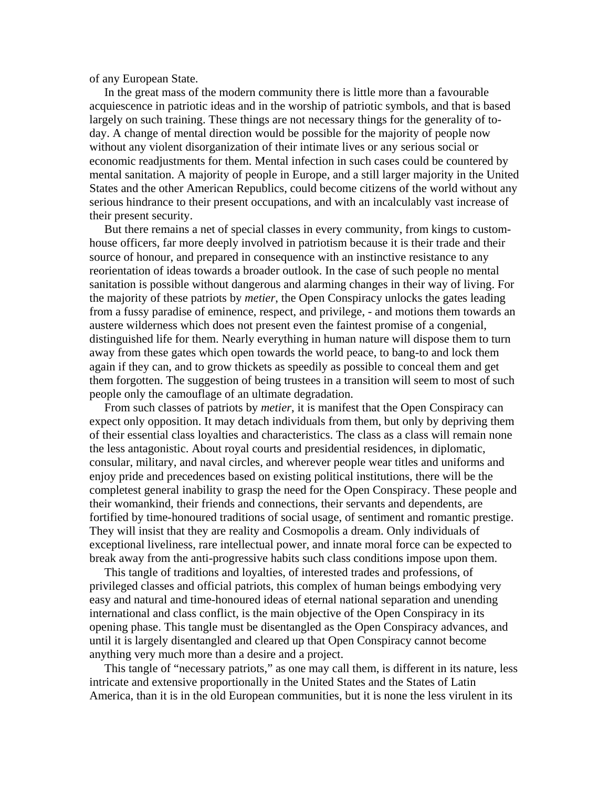of any European State.

 In the great mass of the modern community there is little more than a favourable acquiescence in patriotic ideas and in the worship of patriotic symbols, and that is based largely on such training. These things are not necessary things for the generality of today. A change of mental direction would be possible for the majority of people now without any violent disorganization of their intimate lives or any serious social or economic readjustments for them. Mental infection in such cases could be countered by mental sanitation. A majority of people in Europe, and a still larger majority in the United States and the other American Republics, could become citizens of the world without any serious hindrance to their present occupations, and with an incalculably vast increase of their present security.

 But there remains a net of special classes in every community, from kings to customhouse officers, far more deeply involved in patriotism because it is their trade and their source of honour, and prepared in consequence with an instinctive resistance to any reorientation of ideas towards a broader outlook. In the case of such people no mental sanitation is possible without dangerous and alarming changes in their way of living. For the majority of these patriots by *metier*, the Open Conspiracy unlocks the gates leading from a fussy paradise of eminence, respect, and privilege, - and motions them towards an austere wilderness which does not present even the faintest promise of a congenial, distinguished life for them. Nearly everything in human nature will dispose them to turn away from these gates which open towards the world peace, to bang-to and lock them again if they can, and to grow thickets as speedily as possible to conceal them and get them forgotten. The suggestion of being trustees in a transition will seem to most of such people only the camouflage of an ultimate degradation.

 From such classes of patriots by *metier*, it is manifest that the Open Conspiracy can expect only opposition. It may detach individuals from them, but only by depriving them of their essential class loyalties and characteristics. The class as a class will remain none the less antagonistic. About royal courts and presidential residences, in diplomatic, consular, military, and naval circles, and wherever people wear titles and uniforms and enjoy pride and precedences based on existing political institutions, there will be the completest general inability to grasp the need for the Open Conspiracy. These people and their womankind, their friends and connections, their servants and dependents, are fortified by time-honoured traditions of social usage, of sentiment and romantic prestige. They will insist that they are reality and Cosmopolis a dream. Only individuals of exceptional liveliness, rare intellectual power, and innate moral force can be expected to break away from the anti-progressive habits such class conditions impose upon them.

 This tangle of traditions and loyalties, of interested trades and professions, of privileged classes and official patriots, this complex of human beings embodying very easy and natural and time-honoured ideas of eternal national separation and unending international and class conflict, is the main objective of the Open Conspiracy in its opening phase. This tangle must be disentangled as the Open Conspiracy advances, and until it is largely disentangled and cleared up that Open Conspiracy cannot become anything very much more than a desire and a project.

 This tangle of "necessary patriots," as one may call them, is different in its nature, less intricate and extensive proportionally in the United States and the States of Latin America, than it is in the old European communities, but it is none the less virulent in its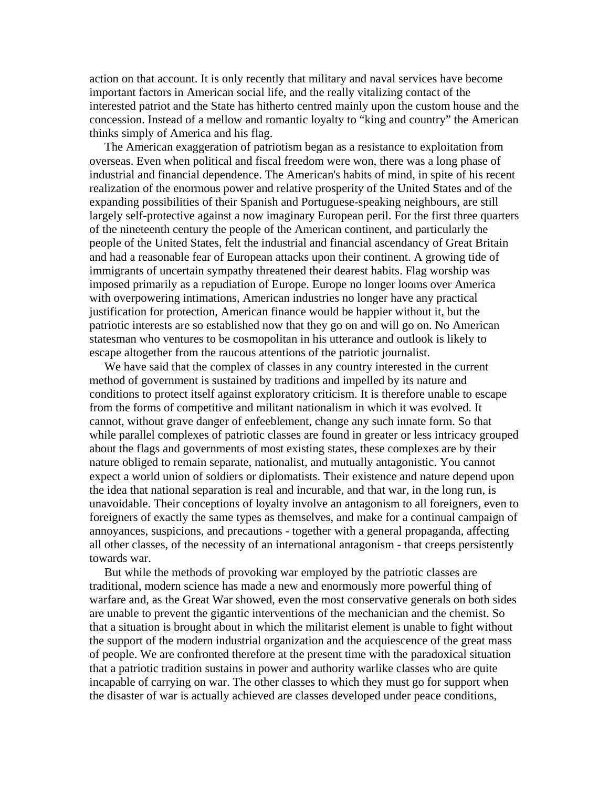action on that account. It is only recently that military and naval services have become important factors in American social life, and the really vitalizing contact of the interested patriot and the State has hitherto centred mainly upon the custom house and the concession. Instead of a mellow and romantic loyalty to "king and country" the American thinks simply of America and his flag.

 The American exaggeration of patriotism began as a resistance to exploitation from overseas. Even when political and fiscal freedom were won, there was a long phase of industrial and financial dependence. The American's habits of mind, in spite of his recent realization of the enormous power and relative prosperity of the United States and of the expanding possibilities of their Spanish and Portuguese-speaking neighbours, are still largely self-protective against a now imaginary European peril. For the first three quarters of the nineteenth century the people of the American continent, and particularly the people of the United States, felt the industrial and financial ascendancy of Great Britain and had a reasonable fear of European attacks upon their continent. A growing tide of immigrants of uncertain sympathy threatened their dearest habits. Flag worship was imposed primarily as a repudiation of Europe. Europe no longer looms over America with overpowering intimations, American industries no longer have any practical justification for protection, American finance would be happier without it, but the patriotic interests are so established now that they go on and will go on. No American statesman who ventures to be cosmopolitan in his utterance and outlook is likely to escape altogether from the raucous attentions of the patriotic journalist.

 We have said that the complex of classes in any country interested in the current method of government is sustained by traditions and impelled by its nature and conditions to protect itself against exploratory criticism. It is therefore unable to escape from the forms of competitive and militant nationalism in which it was evolved. It cannot, without grave danger of enfeeblement, change any such innate form. So that while parallel complexes of patriotic classes are found in greater or less intricacy grouped about the flags and governments of most existing states, these complexes are by their nature obliged to remain separate, nationalist, and mutually antagonistic. You cannot expect a world union of soldiers or diplomatists. Their existence and nature depend upon the idea that national separation is real and incurable, and that war, in the long run, is unavoidable. Their conceptions of loyalty involve an antagonism to all foreigners, even to foreigners of exactly the same types as themselves, and make for a continual campaign of annoyances, suspicions, and precautions - together with a general propaganda, affecting all other classes, of the necessity of an international antagonism - that creeps persistently towards war.

 But while the methods of provoking war employed by the patriotic classes are traditional, modern science has made a new and enormously more powerful thing of warfare and, as the Great War showed, even the most conservative generals on both sides are unable to prevent the gigantic interventions of the mechanician and the chemist. So that a situation is brought about in which the militarist element is unable to fight without the support of the modern industrial organization and the acquiescence of the great mass of people. We are confronted therefore at the present time with the paradoxical situation that a patriotic tradition sustains in power and authority warlike classes who are quite incapable of carrying on war. The other classes to which they must go for support when the disaster of war is actually achieved are classes developed under peace conditions,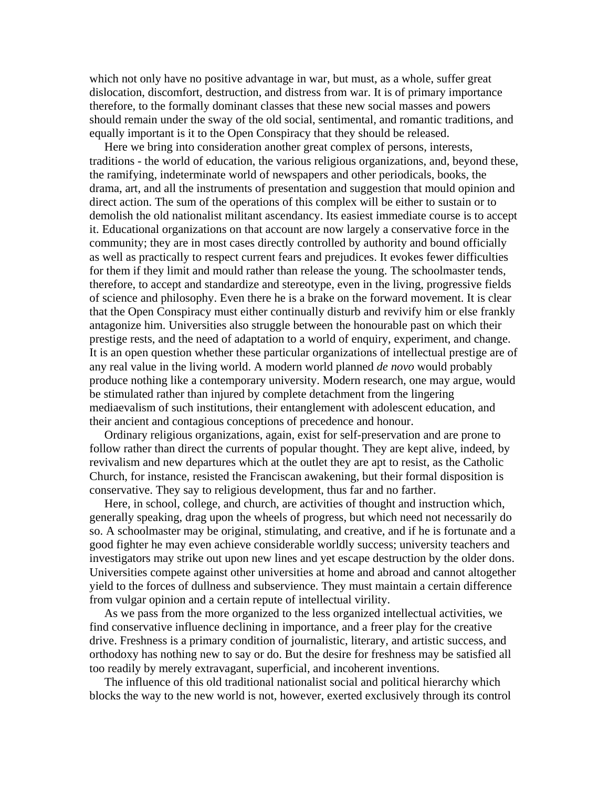which not only have no positive advantage in war, but must, as a whole, suffer great dislocation, discomfort, destruction, and distress from war. It is of primary importance therefore, to the formally dominant classes that these new social masses and powers should remain under the sway of the old social, sentimental, and romantic traditions, and equally important is it to the Open Conspiracy that they should be released.

 Here we bring into consideration another great complex of persons, interests, traditions - the world of education, the various religious organizations, and, beyond these, the ramifying, indeterminate world of newspapers and other periodicals, books, the drama, art, and all the instruments of presentation and suggestion that mould opinion and direct action. The sum of the operations of this complex will be either to sustain or to demolish the old nationalist militant ascendancy. Its easiest immediate course is to accept it. Educational organizations on that account are now largely a conservative force in the community; they are in most cases directly controlled by authority and bound officially as well as practically to respect current fears and prejudices. It evokes fewer difficulties for them if they limit and mould rather than release the young. The schoolmaster tends, therefore, to accept and standardize and stereotype, even in the living, progressive fields of science and philosophy. Even there he is a brake on the forward movement. It is clear that the Open Conspiracy must either continually disturb and revivify him or else frankly antagonize him. Universities also struggle between the honourable past on which their prestige rests, and the need of adaptation to a world of enquiry, experiment, and change. It is an open question whether these particular organizations of intellectual prestige are of any real value in the living world. A modern world planned *de novo* would probably produce nothing like a contemporary university. Modern research, one may argue, would be stimulated rather than injured by complete detachment from the lingering mediaevalism of such institutions, their entanglement with adolescent education, and their ancient and contagious conceptions of precedence and honour.

 Ordinary religious organizations, again, exist for self-preservation and are prone to follow rather than direct the currents of popular thought. They are kept alive, indeed, by revivalism and new departures which at the outlet they are apt to resist, as the Catholic Church, for instance, resisted the Franciscan awakening, but their formal disposition is conservative. They say to religious development, thus far and no farther.

 Here, in school, college, and church, are activities of thought and instruction which, generally speaking, drag upon the wheels of progress, but which need not necessarily do so. A schoolmaster may be original, stimulating, and creative, and if he is fortunate and a good fighter he may even achieve considerable worldly success; university teachers and investigators may strike out upon new lines and yet escape destruction by the older dons. Universities compete against other universities at home and abroad and cannot altogether yield to the forces of dullness and subservience. They must maintain a certain difference from vulgar opinion and a certain repute of intellectual virility.

 As we pass from the more organized to the less organized intellectual activities, we find conservative influence declining in importance, and a freer play for the creative drive. Freshness is a primary condition of journalistic, literary, and artistic success, and orthodoxy has nothing new to say or do. But the desire for freshness may be satisfied all too readily by merely extravagant, superficial, and incoherent inventions.

 The influence of this old traditional nationalist social and political hierarchy which blocks the way to the new world is not, however, exerted exclusively through its control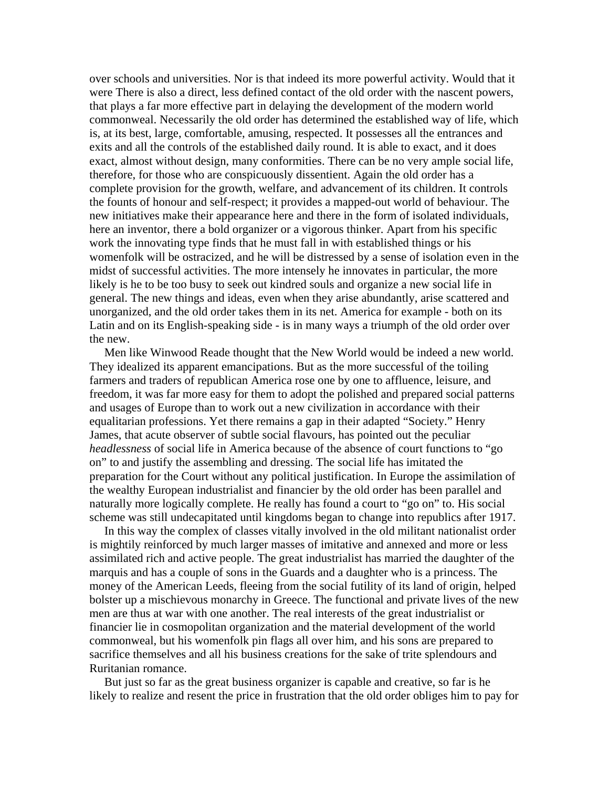over schools and universities. Nor is that indeed its more powerful activity. Would that it were There is also a direct, less defined contact of the old order with the nascent powers, that plays a far more effective part in delaying the development of the modern world commonweal. Necessarily the old order has determined the established way of life, which is, at its best, large, comfortable, amusing, respected. It possesses all the entrances and exits and all the controls of the established daily round. It is able to exact, and it does exact, almost without design, many conformities. There can be no very ample social life, therefore, for those who are conspicuously dissentient. Again the old order has a complete provision for the growth, welfare, and advancement of its children. It controls the founts of honour and self-respect; it provides a mapped-out world of behaviour. The new initiatives make their appearance here and there in the form of isolated individuals, here an inventor, there a bold organizer or a vigorous thinker. Apart from his specific work the innovating type finds that he must fall in with established things or his womenfolk will be ostracized, and he will be distressed by a sense of isolation even in the midst of successful activities. The more intensely he innovates in particular, the more likely is he to be too busy to seek out kindred souls and organize a new social life in general. The new things and ideas, even when they arise abundantly, arise scattered and unorganized, and the old order takes them in its net. America for example - both on its Latin and on its English-speaking side - is in many ways a triumph of the old order over the new.

 Men like Winwood Reade thought that the New World would be indeed a new world. They idealized its apparent emancipations. But as the more successful of the toiling farmers and traders of republican America rose one by one to affluence, leisure, and freedom, it was far more easy for them to adopt the polished and prepared social patterns and usages of Europe than to work out a new civilization in accordance with their equalitarian professions. Yet there remains a gap in their adapted "Society." Henry James, that acute observer of subtle social flavours, has pointed out the peculiar *headlessness* of social life in America because of the absence of court functions to "go on" to and justify the assembling and dressing. The social life has imitated the preparation for the Court without any political justification. In Europe the assimilation of the wealthy European industrialist and financier by the old order has been parallel and naturally more logically complete. He really has found a court to "go on" to. His social scheme was still undecapitated until kingdoms began to change into republics after 1917.

 In this way the complex of classes vitally involved in the old militant nationalist order is mightily reinforced by much larger masses of imitative and annexed and more or less assimilated rich and active people. The great industrialist has married the daughter of the marquis and has a couple of sons in the Guards and a daughter who is a princess. The money of the American Leeds, fleeing from the social futility of its land of origin, helped bolster up a mischievous monarchy in Greece. The functional and private lives of the new men are thus at war with one another. The real interests of the great industrialist or financier lie in cosmopolitan organization and the material development of the world commonweal, but his womenfolk pin flags all over him, and his sons are prepared to sacrifice themselves and all his business creations for the sake of trite splendours and Ruritanian romance.

 But just so far as the great business organizer is capable and creative, so far is he likely to realize and resent the price in frustration that the old order obliges him to pay for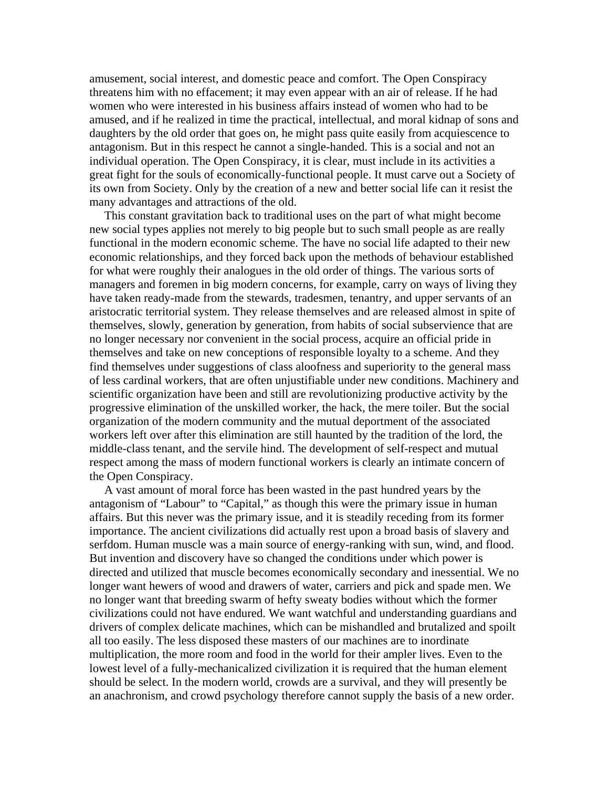amusement, social interest, and domestic peace and comfort. The Open Conspiracy threatens him with no effacement; it may even appear with an air of release. If he had women who were interested in his business affairs instead of women who had to be amused, and if he realized in time the practical, intellectual, and moral kidnap of sons and daughters by the old order that goes on, he might pass quite easily from acquiescence to antagonism. But in this respect he cannot a single-handed. This is a social and not an individual operation. The Open Conspiracy, it is clear, must include in its activities a great fight for the souls of economically-functional people. It must carve out a Society of its own from Society. Only by the creation of a new and better social life can it resist the many advantages and attractions of the old.

 This constant gravitation back to traditional uses on the part of what might become new social types applies not merely to big people but to such small people as are really functional in the modern economic scheme. The have no social life adapted to their new economic relationships, and they forced back upon the methods of behaviour established for what were roughly their analogues in the old order of things. The various sorts of managers and foremen in big modern concerns, for example, carry on ways of living they have taken ready-made from the stewards, tradesmen, tenantry, and upper servants of an aristocratic territorial system. They release themselves and are released almost in spite of themselves, slowly, generation by generation, from habits of social subservience that are no longer necessary nor convenient in the social process, acquire an official pride in themselves and take on new conceptions of responsible loyalty to a scheme. And they find themselves under suggestions of class aloofness and superiority to the general mass of less cardinal workers, that are often unjustifiable under new conditions. Machinery and scientific organization have been and still are revolutionizing productive activity by the progressive elimination of the unskilled worker, the hack, the mere toiler. But the social organization of the modern community and the mutual deportment of the associated workers left over after this elimination are still haunted by the tradition of the lord, the middle-class tenant, and the servile hind. The development of self-respect and mutual respect among the mass of modern functional workers is clearly an intimate concern of the Open Conspiracy.

 A vast amount of moral force has been wasted in the past hundred years by the antagonism of "Labour" to "Capital," as though this were the primary issue in human affairs. But this never was the primary issue, and it is steadily receding from its former importance. The ancient civilizations did actually rest upon a broad basis of slavery and serfdom. Human muscle was a main source of energy-ranking with sun, wind, and flood. But invention and discovery have so changed the conditions under which power is directed and utilized that muscle becomes economically secondary and inessential. We no longer want hewers of wood and drawers of water, carriers and pick and spade men. We no longer want that breeding swarm of hefty sweaty bodies without which the former civilizations could not have endured. We want watchful and understanding guardians and drivers of complex delicate machines, which can be mishandled and brutalized and spoilt all too easily. The less disposed these masters of our machines are to inordinate multiplication, the more room and food in the world for their ampler lives. Even to the lowest level of a fully-mechanicalized civilization it is required that the human element should be select. In the modern world, crowds are a survival, and they will presently be an anachronism, and crowd psychology therefore cannot supply the basis of a new order.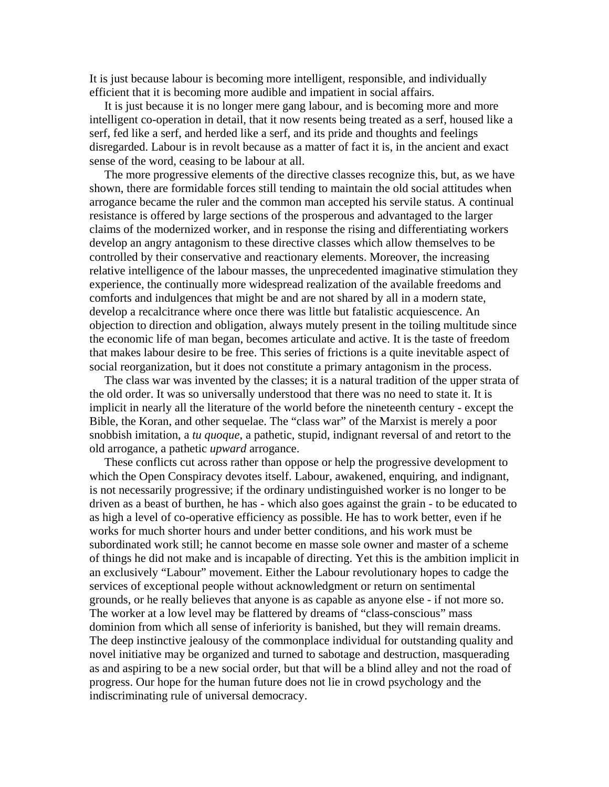It is just because labour is becoming more intelligent, responsible, and individually efficient that it is becoming more audible and impatient in social affairs.

 It is just because it is no longer mere gang labour, and is becoming more and more intelligent co-operation in detail, that it now resents being treated as a serf, housed like a serf, fed like a serf, and herded like a serf, and its pride and thoughts and feelings disregarded. Labour is in revolt because as a matter of fact it is, in the ancient and exact sense of the word, ceasing to be labour at all.

 The more progressive elements of the directive classes recognize this, but, as we have shown, there are formidable forces still tending to maintain the old social attitudes when arrogance became the ruler and the common man accepted his servile status. A continual resistance is offered by large sections of the prosperous and advantaged to the larger claims of the modernized worker, and in response the rising and differentiating workers develop an angry antagonism to these directive classes which allow themselves to be controlled by their conservative and reactionary elements. Moreover, the increasing relative intelligence of the labour masses, the unprecedented imaginative stimulation they experience, the continually more widespread realization of the available freedoms and comforts and indulgences that might be and are not shared by all in a modern state, develop a recalcitrance where once there was little but fatalistic acquiescence. An objection to direction and obligation, always mutely present in the toiling multitude since the economic life of man began, becomes articulate and active. It is the taste of freedom that makes labour desire to be free. This series of frictions is a quite inevitable aspect of social reorganization, but it does not constitute a primary antagonism in the process.

 The class war was invented by the classes; it is a natural tradition of the upper strata of the old order. It was so universally understood that there was no need to state it. It is implicit in nearly all the literature of the world before the nineteenth century - except the Bible, the Koran, and other sequelae. The "class war" of the Marxist is merely a poor snobbish imitation, a *tu quoque*, a pathetic, stupid, indignant reversal of and retort to the old arrogance, a pathetic *upward* arrogance.

 These conflicts cut across rather than oppose or help the progressive development to which the Open Conspiracy devotes itself. Labour, awakened, enquiring, and indignant, is not necessarily progressive; if the ordinary undistinguished worker is no longer to be driven as a beast of burthen, he has - which also goes against the grain - to be educated to as high a level of co-operative efficiency as possible. He has to work better, even if he works for much shorter hours and under better conditions, and his work must be subordinated work still; he cannot become en masse sole owner and master of a scheme of things he did not make and is incapable of directing. Yet this is the ambition implicit in an exclusively "Labour" movement. Either the Labour revolutionary hopes to cadge the services of exceptional people without acknowledgment or return on sentimental grounds, or he really believes that anyone is as capable as anyone else - if not more so. The worker at a low level may be flattered by dreams of "class-conscious" mass dominion from which all sense of inferiority is banished, but they will remain dreams. The deep instinctive jealousy of the commonplace individual for outstanding quality and novel initiative may be organized and turned to sabotage and destruction, masquerading as and aspiring to be a new social order, but that will be a blind alley and not the road of progress. Our hope for the human future does not lie in crowd psychology and the indiscriminating rule of universal democracy.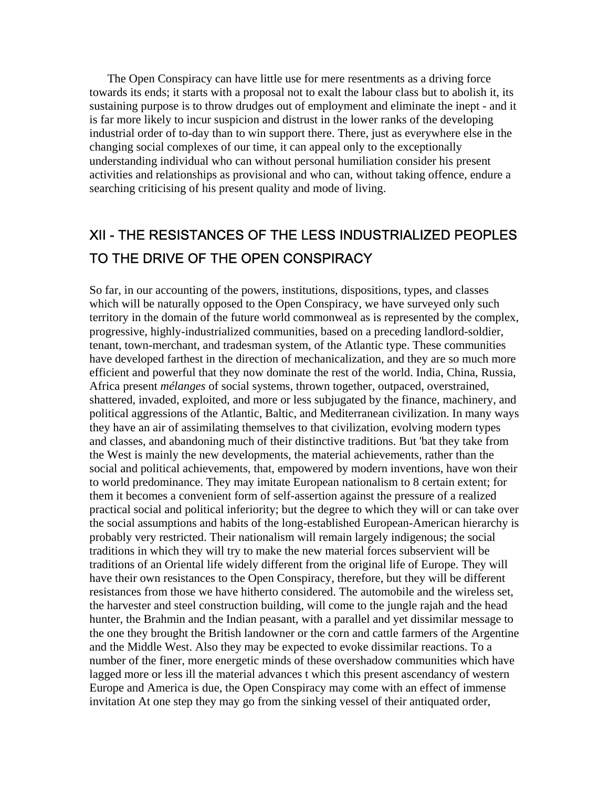The Open Conspiracy can have little use for mere resentments as a driving force towards its ends; it starts with a proposal not to exalt the labour class but to abolish it, its sustaining purpose is to throw drudges out of employment and eliminate the inept - and it is far more likely to incur suspicion and distrust in the lower ranks of the developing industrial order of to-day than to win support there. There, just as everywhere else in the changing social complexes of our time, it can appeal only to the exceptionally understanding individual who can without personal humiliation consider his present activities and relationships as provisional and who can, without taking offence, endure a searching criticising of his present quality and mode of living.

## XII - THE RESISTANCES OF THE LESS INDUSTRIALIZED PEOPLES TO THE DRIVE OF THE OPEN CONSPIRACY

So far, in our accounting of the powers, institutions, dispositions, types, and classes which will be naturally opposed to the Open Conspiracy, we have surveyed only such territory in the domain of the future world commonweal as is represented by the complex, progressive, highly-industrialized communities, based on a preceding landlord-soldier, tenant, town-merchant, and tradesman system, of the Atlantic type. These communities have developed farthest in the direction of mechanicalization, and they are so much more efficient and powerful that they now dominate the rest of the world. India, China, Russia, Africa present *mélanges* of social systems, thrown together, outpaced, overstrained, shattered, invaded, exploited, and more or less subjugated by the finance, machinery, and political aggressions of the Atlantic, Baltic, and Mediterranean civilization. In many ways they have an air of assimilating themselves to that civilization, evolving modern types and classes, and abandoning much of their distinctive traditions. But 'bat they take from the West is mainly the new developments, the material achievements, rather than the social and political achievements, that, empowered by modern inventions, have won their to world predominance. They may imitate European nationalism to 8 certain extent; for them it becomes a convenient form of self-assertion against the pressure of a realized practical social and political inferiority; but the degree to which they will or can take over the social assumptions and habits of the long-established European-American hierarchy is probably very restricted. Their nationalism will remain largely indigenous; the social traditions in which they will try to make the new material forces subservient will be traditions of an Oriental life widely different from the original life of Europe. They will have their own resistances to the Open Conspiracy, therefore, but they will be different resistances from those we have hitherto considered. The automobile and the wireless set, the harvester and steel construction building, will come to the jungle rajah and the head hunter, the Brahmin and the Indian peasant, with a parallel and yet dissimilar message to the one they brought the British landowner or the corn and cattle farmers of the Argentine and the Middle West. Also they may be expected to evoke dissimilar reactions. To a number of the finer, more energetic minds of these overshadow communities which have lagged more or less ill the material advances t which this present ascendancy of western Europe and America is due, the Open Conspiracy may come with an effect of immense invitation At one step they may go from the sinking vessel of their antiquated order,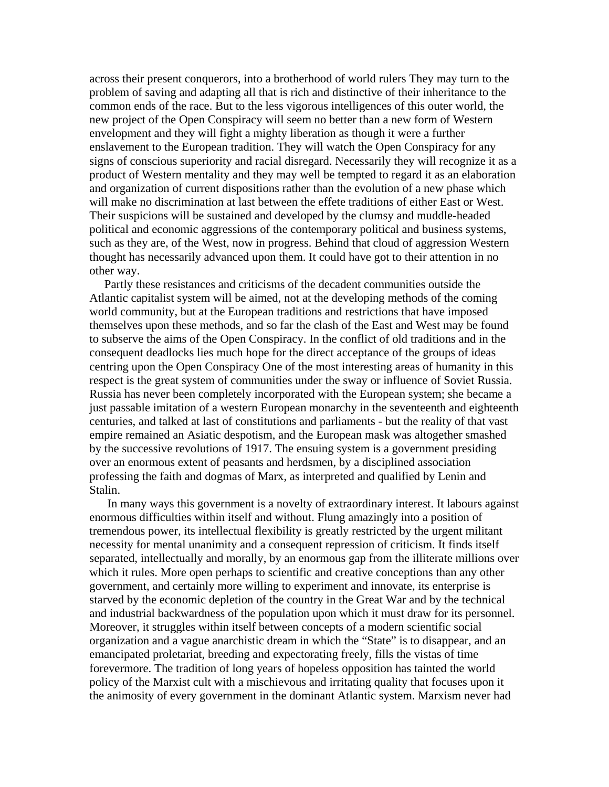across their present conquerors, into a brotherhood of world rulers They may turn to the problem of saving and adapting all that is rich and distinctive of their inheritance to the common ends of the race. But to the less vigorous intelligences of this outer world, the new project of the Open Conspiracy will seem no better than a new form of Western envelopment and they will fight a mighty liberation as though it were a further enslavement to the European tradition. They will watch the Open Conspiracy for any signs of conscious superiority and racial disregard. Necessarily they will recognize it as a product of Western mentality and they may well be tempted to regard it as an elaboration and organization of current dispositions rather than the evolution of a new phase which will make no discrimination at last between the effete traditions of either East or West. Their suspicions will be sustained and developed by the clumsy and muddle-headed political and economic aggressions of the contemporary political and business systems, such as they are, of the West, now in progress. Behind that cloud of aggression Western thought has necessarily advanced upon them. It could have got to their attention in no other way.

 Partly these resistances and criticisms of the decadent communities outside the Atlantic capitalist system will be aimed, not at the developing methods of the coming world community, but at the European traditions and restrictions that have imposed themselves upon these methods, and so far the clash of the East and West may be found to subserve the aims of the Open Conspiracy. In the conflict of old traditions and in the consequent deadlocks lies much hope for the direct acceptance of the groups of ideas centring upon the Open Conspiracy One of the most interesting areas of humanity in this respect is the great system of communities under the sway or influence of Soviet Russia. Russia has never been completely incorporated with the European system; she became a just passable imitation of a western European monarchy in the seventeenth and eighteenth centuries, and talked at last of constitutions and parliaments - but the reality of that vast empire remained an Asiatic despotism, and the European mask was altogether smashed by the successive revolutions of 1917. The ensuing system is a government presiding over an enormous extent of peasants and herdsmen, by a disciplined association professing the faith and dogmas of Marx, as interpreted and qualified by Lenin and Stalin.

 In many ways this government is a novelty of extraordinary interest. It labours against enormous difficulties within itself and without. Flung amazingly into a position of tremendous power, its intellectual flexibility is greatly restricted by the urgent militant necessity for mental unanimity and a consequent repression of criticism. It finds itself separated, intellectually and morally, by an enormous gap from the illiterate millions over which it rules. More open perhaps to scientific and creative conceptions than any other government, and certainly more willing to experiment and innovate, its enterprise is starved by the economic depletion of the country in the Great War and by the technical and industrial backwardness of the population upon which it must draw for its personnel. Moreover, it struggles within itself between concepts of a modern scientific social organization and a vague anarchistic dream in which the "State" is to disappear, and an emancipated proletariat, breeding and expectorating freely, fills the vistas of time forevermore. The tradition of long years of hopeless opposition has tainted the world policy of the Marxist cult with a mischievous and irritating quality that focuses upon it the animosity of every government in the dominant Atlantic system. Marxism never had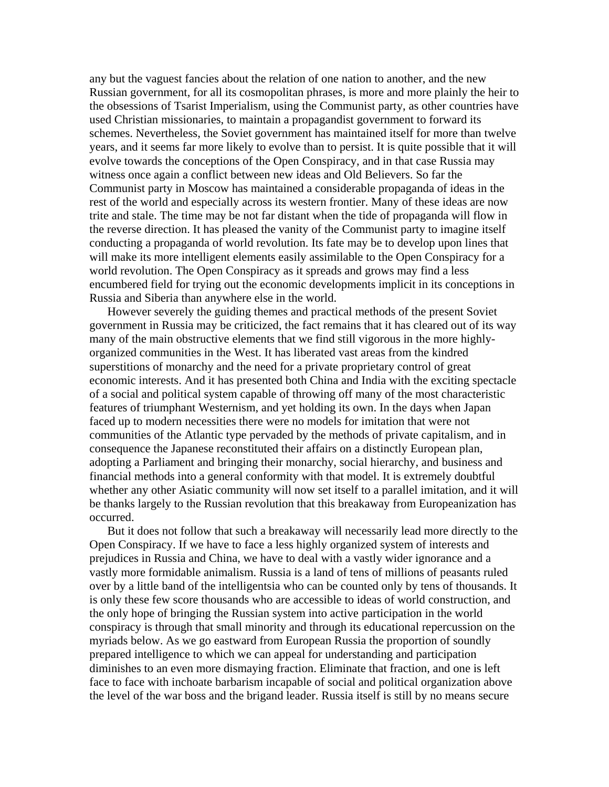any but the vaguest fancies about the relation of one nation to another, and the new Russian government, for all its cosmopolitan phrases, is more and more plainly the heir to the obsessions of Tsarist Imperialism, using the Communist party, as other countries have used Christian missionaries, to maintain a propagandist government to forward its schemes. Nevertheless, the Soviet government has maintained itself for more than twelve years, and it seems far more likely to evolve than to persist. It is quite possible that it will evolve towards the conceptions of the Open Conspiracy, and in that case Russia may witness once again a conflict between new ideas and Old Believers. So far the Communist party in Moscow has maintained a considerable propaganda of ideas in the rest of the world and especially across its western frontier. Many of these ideas are now trite and stale. The time may be not far distant when the tide of propaganda will flow in the reverse direction. It has pleased the vanity of the Communist party to imagine itself conducting a propaganda of world revolution. Its fate may be to develop upon lines that will make its more intelligent elements easily assimilable to the Open Conspiracy for a world revolution. The Open Conspiracy as it spreads and grows may find a less encumbered field for trying out the economic developments implicit in its conceptions in Russia and Siberia than anywhere else in the world.

 However severely the guiding themes and practical methods of the present Soviet government in Russia may be criticized, the fact remains that it has cleared out of its way many of the main obstructive elements that we find still vigorous in the more highlyorganized communities in the West. It has liberated vast areas from the kindred superstitions of monarchy and the need for a private proprietary control of great economic interests. And it has presented both China and India with the exciting spectacle of a social and political system capable of throwing off many of the most characteristic features of triumphant Westernism, and yet holding its own. In the days when Japan faced up to modern necessities there were no models for imitation that were not communities of the Atlantic type pervaded by the methods of private capitalism, and in consequence the Japanese reconstituted their affairs on a distinctly European plan, adopting a Parliament and bringing their monarchy, social hierarchy, and business and financial methods into a general conformity with that model. It is extremely doubtful whether any other Asiatic community will now set itself to a parallel imitation, and it will be thanks largely to the Russian revolution that this breakaway from Europeanization has occurred.

 But it does not follow that such a breakaway will necessarily lead more directly to the Open Conspiracy. If we have to face a less highly organized system of interests and prejudices in Russia and China, we have to deal with a vastly wider ignorance and a vastly more formidable animalism. Russia is a land of tens of millions of peasants ruled over by a little band of the intelligentsia who can be counted only by tens of thousands. It is only these few score thousands who are accessible to ideas of world construction, and the only hope of bringing the Russian system into active participation in the world conspiracy is through that small minority and through its educational repercussion on the myriads below. As we go eastward from European Russia the proportion of soundly prepared intelligence to which we can appeal for understanding and participation diminishes to an even more dismaying fraction. Eliminate that fraction, and one is left face to face with inchoate barbarism incapable of social and political organization above the level of the war boss and the brigand leader. Russia itself is still by no means secure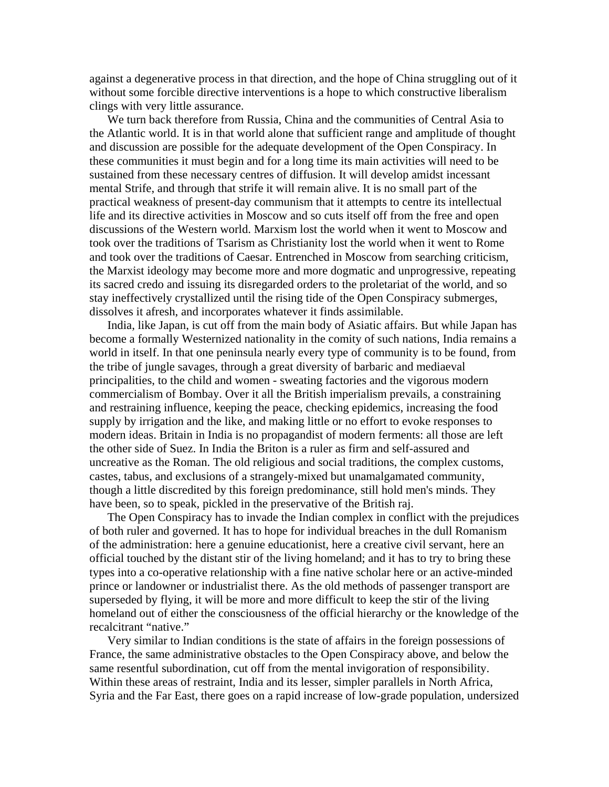against a degenerative process in that direction, and the hope of China struggling out of it without some forcible directive interventions is a hope to which constructive liberalism clings with very little assurance.

 We turn back therefore from Russia, China and the communities of Central Asia to the Atlantic world. It is in that world alone that sufficient range and amplitude of thought and discussion are possible for the adequate development of the Open Conspiracy. In these communities it must begin and for a long time its main activities will need to be sustained from these necessary centres of diffusion. It will develop amidst incessant mental Strife, and through that strife it will remain alive. It is no small part of the practical weakness of present-day communism that it attempts to centre its intellectual life and its directive activities in Moscow and so cuts itself off from the free and open discussions of the Western world. Marxism lost the world when it went to Moscow and took over the traditions of Tsarism as Christianity lost the world when it went to Rome and took over the traditions of Caesar. Entrenched in Moscow from searching criticism, the Marxist ideology may become more and more dogmatic and unprogressive, repeating its sacred credo and issuing its disregarded orders to the proletariat of the world, and so stay ineffectively crystallized until the rising tide of the Open Conspiracy submerges, dissolves it afresh, and incorporates whatever it finds assimilable.

 India, like Japan, is cut off from the main body of Asiatic affairs. But while Japan has become a formally Westernized nationality in the comity of such nations, India remains a world in itself. In that one peninsula nearly every type of community is to be found, from the tribe of jungle savages, through a great diversity of barbaric and mediaeval principalities, to the child and women - sweating factories and the vigorous modern commercialism of Bombay. Over it all the British imperialism prevails, a constraining and restraining influence, keeping the peace, checking epidemics, increasing the food supply by irrigation and the like, and making little or no effort to evoke responses to modern ideas. Britain in India is no propagandist of modern ferments: all those are left the other side of Suez. In India the Briton is a ruler as firm and self-assured and uncreative as the Roman. The old religious and social traditions, the complex customs, castes, tabus, and exclusions of a strangely-mixed but unamalgamated community, though a little discredited by this foreign predominance, still hold men's minds. They have been, so to speak, pickled in the preservative of the British raj.

 The Open Conspiracy has to invade the Indian complex in conflict with the prejudices of both ruler and governed. It has to hope for individual breaches in the dull Romanism of the administration: here a genuine educationist, here a creative civil servant, here an official touched by the distant stir of the living homeland; and it has to try to bring these types into a co-operative relationship with a fine native scholar here or an active-minded prince or landowner or industrialist there. As the old methods of passenger transport are superseded by flying, it will be more and more difficult to keep the stir of the living homeland out of either the consciousness of the official hierarchy or the knowledge of the recalcitrant "native."

 Very similar to Indian conditions is the state of affairs in the foreign possessions of France, the same administrative obstacles to the Open Conspiracy above, and below the same resentful subordination, cut off from the mental invigoration of responsibility. Within these areas of restraint, India and its lesser, simpler parallels in North Africa, Syria and the Far East, there goes on a rapid increase of low-grade population, undersized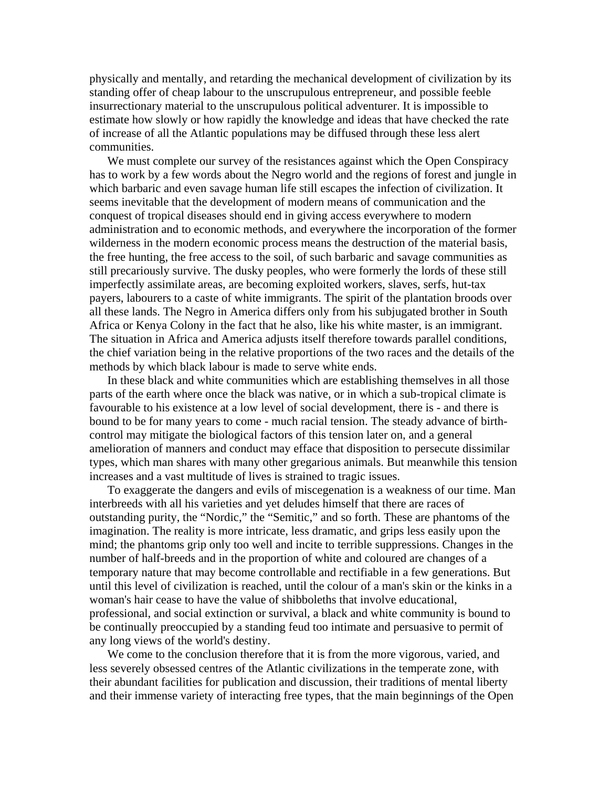physically and mentally, and retarding the mechanical development of civilization by its standing offer of cheap labour to the unscrupulous entrepreneur, and possible feeble insurrectionary material to the unscrupulous political adventurer. It is impossible to estimate how slowly or how rapidly the knowledge and ideas that have checked the rate of increase of all the Atlantic populations may be diffused through these less alert communities.

 We must complete our survey of the resistances against which the Open Conspiracy has to work by a few words about the Negro world and the regions of forest and jungle in which barbaric and even savage human life still escapes the infection of civilization. It seems inevitable that the development of modern means of communication and the conquest of tropical diseases should end in giving access everywhere to modern administration and to economic methods, and everywhere the incorporation of the former wilderness in the modern economic process means the destruction of the material basis, the free hunting, the free access to the soil, of such barbaric and savage communities as still precariously survive. The dusky peoples, who were formerly the lords of these still imperfectly assimilate areas, are becoming exploited workers, slaves, serfs, hut-tax payers, labourers to a caste of white immigrants. The spirit of the plantation broods over all these lands. The Negro in America differs only from his subjugated brother in South Africa or Kenya Colony in the fact that he also, like his white master, is an immigrant. The situation in Africa and America adjusts itself therefore towards parallel conditions, the chief variation being in the relative proportions of the two races and the details of the methods by which black labour is made to serve white ends.

 In these black and white communities which are establishing themselves in all those parts of the earth where once the black was native, or in which a sub-tropical climate is favourable to his existence at a low level of social development, there is - and there is bound to be for many years to come - much racial tension. The steady advance of birthcontrol may mitigate the biological factors of this tension later on, and a general amelioration of manners and conduct may efface that disposition to persecute dissimilar types, which man shares with many other gregarious animals. But meanwhile this tension increases and a vast multitude of lives is strained to tragic issues.

 To exaggerate the dangers and evils of miscegenation is a weakness of our time. Man interbreeds with all his varieties and yet deludes himself that there are races of outstanding purity, the "Nordic," the "Semitic," and so forth. These are phantoms of the imagination. The reality is more intricate, less dramatic, and grips less easily upon the mind; the phantoms grip only too well and incite to terrible suppressions. Changes in the number of half-breeds and in the proportion of white and coloured are changes of a temporary nature that may become controllable and rectifiable in a few generations. But until this level of civilization is reached, until the colour of a man's skin or the kinks in a woman's hair cease to have the value of shibboleths that involve educational, professional, and social extinction or survival, a black and white community is bound to be continually preoccupied by a standing feud too intimate and persuasive to permit of any long views of the world's destiny.

 We come to the conclusion therefore that it is from the more vigorous, varied, and less severely obsessed centres of the Atlantic civilizations in the temperate zone, with their abundant facilities for publication and discussion, their traditions of mental liberty and their immense variety of interacting free types, that the main beginnings of the Open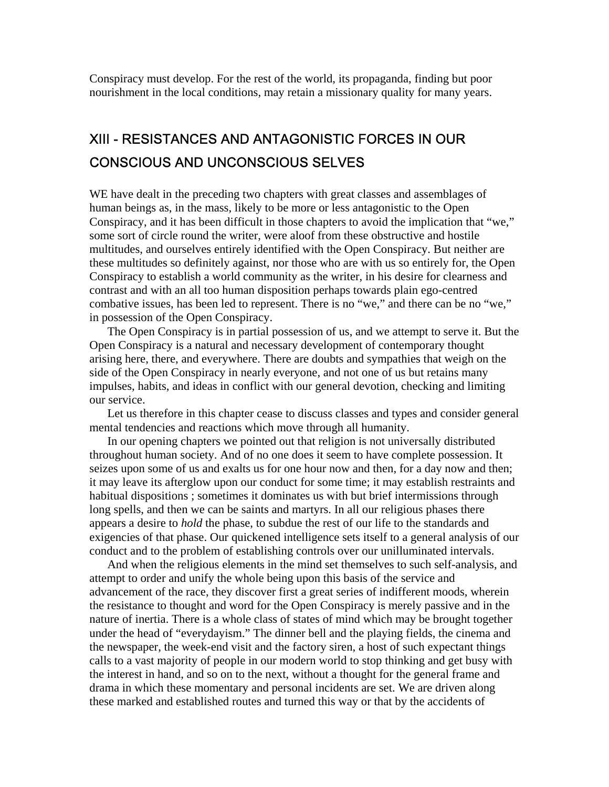Conspiracy must develop. For the rest of the world, its propaganda, finding but poor nourishment in the local conditions, may retain a missionary quality for many years.

### XIII - RESISTANCES AND ANTAGONISTIC FORCES IN OUR CONSCIOUS AND UNCONSCIOUS SELVES

WE have dealt in the preceding two chapters with great classes and assemblages of human beings as, in the mass, likely to be more or less antagonistic to the Open Conspiracy, and it has been difficult in those chapters to avoid the implication that "we," some sort of circle round the writer, were aloof from these obstructive and hostile multitudes, and ourselves entirely identified with the Open Conspiracy. But neither are these multitudes so definitely against, nor those who are with us so entirely for, the Open Conspiracy to establish a world community as the writer, in his desire for clearness and contrast and with an all too human disposition perhaps towards plain ego-centred combative issues, has been led to represent. There is no "we," and there can be no "we," in possession of the Open Conspiracy.

 The Open Conspiracy is in partial possession of us, and we attempt to serve it. But the Open Conspiracy is a natural and necessary development of contemporary thought arising here, there, and everywhere. There are doubts and sympathies that weigh on the side of the Open Conspiracy in nearly everyone, and not one of us but retains many impulses, habits, and ideas in conflict with our general devotion, checking and limiting our service.

 Let us therefore in this chapter cease to discuss classes and types and consider general mental tendencies and reactions which move through all humanity.

 In our opening chapters we pointed out that religion is not universally distributed throughout human society. And of no one does it seem to have complete possession. It seizes upon some of us and exalts us for one hour now and then, for a day now and then; it may leave its afterglow upon our conduct for some time; it may establish restraints and habitual dispositions ; sometimes it dominates us with but brief intermissions through long spells, and then we can be saints and martyrs. In all our religious phases there appears a desire to *hold* the phase, to subdue the rest of our life to the standards and exigencies of that phase. Our quickened intelligence sets itself to a general analysis of our conduct and to the problem of establishing controls over our unilluminated intervals.

 And when the religious elements in the mind set themselves to such self-analysis, and attempt to order and unify the whole being upon this basis of the service and advancement of the race, they discover first a great series of indifferent moods, wherein the resistance to thought and word for the Open Conspiracy is merely passive and in the nature of inertia. There is a whole class of states of mind which may be brought together under the head of "everydayism." The dinner bell and the playing fields, the cinema and the newspaper, the week-end visit and the factory siren, a host of such expectant things calls to a vast majority of people in our modern world to stop thinking and get busy with the interest in hand, and so on to the next, without a thought for the general frame and drama in which these momentary and personal incidents are set. We are driven along these marked and established routes and turned this way or that by the accidents of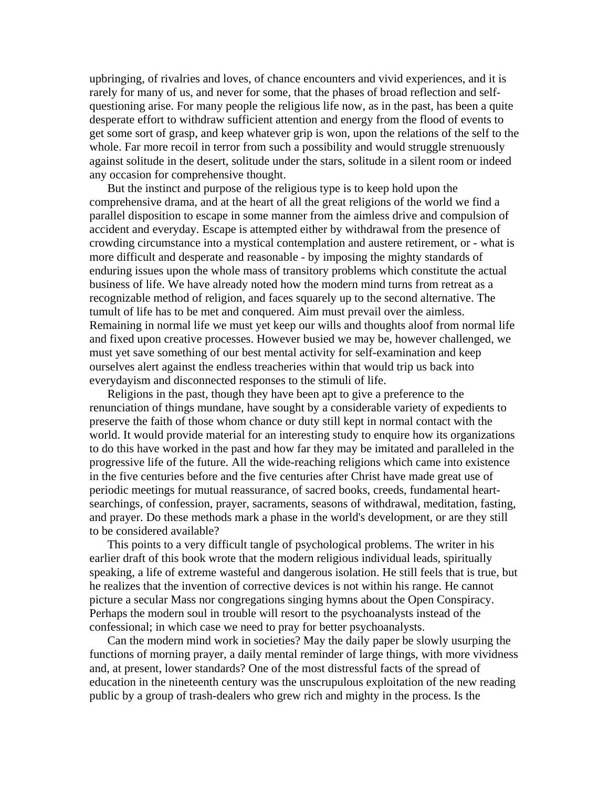upbringing, of rivalries and loves, of chance encounters and vivid experiences, and it is rarely for many of us, and never for some, that the phases of broad reflection and selfquestioning arise. For many people the religious life now, as in the past, has been a quite desperate effort to withdraw sufficient attention and energy from the flood of events to get some sort of grasp, and keep whatever grip is won, upon the relations of the self to the whole. Far more recoil in terror from such a possibility and would struggle strenuously against solitude in the desert, solitude under the stars, solitude in a silent room or indeed any occasion for comprehensive thought.

 But the instinct and purpose of the religious type is to keep hold upon the comprehensive drama, and at the heart of all the great religions of the world we find a parallel disposition to escape in some manner from the aimless drive and compulsion of accident and everyday. Escape is attempted either by withdrawal from the presence of crowding circumstance into a mystical contemplation and austere retirement, or - what is more difficult and desperate and reasonable - by imposing the mighty standards of enduring issues upon the whole mass of transitory problems which constitute the actual business of life. We have already noted how the modern mind turns from retreat as a recognizable method of religion, and faces squarely up to the second alternative. The tumult of life has to be met and conquered. Aim must prevail over the aimless. Remaining in normal life we must yet keep our wills and thoughts aloof from normal life and fixed upon creative processes. However busied we may be, however challenged, we must yet save something of our best mental activity for self-examination and keep ourselves alert against the endless treacheries within that would trip us back into everydayism and disconnected responses to the stimuli of life.

 Religions in the past, though they have been apt to give a preference to the renunciation of things mundane, have sought by a considerable variety of expedients to preserve the faith of those whom chance or duty still kept in normal contact with the world. It would provide material for an interesting study to enquire how its organizations to do this have worked in the past and how far they may be imitated and paralleled in the progressive life of the future. All the wide-reaching religions which came into existence in the five centuries before and the five centuries after Christ have made great use of periodic meetings for mutual reassurance, of sacred books, creeds, fundamental heartsearchings, of confession, prayer, sacraments, seasons of withdrawal, meditation, fasting, and prayer. Do these methods mark a phase in the world's development, or are they still to be considered available?

 This points to a very difficult tangle of psychological problems. The writer in his earlier draft of this book wrote that the modern religious individual leads, spiritually speaking, a life of extreme wasteful and dangerous isolation. He still feels that is true, but he realizes that the invention of corrective devices is not within his range. He cannot picture a secular Mass nor congregations singing hymns about the Open Conspiracy. Perhaps the modern soul in trouble will resort to the psychoanalysts instead of the confessional; in which case we need to pray for better psychoanalysts.

 Can the modern mind work in societies? May the daily paper be slowly usurping the functions of morning prayer, a daily mental reminder of large things, with more vividness and, at present, lower standards? One of the most distressful facts of the spread of education in the nineteenth century was the unscrupulous exploitation of the new reading public by a group of trash-dealers who grew rich and mighty in the process. Is the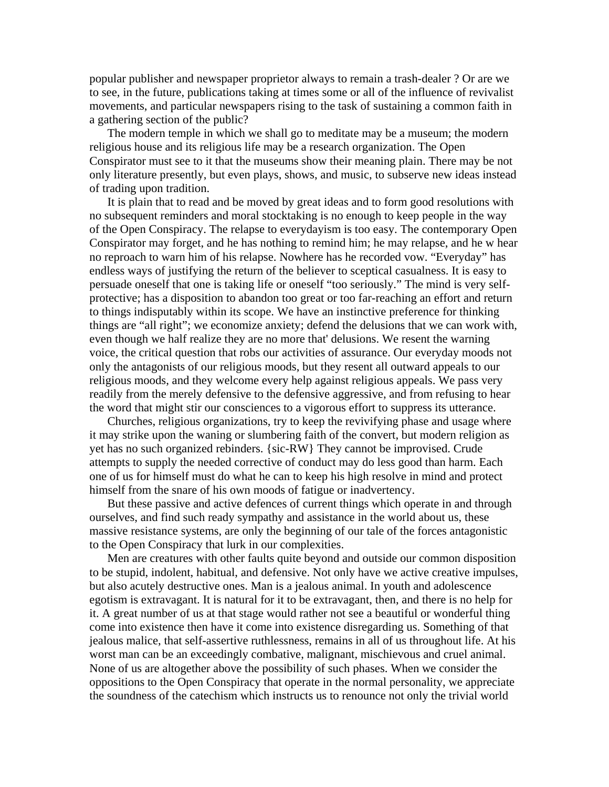popular publisher and newspaper proprietor always to remain a trash-dealer ? Or are we to see, in the future, publications taking at times some or all of the influence of revivalist movements, and particular newspapers rising to the task of sustaining a common faith in a gathering section of the public?

 The modern temple in which we shall go to meditate may be a museum; the modern religious house and its religious life may be a research organization. The Open Conspirator must see to it that the museums show their meaning plain. There may be not only literature presently, but even plays, shows, and music, to subserve new ideas instead of trading upon tradition.

 It is plain that to read and be moved by great ideas and to form good resolutions with no subsequent reminders and moral stocktaking is no enough to keep people in the way of the Open Conspiracy. The relapse to everydayism is too easy. The contemporary Open Conspirator may forget, and he has nothing to remind him; he may relapse, and he w hear no reproach to warn him of his relapse. Nowhere has he recorded vow. "Everyday" has endless ways of justifying the return of the believer to sceptical casualness. It is easy to persuade oneself that one is taking life or oneself "too seriously." The mind is very selfprotective; has a disposition to abandon too great or too far-reaching an effort and return to things indisputably within its scope. We have an instinctive preference for thinking things are "all right"; we economize anxiety; defend the delusions that we can work with, even though we half realize they are no more that' delusions. We resent the warning voice, the critical question that robs our activities of assurance. Our everyday moods not only the antagonists of our religious moods, but they resent all outward appeals to our religious moods, and they welcome every help against religious appeals. We pass very readily from the merely defensive to the defensive aggressive, and from refusing to hear the word that might stir our consciences to a vigorous effort to suppress its utterance.

 Churches, religious organizations, try to keep the revivifying phase and usage where it may strike upon the waning or slumbering faith of the convert, but modern religion as yet has no such organized rebinders. {sic-RW} They cannot be improvised. Crude attempts to supply the needed corrective of conduct may do less good than harm. Each one of us for himself must do what he can to keep his high resolve in mind and protect himself from the snare of his own moods of fatigue or inadvertency.

 But these passive and active defences of current things which operate in and through ourselves, and find such ready sympathy and assistance in the world about us, these massive resistance systems, are only the beginning of our tale of the forces antagonistic to the Open Conspiracy that lurk in our complexities.

 Men are creatures with other faults quite beyond and outside our common disposition to be stupid, indolent, habitual, and defensive. Not only have we active creative impulses, but also acutely destructive ones. Man is a jealous animal. In youth and adolescence egotism is extravagant. It is natural for it to be extravagant, then, and there is no help for it. A great number of us at that stage would rather not see a beautiful or wonderful thing come into existence then have it come into existence disregarding us. Something of that jealous malice, that self-assertive ruthlessness, remains in all of us throughout life. At his worst man can be an exceedingly combative, malignant, mischievous and cruel animal. None of us are altogether above the possibility of such phases. When we consider the oppositions to the Open Conspiracy that operate in the normal personality, we appreciate the soundness of the catechism which instructs us to renounce not only the trivial world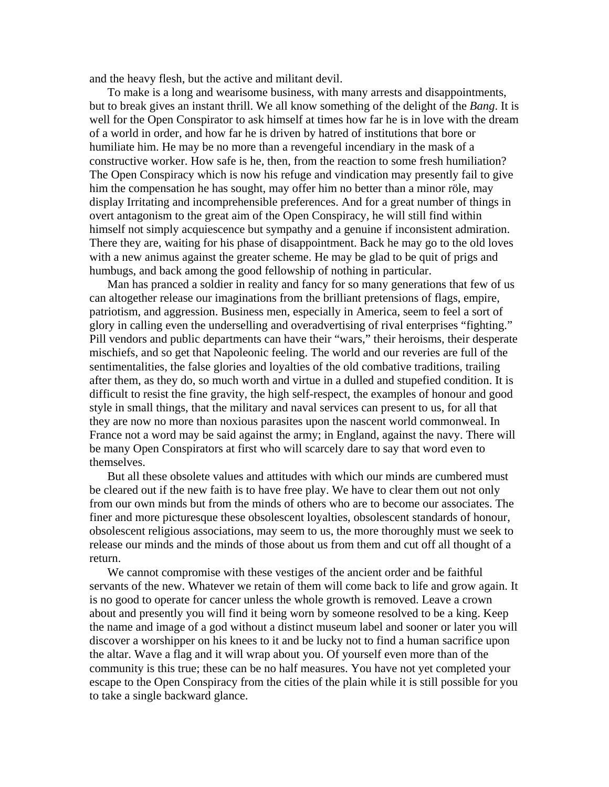and the heavy flesh, but the active and militant devil.

 To make is a long and wearisome business, with many arrests and disappointments, but to break gives an instant thrill. We all know something of the delight of the *Bang*. It is well for the Open Conspirator to ask himself at times how far he is in love with the dream of a world in order, and how far he is driven by hatred of institutions that bore or humiliate him. He may be no more than a revengeful incendiary in the mask of a constructive worker. How safe is he, then, from the reaction to some fresh humiliation? The Open Conspiracy which is now his refuge and vindication may presently fail to give him the compensation he has sought, may offer him no better than a minor röle, may display Irritating and incomprehensible preferences. And for a great number of things in overt antagonism to the great aim of the Open Conspiracy, he will still find within himself not simply acquiescence but sympathy and a genuine if inconsistent admiration. There they are, waiting for his phase of disappointment. Back he may go to the old loves with a new animus against the greater scheme. He may be glad to be quit of prigs and humbugs, and back among the good fellowship of nothing in particular.

 Man has pranced a soldier in reality and fancy for so many generations that few of us can altogether release our imaginations from the brilliant pretensions of flags, empire, patriotism, and aggression. Business men, especially in America, seem to feel a sort of glory in calling even the underselling and overadvertising of rival enterprises "fighting." Pill vendors and public departments can have their "wars," their heroisms, their desperate mischiefs, and so get that Napoleonic feeling. The world and our reveries are full of the sentimentalities, the false glories and loyalties of the old combative traditions, trailing after them, as they do, so much worth and virtue in a dulled and stupefied condition. It is difficult to resist the fine gravity, the high self-respect, the examples of honour and good style in small things, that the military and naval services can present to us, for all that they are now no more than noxious parasites upon the nascent world commonweal. In France not a word may be said against the army; in England, against the navy. There will be many Open Conspirators at first who will scarcely dare to say that word even to themselves.

 But all these obsolete values and attitudes with which our minds are cumbered must be cleared out if the new faith is to have free play. We have to clear them out not only from our own minds but from the minds of others who are to become our associates. The finer and more picturesque these obsolescent loyalties, obsolescent standards of honour, obsolescent religious associations, may seem to us, the more thoroughly must we seek to release our minds and the minds of those about us from them and cut off all thought of a return.

 We cannot compromise with these vestiges of the ancient order and be faithful servants of the new. Whatever we retain of them will come back to life and grow again. It is no good to operate for cancer unless the whole growth is removed. Leave a crown about and presently you will find it being worn by someone resolved to be a king. Keep the name and image of a god without a distinct museum label and sooner or later you will discover a worshipper on his knees to it and be lucky not to find a human sacrifice upon the altar. Wave a flag and it will wrap about you. Of yourself even more than of the community is this true; these can be no half measures. You have not yet completed your escape to the Open Conspiracy from the cities of the plain while it is still possible for you to take a single backward glance.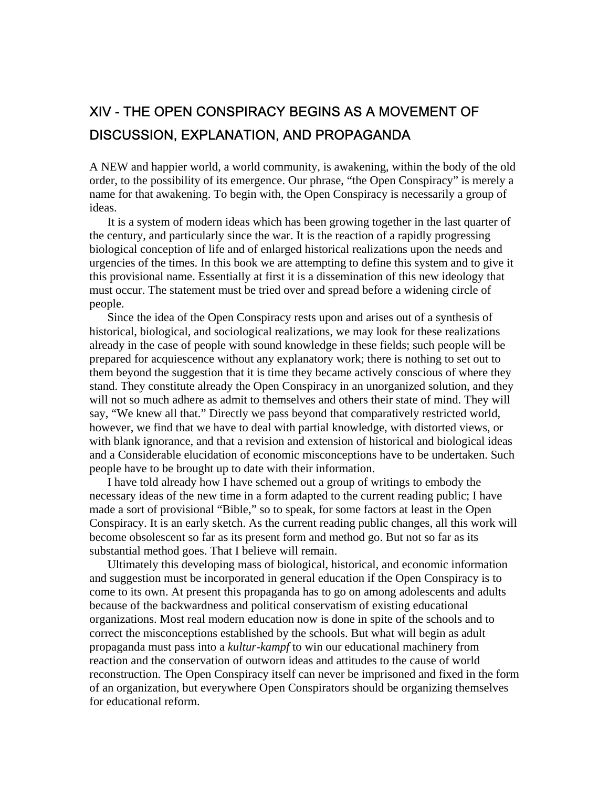### XIV - THE OPEN CONSPIRACY BEGINS AS A MOVEMENT OF DISCUSSION, EXPLANATION, AND PROPAGANDA

A NEW and happier world, a world community, is awakening, within the body of the old order, to the possibility of its emergence. Our phrase, "the Open Conspiracy" is merely a name for that awakening. To begin with, the Open Conspiracy is necessarily a group of ideas.

 It is a system of modern ideas which has been growing together in the last quarter of the century, and particularly since the war. It is the reaction of a rapidly progressing biological conception of life and of enlarged historical realizations upon the needs and urgencies of the times. In this book we are attempting to define this system and to give it this provisional name. Essentially at first it is a dissemination of this new ideology that must occur. The statement must be tried over and spread before a widening circle of people.

 Since the idea of the Open Conspiracy rests upon and arises out of a synthesis of historical, biological, and sociological realizations, we may look for these realizations already in the case of people with sound knowledge in these fields; such people will be prepared for acquiescence without any explanatory work; there is nothing to set out to them beyond the suggestion that it is time they became actively conscious of where they stand. They constitute already the Open Conspiracy in an unorganized solution, and they will not so much adhere as admit to themselves and others their state of mind. They will say, "We knew all that." Directly we pass beyond that comparatively restricted world, however, we find that we have to deal with partial knowledge, with distorted views, or with blank ignorance, and that a revision and extension of historical and biological ideas and a Considerable elucidation of economic misconceptions have to be undertaken. Such people have to be brought up to date with their information.

 I have told already how I have schemed out a group of writings to embody the necessary ideas of the new time in a form adapted to the current reading public; I have made a sort of provisional "Bible," so to speak, for some factors at least in the Open Conspiracy. It is an early sketch. As the current reading public changes, all this work will become obsolescent so far as its present form and method go. But not so far as its substantial method goes. That I believe will remain.

 Ultimately this developing mass of biological, historical, and economic information and suggestion must be incorporated in general education if the Open Conspiracy is to come to its own. At present this propaganda has to go on among adolescents and adults because of the backwardness and political conservatism of existing educational organizations. Most real modern education now is done in spite of the schools and to correct the misconceptions established by the schools. But what will begin as adult propaganda must pass into a *kultur-kampf* to win our educational machinery from reaction and the conservation of outworn ideas and attitudes to the cause of world reconstruction. The Open Conspiracy itself can never be imprisoned and fixed in the form of an organization, but everywhere Open Conspirators should be organizing themselves for educational reform.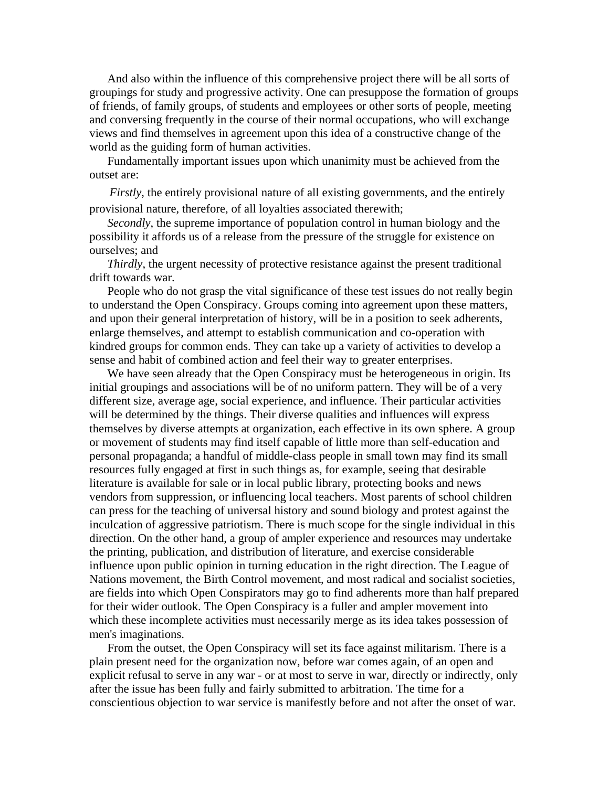And also within the influence of this comprehensive project there will be all sorts of groupings for study and progressive activity. One can presuppose the formation of groups of friends, of family groups, of students and employees or other sorts of people, meeting and conversing frequently in the course of their normal occupations, who will exchange views and find themselves in agreement upon this idea of a constructive change of the world as the guiding form of human activities.

 Fundamentally important issues upon which unanimity must be achieved from the outset are:

*Firstly*, the entirely provisional nature of all existing governments, and the entirely provisional nature, therefore, of all loyalties associated therewith;

 *Secondly*, the supreme importance of population control in human biology and the possibility it affords us of a release from the pressure of the struggle for existence on ourselves; and

 *Thirdly*, the urgent necessity of protective resistance against the present traditional drift towards war.

 People who do not grasp the vital significance of these test issues do not really begin to understand the Open Conspiracy. Groups coming into agreement upon these matters, and upon their general interpretation of history, will be in a position to seek adherents, enlarge themselves, and attempt to establish communication and co-operation with kindred groups for common ends. They can take up a variety of activities to develop a sense and habit of combined action and feel their way to greater enterprises.

 We have seen already that the Open Conspiracy must be heterogeneous in origin. Its initial groupings and associations will be of no uniform pattern. They will be of a very different size, average age, social experience, and influence. Their particular activities will be determined by the things. Their diverse qualities and influences will express themselves by diverse attempts at organization, each effective in its own sphere. A group or movement of students may find itself capable of little more than self-education and personal propaganda; a handful of middle-class people in small town may find its small resources fully engaged at first in such things as, for example, seeing that desirable literature is available for sale or in local public library, protecting books and news vendors from suppression, or influencing local teachers. Most parents of school children can press for the teaching of universal history and sound biology and protest against the inculcation of aggressive patriotism. There is much scope for the single individual in this direction. On the other hand, a group of ampler experience and resources may undertake the printing, publication, and distribution of literature, and exercise considerable influence upon public opinion in turning education in the right direction. The League of Nations movement, the Birth Control movement, and most radical and socialist societies, are fields into which Open Conspirators may go to find adherents more than half prepared for their wider outlook. The Open Conspiracy is a fuller and ampler movement into which these incomplete activities must necessarily merge as its idea takes possession of men's imaginations.

 From the outset, the Open Conspiracy will set its face against militarism. There is a plain present need for the organization now, before war comes again, of an open and explicit refusal to serve in any war - or at most to serve in war, directly or indirectly, only after the issue has been fully and fairly submitted to arbitration. The time for a conscientious objection to war service is manifestly before and not after the onset of war.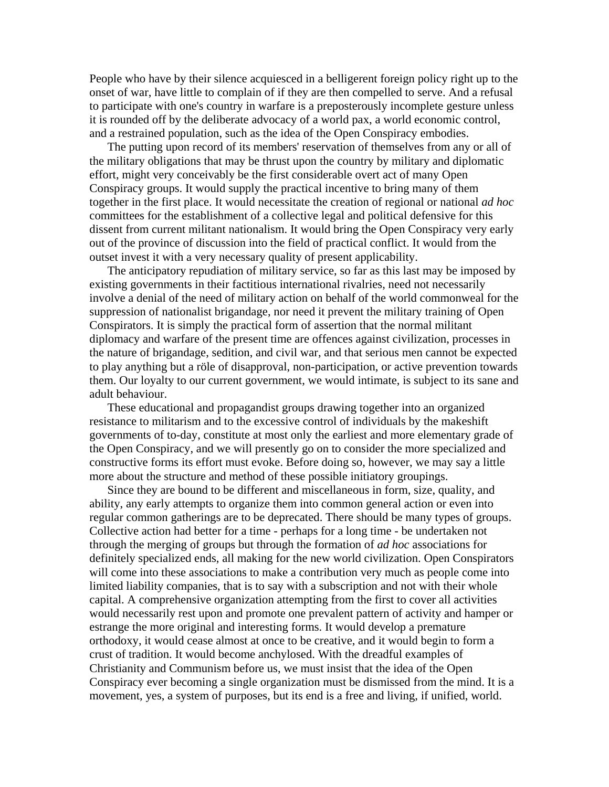People who have by their silence acquiesced in a belligerent foreign policy right up to the onset of war, have little to complain of if they are then compelled to serve. And a refusal to participate with one's country in warfare is a preposterously incomplete gesture unless it is rounded off by the deliberate advocacy of a world pax, a world economic control, and a restrained population, such as the idea of the Open Conspiracy embodies.

 The putting upon record of its members' reservation of themselves from any or all of the military obligations that may be thrust upon the country by military and diplomatic effort, might very conceivably be the first considerable overt act of many Open Conspiracy groups. It would supply the practical incentive to bring many of them together in the first place. It would necessitate the creation of regional or national *ad hoc* committees for the establishment of a collective legal and political defensive for this dissent from current militant nationalism. It would bring the Open Conspiracy very early out of the province of discussion into the field of practical conflict. It would from the outset invest it with a very necessary quality of present applicability.

 The anticipatory repudiation of military service, so far as this last may be imposed by existing governments in their factitious international rivalries, need not necessarily involve a denial of the need of military action on behalf of the world commonweal for the suppression of nationalist brigandage, nor need it prevent the military training of Open Conspirators. It is simply the practical form of assertion that the normal militant diplomacy and warfare of the present time are offences against civilization, processes in the nature of brigandage, sedition, and civil war, and that serious men cannot be expected to play anything but a röle of disapproval, non-participation, or active prevention towards them. Our loyalty to our current government, we would intimate, is subject to its sane and adult behaviour.

 These educational and propagandist groups drawing together into an organized resistance to militarism and to the excessive control of individuals by the makeshift governments of to-day, constitute at most only the earliest and more elementary grade of the Open Conspiracy, and we will presently go on to consider the more specialized and constructive forms its effort must evoke. Before doing so, however, we may say a little more about the structure and method of these possible initiatory groupings.

 Since they are bound to be different and miscellaneous in form, size, quality, and ability, any early attempts to organize them into common general action or even into regular common gatherings are to be deprecated. There should be many types of groups. Collective action had better for a time - perhaps for a long time - be undertaken not through the merging of groups but through the formation of *ad hoc* associations for definitely specialized ends, all making for the new world civilization. Open Conspirators will come into these associations to make a contribution very much as people come into limited liability companies, that is to say with a subscription and not with their whole capital. A comprehensive organization attempting from the first to cover all activities would necessarily rest upon and promote one prevalent pattern of activity and hamper or estrange the more original and interesting forms. It would develop a premature orthodoxy, it would cease almost at once to be creative, and it would begin to form a crust of tradition. It would become anchylosed. With the dreadful examples of Christianity and Communism before us, we must insist that the idea of the Open Conspiracy ever becoming a single organization must be dismissed from the mind. It is a movement, yes, a system of purposes, but its end is a free and living, if unified, world.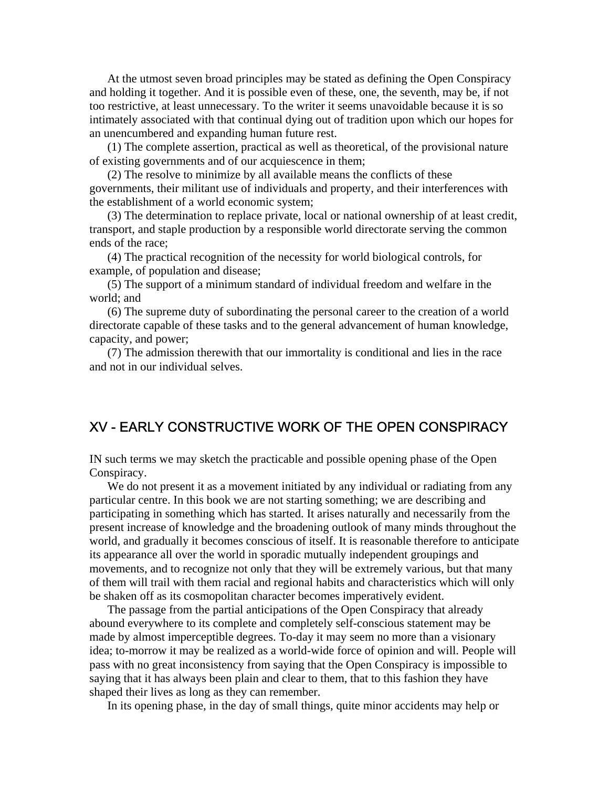At the utmost seven broad principles may be stated as defining the Open Conspiracy and holding it together. And it is possible even of these, one, the seventh, may be, if not too restrictive, at least unnecessary. To the writer it seems unavoidable because it is so intimately associated with that continual dying out of tradition upon which our hopes for an unencumbered and expanding human future rest.

 (1) The complete assertion, practical as well as theoretical, of the provisional nature of existing governments and of our acquiescence in them;

 (2) The resolve to minimize by all available means the conflicts of these governments, their militant use of individuals and property, and their interferences with the establishment of a world economic system;

 (3) The determination to replace private, local or national ownership of at least credit, transport, and staple production by a responsible world directorate serving the common ends of the race;

 (4) The practical recognition of the necessity for world biological controls, for example, of population and disease;

 (5) The support of a minimum standard of individual freedom and welfare in the world; and

 (6) The supreme duty of subordinating the personal career to the creation of a world directorate capable of these tasks and to the general advancement of human knowledge, capacity, and power;

 (7) The admission therewith that our immortality is conditional and lies in the race and not in our individual selves.

### XV - EARLY CONSTRUCTIVE WORK OF THE OPEN CONSPIRACY

IN such terms we may sketch the practicable and possible opening phase of the Open Conspiracy.

 We do not present it as a movement initiated by any individual or radiating from any particular centre. In this book we are not starting something; we are describing and participating in something which has started. It arises naturally and necessarily from the present increase of knowledge and the broadening outlook of many minds throughout the world, and gradually it becomes conscious of itself. It is reasonable therefore to anticipate its appearance all over the world in sporadic mutually independent groupings and movements, and to recognize not only that they will be extremely various, but that many of them will trail with them racial and regional habits and characteristics which will only be shaken off as its cosmopolitan character becomes imperatively evident.

 The passage from the partial anticipations of the Open Conspiracy that already abound everywhere to its complete and completely self-conscious statement may be made by almost imperceptible degrees. To-day it may seem no more than a visionary idea; to-morrow it may be realized as a world-wide force of opinion and will. People will pass with no great inconsistency from saying that the Open Conspiracy is impossible to saying that it has always been plain and clear to them, that to this fashion they have shaped their lives as long as they can remember.

In its opening phase, in the day of small things, quite minor accidents may help or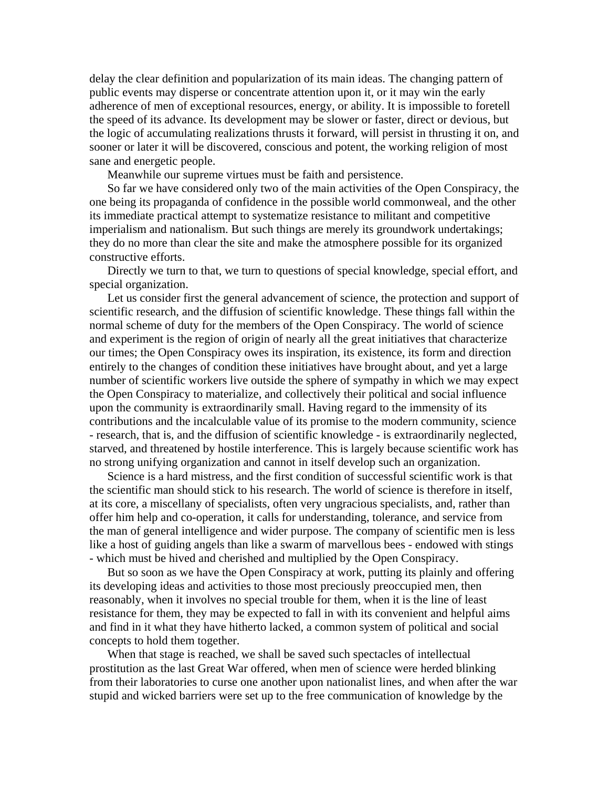delay the clear definition and popularization of its main ideas. The changing pattern of public events may disperse or concentrate attention upon it, or it may win the early adherence of men of exceptional resources, energy, or ability. It is impossible to foretell the speed of its advance. Its development may be slower or faster, direct or devious, but the logic of accumulating realizations thrusts it forward, will persist in thrusting it on, and sooner or later it will be discovered, conscious and potent, the working religion of most sane and energetic people.

Meanwhile our supreme virtues must be faith and persistence.

 So far we have considered only two of the main activities of the Open Conspiracy, the one being its propaganda of confidence in the possible world commonweal, and the other its immediate practical attempt to systematize resistance to militant and competitive imperialism and nationalism. But such things are merely its groundwork undertakings; they do no more than clear the site and make the atmosphere possible for its organized constructive efforts.

 Directly we turn to that, we turn to questions of special knowledge, special effort, and special organization.

 Let us consider first the general advancement of science, the protection and support of scientific research, and the diffusion of scientific knowledge. These things fall within the normal scheme of duty for the members of the Open Conspiracy. The world of science and experiment is the region of origin of nearly all the great initiatives that characterize our times; the Open Conspiracy owes its inspiration, its existence, its form and direction entirely to the changes of condition these initiatives have brought about, and yet a large number of scientific workers live outside the sphere of sympathy in which we may expect the Open Conspiracy to materialize, and collectively their political and social influence upon the community is extraordinarily small. Having regard to the immensity of its contributions and the incalculable value of its promise to the modern community, science - research, that is, and the diffusion of scientific knowledge - is extraordinarily neglected, starved, and threatened by hostile interference. This is largely because scientific work has no strong unifying organization and cannot in itself develop such an organization.

 Science is a hard mistress, and the first condition of successful scientific work is that the scientific man should stick to his research. The world of science is therefore in itself, at its core, a miscellany of specialists, often very ungracious specialists, and, rather than offer him help and co-operation, it calls for understanding, tolerance, and service from the man of general intelligence and wider purpose. The company of scientific men is less like a host of guiding angels than like a swarm of marvellous bees - endowed with stings - which must be hived and cherished and multiplied by the Open Conspiracy.

 But so soon as we have the Open Conspiracy at work, putting its plainly and offering its developing ideas and activities to those most preciously preoccupied men, then reasonably, when it involves no special trouble for them, when it is the line of least resistance for them, they may be expected to fall in with its convenient and helpful aims and find in it what they have hitherto lacked, a common system of political and social concepts to hold them together.

 When that stage is reached, we shall be saved such spectacles of intellectual prostitution as the last Great War offered, when men of science were herded blinking from their laboratories to curse one another upon nationalist lines, and when after the war stupid and wicked barriers were set up to the free communication of knowledge by the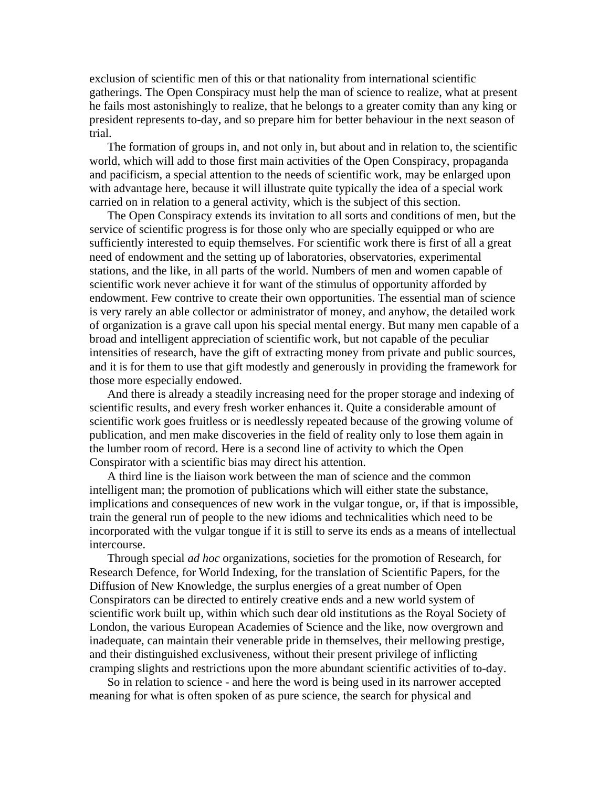exclusion of scientific men of this or that nationality from international scientific gatherings. The Open Conspiracy must help the man of science to realize, what at present he fails most astonishingly to realize, that he belongs to a greater comity than any king or president represents to-day, and so prepare him for better behaviour in the next season of trial.

 The formation of groups in, and not only in, but about and in relation to, the scientific world, which will add to those first main activities of the Open Conspiracy, propaganda and pacificism, a special attention to the needs of scientific work, may be enlarged upon with advantage here, because it will illustrate quite typically the idea of a special work carried on in relation to a general activity, which is the subject of this section.

 The Open Conspiracy extends its invitation to all sorts and conditions of men, but the service of scientific progress is for those only who are specially equipped or who are sufficiently interested to equip themselves. For scientific work there is first of all a great need of endowment and the setting up of laboratories, observatories, experimental stations, and the like, in all parts of the world. Numbers of men and women capable of scientific work never achieve it for want of the stimulus of opportunity afforded by endowment. Few contrive to create their own opportunities. The essential man of science is very rarely an able collector or administrator of money, and anyhow, the detailed work of organization is a grave call upon his special mental energy. But many men capable of a broad and intelligent appreciation of scientific work, but not capable of the peculiar intensities of research, have the gift of extracting money from private and public sources, and it is for them to use that gift modestly and generously in providing the framework for those more especially endowed.

 And there is already a steadily increasing need for the proper storage and indexing of scientific results, and every fresh worker enhances it. Quite a considerable amount of scientific work goes fruitless or is needlessly repeated because of the growing volume of publication, and men make discoveries in the field of reality only to lose them again in the lumber room of record. Here is a second line of activity to which the Open Conspirator with a scientific bias may direct his attention.

 A third line is the liaison work between the man of science and the common intelligent man; the promotion of publications which will either state the substance, implications and consequences of new work in the vulgar tongue, or, if that is impossible, train the general run of people to the new idioms and technicalities which need to be incorporated with the vulgar tongue if it is still to serve its ends as a means of intellectual intercourse.

 Through special *ad hoc* organizations, societies for the promotion of Research, for Research Defence, for World Indexing, for the translation of Scientific Papers, for the Diffusion of New Knowledge, the surplus energies of a great number of Open Conspirators can be directed to entirely creative ends and a new world system of scientific work built up, within which such dear old institutions as the Royal Society of London, the various European Academies of Science and the like, now overgrown and inadequate, can maintain their venerable pride in themselves, their mellowing prestige, and their distinguished exclusiveness, without their present privilege of inflicting cramping slights and restrictions upon the more abundant scientific activities of to-day.

 So in relation to science - and here the word is being used in its narrower accepted meaning for what is often spoken of as pure science, the search for physical and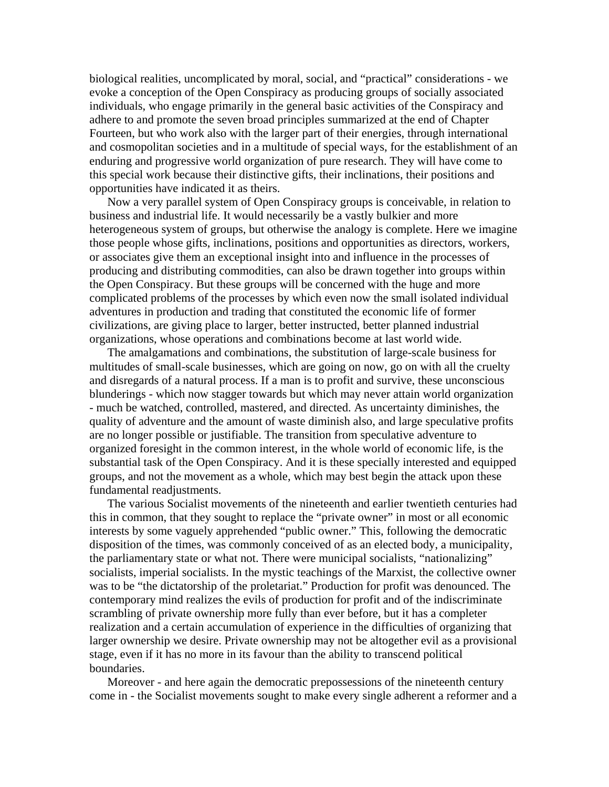biological realities, uncomplicated by moral, social, and "practical" considerations - we evoke a conception of the Open Conspiracy as producing groups of socially associated individuals, who engage primarily in the general basic activities of the Conspiracy and adhere to and promote the seven broad principles summarized at the end of Chapter Fourteen, but who work also with the larger part of their energies, through international and cosmopolitan societies and in a multitude of special ways, for the establishment of an enduring and progressive world organization of pure research. They will have come to this special work because their distinctive gifts, their inclinations, their positions and opportunities have indicated it as theirs.

 Now a very parallel system of Open Conspiracy groups is conceivable, in relation to business and industrial life. It would necessarily be a vastly bulkier and more heterogeneous system of groups, but otherwise the analogy is complete. Here we imagine those people whose gifts, inclinations, positions and opportunities as directors, workers, or associates give them an exceptional insight into and influence in the processes of producing and distributing commodities, can also be drawn together into groups within the Open Conspiracy. But these groups will be concerned with the huge and more complicated problems of the processes by which even now the small isolated individual adventures in production and trading that constituted the economic life of former civilizations, are giving place to larger, better instructed, better planned industrial organizations, whose operations and combinations become at last world wide.

 The amalgamations and combinations, the substitution of large-scale business for multitudes of small-scale businesses, which are going on now, go on with all the cruelty and disregards of a natural process. If a man is to profit and survive, these unconscious blunderings - which now stagger towards but which may never attain world organization - much be watched, controlled, mastered, and directed. As uncertainty diminishes, the quality of adventure and the amount of waste diminish also, and large speculative profits are no longer possible or justifiable. The transition from speculative adventure to organized foresight in the common interest, in the whole world of economic life, is the substantial task of the Open Conspiracy. And it is these specially interested and equipped groups, and not the movement as a whole, which may best begin the attack upon these fundamental readjustments.

 The various Socialist movements of the nineteenth and earlier twentieth centuries had this in common, that they sought to replace the "private owner" in most or all economic interests by some vaguely apprehended "public owner." This, following the democratic disposition of the times, was commonly conceived of as an elected body, a municipality, the parliamentary state or what not. There were municipal socialists, "nationalizing" socialists, imperial socialists. In the mystic teachings of the Marxist, the collective owner was to be "the dictatorship of the proletariat." Production for profit was denounced. The contemporary mind realizes the evils of production for profit and of the indiscriminate scrambling of private ownership more fully than ever before, but it has a completer realization and a certain accumulation of experience in the difficulties of organizing that larger ownership we desire. Private ownership may not be altogether evil as a provisional stage, even if it has no more in its favour than the ability to transcend political boundaries.

 Moreover - and here again the democratic prepossessions of the nineteenth century come in - the Socialist movements sought to make every single adherent a reformer and a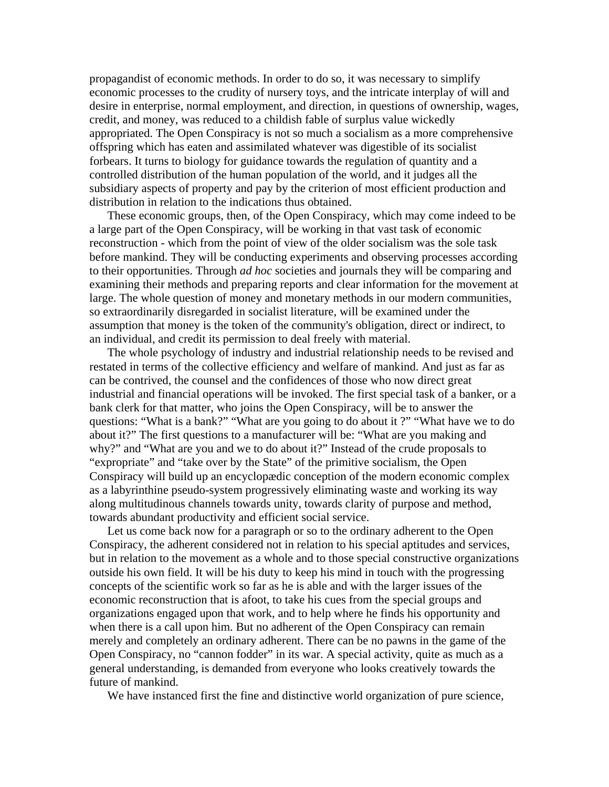propagandist of economic methods. In order to do so, it was necessary to simplify economic processes to the crudity of nursery toys, and the intricate interplay of will and desire in enterprise, normal employment, and direction, in questions of ownership, wages, credit, and money, was reduced to a childish fable of surplus value wickedly appropriated. The Open Conspiracy is not so much a socialism as a more comprehensive offspring which has eaten and assimilated whatever was digestible of its socialist forbears. It turns to biology for guidance towards the regulation of quantity and a controlled distribution of the human population of the world, and it judges all the subsidiary aspects of property and pay by the criterion of most efficient production and distribution in relation to the indications thus obtained.

 These economic groups, then, of the Open Conspiracy, which may come indeed to be a large part of the Open Conspiracy, will be working in that vast task of economic reconstruction - which from the point of view of the older socialism was the sole task before mankind. They will be conducting experiments and observing processes according to their opportunities. Through *ad hoc* societies and journals they will be comparing and examining their methods and preparing reports and clear information for the movement at large. The whole question of money and monetary methods in our modern communities, so extraordinarily disregarded in socialist literature, will be examined under the assumption that money is the token of the community's obligation, direct or indirect, to an individual, and credit its permission to deal freely with material.

 The whole psychology of industry and industrial relationship needs to be revised and restated in terms of the collective efficiency and welfare of mankind. And just as far as can be contrived, the counsel and the confidences of those who now direct great industrial and financial operations will be invoked. The first special task of a banker, or a bank clerk for that matter, who joins the Open Conspiracy, will be to answer the questions: "What is a bank?" "What are you going to do about it ?" "What have we to do about it?" The first questions to a manufacturer will be: "What are you making and why?" and "What are you and we to do about it?" Instead of the crude proposals to "expropriate" and "take over by the State" of the primitive socialism, the Open Conspiracy will build up an encyclopædic conception of the modern economic complex as a labyrinthine pseudo-system progressively eliminating waste and working its way along multitudinous channels towards unity, towards clarity of purpose and method, towards abundant productivity and efficient social service.

 Let us come back now for a paragraph or so to the ordinary adherent to the Open Conspiracy, the adherent considered not in relation to his special aptitudes and services, but in relation to the movement as a whole and to those special constructive organizations outside his own field. It will be his duty to keep his mind in touch with the progressing concepts of the scientific work so far as he is able and with the larger issues of the economic reconstruction that is afoot, to take his cues from the special groups and organizations engaged upon that work, and to help where he finds his opportunity and when there is a call upon him. But no adherent of the Open Conspiracy can remain merely and completely an ordinary adherent. There can be no pawns in the game of the Open Conspiracy, no "cannon fodder" in its war. A special activity, quite as much as a general understanding, is demanded from everyone who looks creatively towards the future of mankind.

We have instanced first the fine and distinctive world organization of pure science,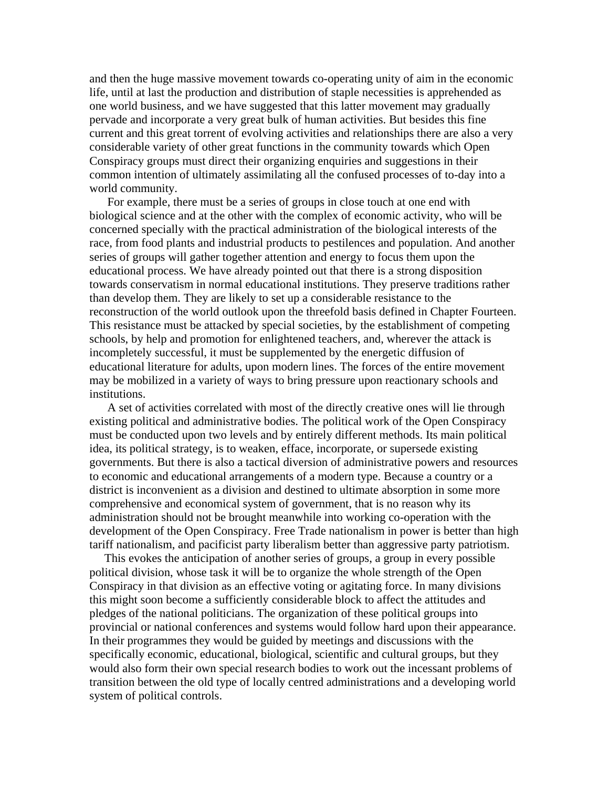and then the huge massive movement towards co-operating unity of aim in the economic life, until at last the production and distribution of staple necessities is apprehended as one world business, and we have suggested that this latter movement may gradually pervade and incorporate a very great bulk of human activities. But besides this fine current and this great torrent of evolving activities and relationships there are also a very considerable variety of other great functions in the community towards which Open Conspiracy groups must direct their organizing enquiries and suggestions in their common intention of ultimately assimilating all the confused processes of to-day into a world community.

 For example, there must be a series of groups in close touch at one end with biological science and at the other with the complex of economic activity, who will be concerned specially with the practical administration of the biological interests of the race, from food plants and industrial products to pestilences and population. And another series of groups will gather together attention and energy to focus them upon the educational process. We have already pointed out that there is a strong disposition towards conservatism in normal educational institutions. They preserve traditions rather than develop them. They are likely to set up a considerable resistance to the reconstruction of the world outlook upon the threefold basis defined in Chapter Fourteen. This resistance must be attacked by special societies, by the establishment of competing schools, by help and promotion for enlightened teachers, and, wherever the attack is incompletely successful, it must be supplemented by the energetic diffusion of educational literature for adults, upon modern lines. The forces of the entire movement may be mobilized in a variety of ways to bring pressure upon reactionary schools and institutions.

 A set of activities correlated with most of the directly creative ones will lie through existing political and administrative bodies. The political work of the Open Conspiracy must be conducted upon two levels and by entirely different methods. Its main political idea, its political strategy, is to weaken, efface, incorporate, or supersede existing governments. But there is also a tactical diversion of administrative powers and resources to economic and educational arrangements of a modern type. Because a country or a district is inconvenient as a division and destined to ultimate absorption in some more comprehensive and economical system of government, that is no reason why its administration should not be brought meanwhile into working co-operation with the development of the Open Conspiracy. Free Trade nationalism in power is better than high tariff nationalism, and pacificist party liberalism better than aggressive party patriotism.

 This evokes the anticipation of another series of groups, a group in every possible political division, whose task it will be to organize the whole strength of the Open Conspiracy in that division as an effective voting or agitating force. In many divisions this might soon become a sufficiently considerable block to affect the attitudes and pledges of the national politicians. The organization of these political groups into provincial or national conferences and systems would follow hard upon their appearance. In their programmes they would be guided by meetings and discussions with the specifically economic, educational, biological, scientific and cultural groups, but they would also form their own special research bodies to work out the incessant problems of transition between the old type of locally centred administrations and a developing world system of political controls.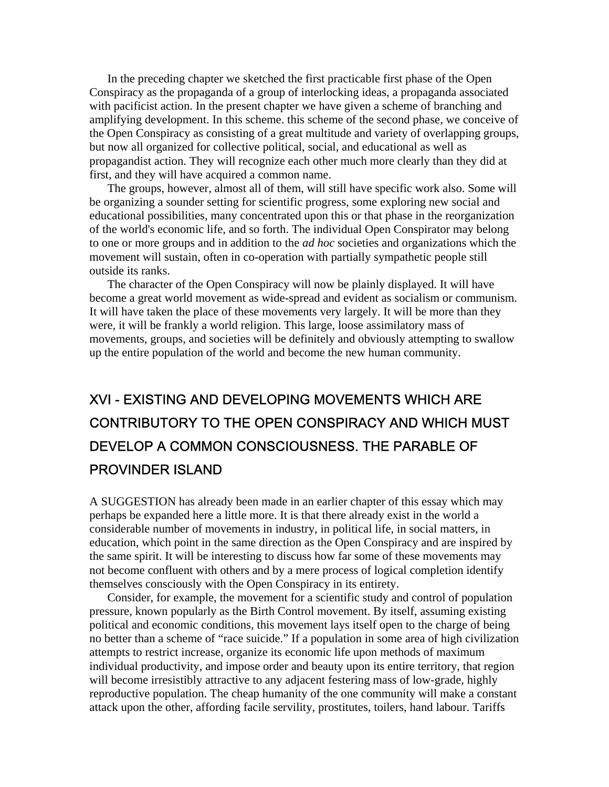In the preceding chapter we sketched the first practicable first phase of the Open Conspiracy as the propaganda of a group of interlocking ideas, a propaganda associated with pacificist action. In the present chapter we have given a scheme of branching and amplifying development. In this scheme. this scheme of the second phase, we conceive of the Open Conspiracy as consisting of a great multitude and variety of overlapping groups, but now all organized for collective political, social, and educational as well as propagandist action. They will recognize each other much more clearly than they did at first, and they will have acquired a common name.

 The groups, however, almost all of them, will still have specific work also. Some will be organizing a sounder setting for scientific progress, some exploring new social and educational possibilities, many concentrated upon this or that phase in the reorganization of the world's economic life, and so forth. The individual Open Conspirator may belong to one or more groups and in addition to the *ad hoc* societies and organizations which the movement will sustain, often in co-operation with partially sympathetic people still outside its ranks.

 The character of the Open Conspiracy will now be plainly displayed. It will have become a great world movement as wide-spread and evident as socialism or communism. It will have taken the place of these movements very largely. It will be more than they were, it will be frankly a world religion. This large, loose assimilatory mass of movements, groups, and societies will be definitely and obviously attempting to swallow up the entire population of the world and become the new human community.

## XVI - EXISTING AND DEVELOPING MOVEMENTS WHICH ARE CONTRIBUTORY TO THE OPEN CONSPIRACY AND WHICH MUST DEVELOP A COMMON CONSCIOUSNESS. THE PARABLE OF PROVINDER ISLAND

A SUGGESTION has already been made in an earlier chapter of this essay which may perhaps be expanded here a little more. It is that there already exist in the world a considerable number of movements in industry, in political life, in social matters, in education, which point in the same direction as the Open Conspiracy and are inspired by the same spirit. It will be interesting to discuss how far some of these movements may not become confluent with others and by a mere process of logical completion identify themselves consciously with the Open Conspiracy in its entirety.

 Consider, for example, the movement for a scientific study and control of population pressure, known popularly as the Birth Control movement. By itself, assuming existing political and economic conditions, this movement lays itself open to the charge of being no better than a scheme of "race suicide." If a population in some area of high civilization attempts to restrict increase, organize its economic life upon methods of maximum individual productivity, and impose order and beauty upon its entire territory, that region will become irresistibly attractive to any adjacent festering mass of low-grade, highly reproductive population. The cheap humanity of the one community will make a constant attack upon the other, affording facile servility, prostitutes, toilers, hand labour. Tariffs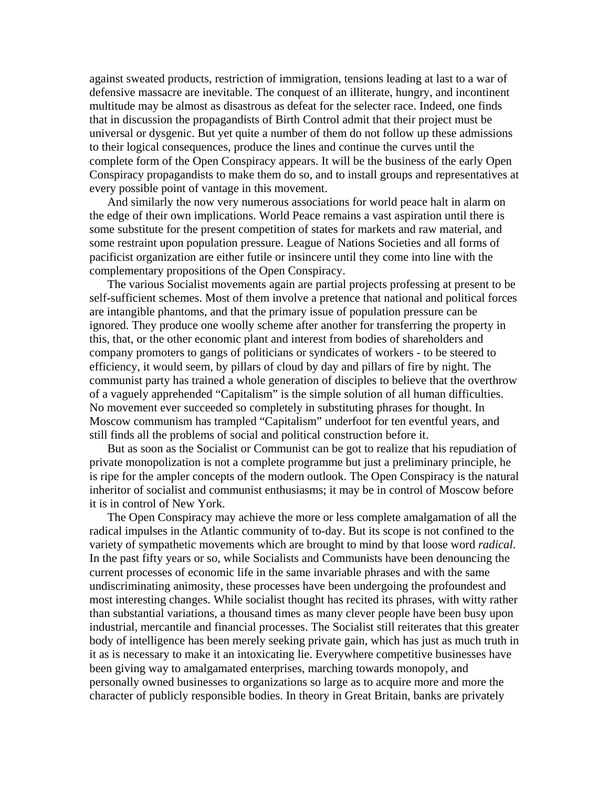against sweated products, restriction of immigration, tensions leading at last to a war of defensive massacre are inevitable. The conquest of an illiterate, hungry, and incontinent multitude may be almost as disastrous as defeat for the selecter race. Indeed, one finds that in discussion the propagandists of Birth Control admit that their project must be universal or dysgenic. But yet quite a number of them do not follow up these admissions to their logical consequences, produce the lines and continue the curves until the complete form of the Open Conspiracy appears. It will be the business of the early Open Conspiracy propagandists to make them do so, and to install groups and representatives at every possible point of vantage in this movement.

 And similarly the now very numerous associations for world peace halt in alarm on the edge of their own implications. World Peace remains a vast aspiration until there is some substitute for the present competition of states for markets and raw material, and some restraint upon population pressure. League of Nations Societies and all forms of pacificist organization are either futile or insincere until they come into line with the complementary propositions of the Open Conspiracy.

 The various Socialist movements again are partial projects professing at present to be self-sufficient schemes. Most of them involve a pretence that national and political forces are intangible phantoms, and that the primary issue of population pressure can be ignored. They produce one woolly scheme after another for transferring the property in this, that, or the other economic plant and interest from bodies of shareholders and company promoters to gangs of politicians or syndicates of workers - to be steered to efficiency, it would seem, by pillars of cloud by day and pillars of fire by night. The communist party has trained a whole generation of disciples to believe that the overthrow of a vaguely apprehended "Capitalism" is the simple solution of all human difficulties. No movement ever succeeded so completely in substituting phrases for thought. In Moscow communism has trampled "Capitalism" underfoot for ten eventful years, and still finds all the problems of social and political construction before it.

 But as soon as the Socialist or Communist can be got to realize that his repudiation of private monopolization is not a complete programme but just a preliminary principle, he is ripe for the ampler concepts of the modern outlook. The Open Conspiracy is the natural inheritor of socialist and communist enthusiasms; it may be in control of Moscow before it is in control of New York.

 The Open Conspiracy may achieve the more or less complete amalgamation of all the radical impulses in the Atlantic community of to-day. But its scope is not confined to the variety of sympathetic movements which are brought to mind by that loose word *radical*. In the past fifty years or so, while Socialists and Communists have been denouncing the current processes of economic life in the same invariable phrases and with the same undiscriminating animosity, these processes have been undergoing the profoundest and most interesting changes. While socialist thought has recited its phrases, with witty rather than substantial variations, a thousand times as many clever people have been busy upon industrial, mercantile and financial processes. The Socialist still reiterates that this greater body of intelligence has been merely seeking private gain, which has just as much truth in it as is necessary to make it an intoxicating lie. Everywhere competitive businesses have been giving way to amalgamated enterprises, marching towards monopoly, and personally owned businesses to organizations so large as to acquire more and more the character of publicly responsible bodies. In theory in Great Britain, banks are privately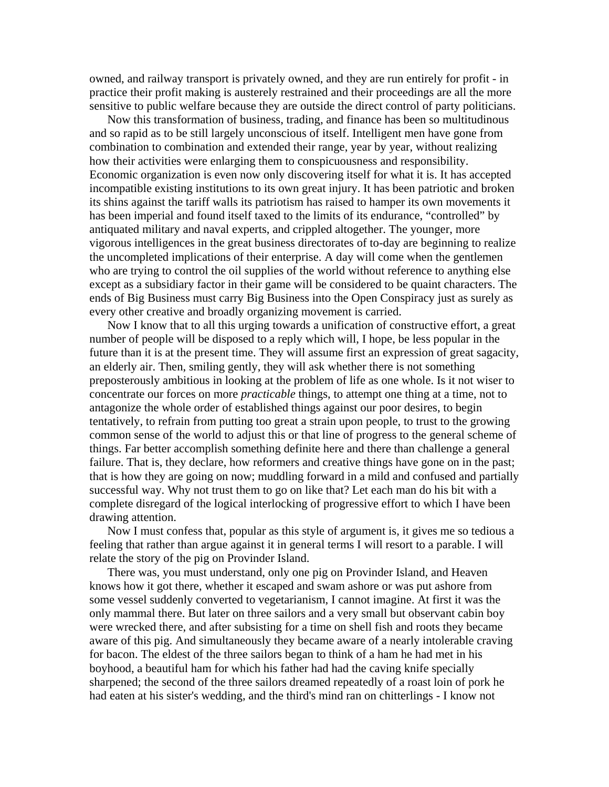owned, and railway transport is privately owned, and they are run entirely for profit - in practice their profit making is austerely restrained and their proceedings are all the more sensitive to public welfare because they are outside the direct control of party politicians.

 Now this transformation of business, trading, and finance has been so multitudinous and so rapid as to be still largely unconscious of itself. Intelligent men have gone from combination to combination and extended their range, year by year, without realizing how their activities were enlarging them to conspicuousness and responsibility. Economic organization is even now only discovering itself for what it is. It has accepted incompatible existing institutions to its own great injury. It has been patriotic and broken its shins against the tariff walls its patriotism has raised to hamper its own movements it has been imperial and found itself taxed to the limits of its endurance, "controlled" by antiquated military and naval experts, and crippled altogether. The younger, more vigorous intelligences in the great business directorates of to-day are beginning to realize the uncompleted implications of their enterprise. A day will come when the gentlemen who are trying to control the oil supplies of the world without reference to anything else except as a subsidiary factor in their game will be considered to be quaint characters. The ends of Big Business must carry Big Business into the Open Conspiracy just as surely as every other creative and broadly organizing movement is carried.

 Now I know that to all this urging towards a unification of constructive effort, a great number of people will be disposed to a reply which will, I hope, be less popular in the future than it is at the present time. They will assume first an expression of great sagacity, an elderly air. Then, smiling gently, they will ask whether there is not something preposterously ambitious in looking at the problem of life as one whole. Is it not wiser to concentrate our forces on more *practicable* things, to attempt one thing at a time, not to antagonize the whole order of established things against our poor desires, to begin tentatively, to refrain from putting too great a strain upon people, to trust to the growing common sense of the world to adjust this or that line of progress to the general scheme of things. Far better accomplish something definite here and there than challenge a general failure. That is, they declare, how reformers and creative things have gone on in the past; that is how they are going on now; muddling forward in a mild and confused and partially successful way. Why not trust them to go on like that? Let each man do his bit with a complete disregard of the logical interlocking of progressive effort to which I have been drawing attention.

 Now I must confess that, popular as this style of argument is, it gives me so tedious a feeling that rather than argue against it in general terms I will resort to a parable. I will relate the story of the pig on Provinder Island.

 There was, you must understand, only one pig on Provinder Island, and Heaven knows how it got there, whether it escaped and swam ashore or was put ashore from some vessel suddenly converted to vegetarianism, I cannot imagine. At first it was the only mammal there. But later on three sailors and a very small but observant cabin boy were wrecked there, and after subsisting for a time on shell fish and roots they became aware of this pig. And simultaneously they became aware of a nearly intolerable craving for bacon. The eldest of the three sailors began to think of a ham he had met in his boyhood, a beautiful ham for which his father had had the caving knife specially sharpened; the second of the three sailors dreamed repeatedly of a roast loin of pork he had eaten at his sister's wedding, and the third's mind ran on chitterlings - I know not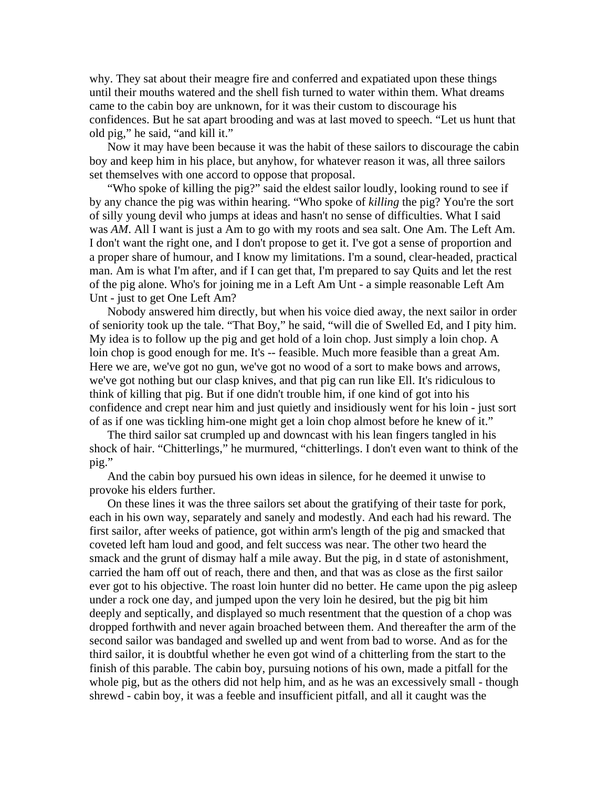why. They sat about their meagre fire and conferred and expatiated upon these things until their mouths watered and the shell fish turned to water within them. What dreams came to the cabin boy are unknown, for it was their custom to discourage his confidences. But he sat apart brooding and was at last moved to speech. "Let us hunt that old pig," he said, "and kill it."

 Now it may have been because it was the habit of these sailors to discourage the cabin boy and keep him in his place, but anyhow, for whatever reason it was, all three sailors set themselves with one accord to oppose that proposal.

 "Who spoke of killing the pig?" said the eldest sailor loudly, looking round to see if by any chance the pig was within hearing. "Who spoke of *killing* the pig? You're the sort of silly young devil who jumps at ideas and hasn't no sense of difficulties. What I said was *AM*. All I want is just a Am to go with my roots and sea salt. One Am. The Left Am. I don't want the right one, and I don't propose to get it. I've got a sense of proportion and a proper share of humour, and I know my limitations. I'm a sound, clear-headed, practical man. Am is what I'm after, and if I can get that, I'm prepared to say Quits and let the rest of the pig alone. Who's for joining me in a Left Am Unt - a simple reasonable Left Am Unt - just to get One Left Am?

 Nobody answered him directly, but when his voice died away, the next sailor in order of seniority took up the tale. "That Boy," he said, "will die of Swelled Ed, and I pity him. My idea is to follow up the pig and get hold of a loin chop. Just simply a loin chop. A loin chop is good enough for me. It's -- feasible. Much more feasible than a great Am. Here we are, we've got no gun, we've got no wood of a sort to make bows and arrows, we've got nothing but our clasp knives, and that pig can run like Ell. It's ridiculous to think of killing that pig. But if one didn't trouble him, if one kind of got into his confidence and crept near him and just quietly and insidiously went for his loin - just sort of as if one was tickling him-one might get a loin chop almost before he knew of it."

 The third sailor sat crumpled up and downcast with his lean fingers tangled in his shock of hair. "Chitterlings," he murmured, "chitterlings. I don't even want to think of the pig."

 And the cabin boy pursued his own ideas in silence, for he deemed it unwise to provoke his elders further.

 On these lines it was the three sailors set about the gratifying of their taste for pork, each in his own way, separately and sanely and modestly. And each had his reward. The first sailor, after weeks of patience, got within arm's length of the pig and smacked that coveted left ham loud and good, and felt success was near. The other two heard the smack and the grunt of dismay half a mile away. But the pig, in d state of astonishment, carried the ham off out of reach, there and then, and that was as close as the first sailor ever got to his objective. The roast loin hunter did no better. He came upon the pig asleep under a rock one day, and jumped upon the very loin he desired, but the pig bit him deeply and septically, and displayed so much resentment that the question of a chop was dropped forthwith and never again broached between them. And thereafter the arm of the second sailor was bandaged and swelled up and went from bad to worse. And as for the third sailor, it is doubtful whether he even got wind of a chitterling from the start to the finish of this parable. The cabin boy, pursuing notions of his own, made a pitfall for the whole pig, but as the others did not help him, and as he was an excessively small - though shrewd - cabin boy, it was a feeble and insufficient pitfall, and all it caught was the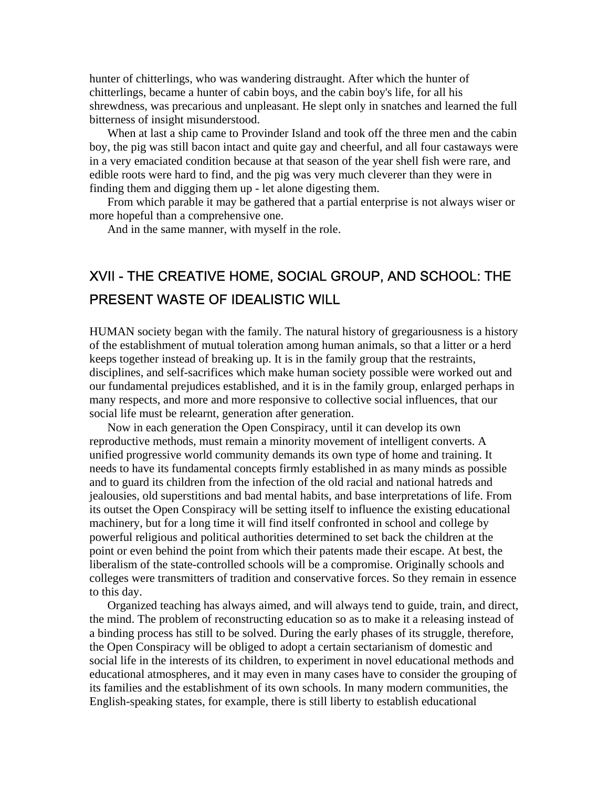hunter of chitterlings, who was wandering distraught. After which the hunter of chitterlings, became a hunter of cabin boys, and the cabin boy's life, for all his shrewdness, was precarious and unpleasant. He slept only in snatches and learned the full bitterness of insight misunderstood.

 When at last a ship came to Provinder Island and took off the three men and the cabin boy, the pig was still bacon intact and quite gay and cheerful, and all four castaways were in a very emaciated condition because at that season of the year shell fish were rare, and edible roots were hard to find, and the pig was very much cleverer than they were in finding them and digging them up - let alone digesting them.

 From which parable it may be gathered that a partial enterprise is not always wiser or more hopeful than a comprehensive one.

And in the same manner, with myself in the role.

## XVII - THE CREATIVE HOME, SOCIAL GROUP, AND SCHOOL: THE PRESENT WASTE OF IDEALISTIC WILL

HUMAN society began with the family. The natural history of gregariousness is a history of the establishment of mutual toleration among human animals, so that a litter or a herd keeps together instead of breaking up. It is in the family group that the restraints, disciplines, and self-sacrifices which make human society possible were worked out and our fundamental prejudices established, and it is in the family group, enlarged perhaps in many respects, and more and more responsive to collective social influences, that our social life must be relearnt, generation after generation.

 Now in each generation the Open Conspiracy, until it can develop its own reproductive methods, must remain a minority movement of intelligent converts. A unified progressive world community demands its own type of home and training. It needs to have its fundamental concepts firmly established in as many minds as possible and to guard its children from the infection of the old racial and national hatreds and jealousies, old superstitions and bad mental habits, and base interpretations of life. From its outset the Open Conspiracy will be setting itself to influence the existing educational machinery, but for a long time it will find itself confronted in school and college by powerful religious and political authorities determined to set back the children at the point or even behind the point from which their patents made their escape. At best, the liberalism of the state-controlled schools will be a compromise. Originally schools and colleges were transmitters of tradition and conservative forces. So they remain in essence to this day.

 Organized teaching has always aimed, and will always tend to guide, train, and direct, the mind. The problem of reconstructing education so as to make it a releasing instead of a binding process has still to be solved. During the early phases of its struggle, therefore, the Open Conspiracy will be obliged to adopt a certain sectarianism of domestic and social life in the interests of its children, to experiment in novel educational methods and educational atmospheres, and it may even in many cases have to consider the grouping of its families and the establishment of its own schools. In many modern communities, the English-speaking states, for example, there is still liberty to establish educational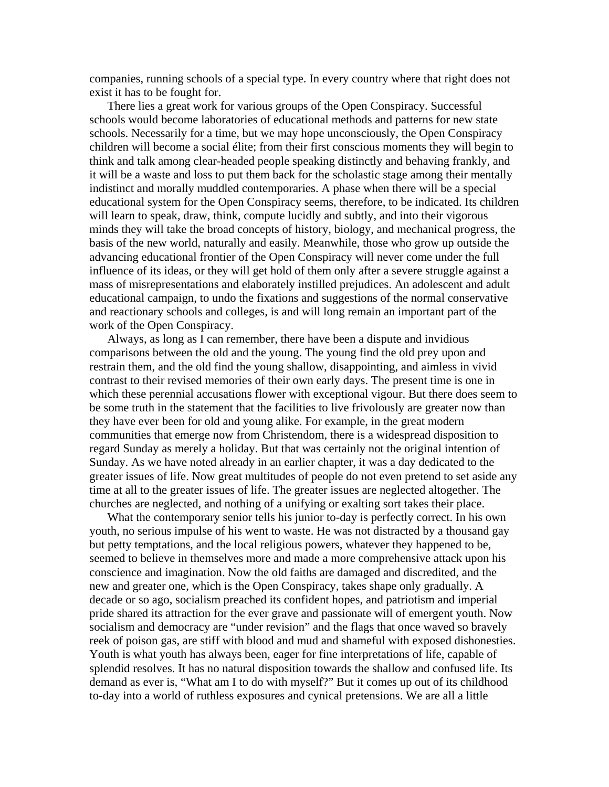companies, running schools of a special type. In every country where that right does not exist it has to be fought for.

 There lies a great work for various groups of the Open Conspiracy. Successful schools would become laboratories of educational methods and patterns for new state schools. Necessarily for a time, but we may hope unconsciously, the Open Conspiracy children will become a social élite; from their first conscious moments they will begin to think and talk among clear-headed people speaking distinctly and behaving frankly, and it will be a waste and loss to put them back for the scholastic stage among their mentally indistinct and morally muddled contemporaries. A phase when there will be a special educational system for the Open Conspiracy seems, therefore, to be indicated. Its children will learn to speak, draw, think, compute lucidly and subtly, and into their vigorous minds they will take the broad concepts of history, biology, and mechanical progress, the basis of the new world, naturally and easily. Meanwhile, those who grow up outside the advancing educational frontier of the Open Conspiracy will never come under the full influence of its ideas, or they will get hold of them only after a severe struggle against a mass of misrepresentations and elaborately instilled prejudices. An adolescent and adult educational campaign, to undo the fixations and suggestions of the normal conservative and reactionary schools and colleges, is and will long remain an important part of the work of the Open Conspiracy.

 Always, as long as I can remember, there have been a dispute and invidious comparisons between the old and the young. The young find the old prey upon and restrain them, and the old find the young shallow, disappointing, and aimless in vivid contrast to their revised memories of their own early days. The present time is one in which these perennial accusations flower with exceptional vigour. But there does seem to be some truth in the statement that the facilities to live frivolously are greater now than they have ever been for old and young alike. For example, in the great modern communities that emerge now from Christendom, there is a widespread disposition to regard Sunday as merely a holiday. But that was certainly not the original intention of Sunday. As we have noted already in an earlier chapter, it was a day dedicated to the greater issues of life. Now great multitudes of people do not even pretend to set aside any time at all to the greater issues of life. The greater issues are neglected altogether. The churches are neglected, and nothing of a unifying or exalting sort takes their place.

 What the contemporary senior tells his junior to-day is perfectly correct. In his own youth, no serious impulse of his went to waste. He was not distracted by a thousand gay but petty temptations, and the local religious powers, whatever they happened to be, seemed to believe in themselves more and made a more comprehensive attack upon his conscience and imagination. Now the old faiths are damaged and discredited, and the new and greater one, which is the Open Conspiracy, takes shape only gradually. A decade or so ago, socialism preached its confident hopes, and patriotism and imperial pride shared its attraction for the ever grave and passionate will of emergent youth. Now socialism and democracy are "under revision" and the flags that once waved so bravely reek of poison gas, are stiff with blood and mud and shameful with exposed dishonesties. Youth is what youth has always been, eager for fine interpretations of life, capable of splendid resolves. It has no natural disposition towards the shallow and confused life. Its demand as ever is, "What am I to do with myself?" But it comes up out of its childhood to-day into a world of ruthless exposures and cynical pretensions. We are all a little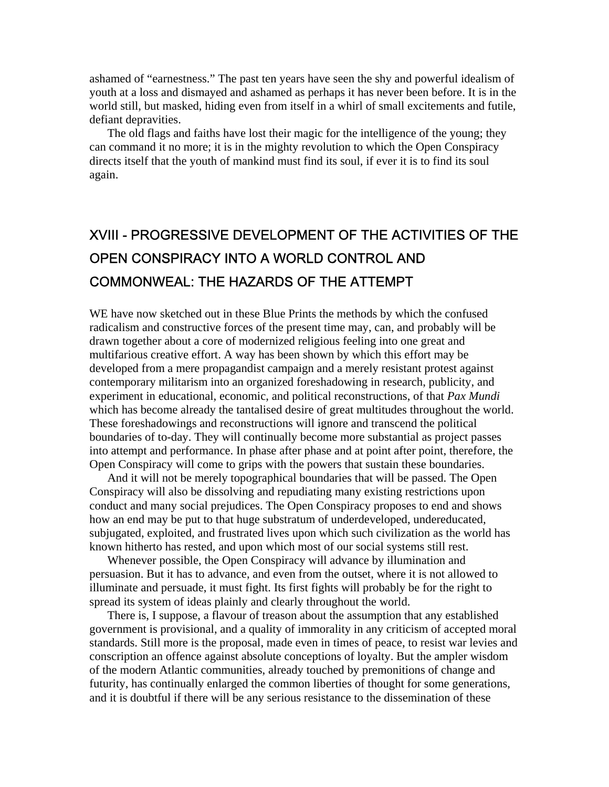ashamed of "earnestness." The past ten years have seen the shy and powerful idealism of youth at a loss and dismayed and ashamed as perhaps it has never been before. It is in the world still, but masked, hiding even from itself in a whirl of small excitements and futile, defiant depravities.

 The old flags and faiths have lost their magic for the intelligence of the young; they can command it no more; it is in the mighty revolution to which the Open Conspiracy directs itself that the youth of mankind must find its soul, if ever it is to find its soul again.

## XVIII - PROGRESSIVE DEVELOPMENT OF THE ACTIVITIES OF THE OPEN CONSPIRACY INTO A WORLD CONTROL AND COMMONWEAL: THE HAZARDS OF THE ATTEMPT

WE have now sketched out in these Blue Prints the methods by which the confused radicalism and constructive forces of the present time may, can, and probably will be drawn together about a core of modernized religious feeling into one great and multifarious creative effort. A way has been shown by which this effort may be developed from a mere propagandist campaign and a merely resistant protest against contemporary militarism into an organized foreshadowing in research, publicity, and experiment in educational, economic, and political reconstructions, of that *Pax Mundi* which has become already the tantalised desire of great multitudes throughout the world. These foreshadowings and reconstructions will ignore and transcend the political boundaries of to-day. They will continually become more substantial as project passes into attempt and performance. In phase after phase and at point after point, therefore, the Open Conspiracy will come to grips with the powers that sustain these boundaries.

 And it will not be merely topographical boundaries that will be passed. The Open Conspiracy will also be dissolving and repudiating many existing restrictions upon conduct and many social prejudices. The Open Conspiracy proposes to end and shows how an end may be put to that huge substratum of underdeveloped, undereducated, subjugated, exploited, and frustrated lives upon which such civilization as the world has known hitherto has rested, and upon which most of our social systems still rest.

 Whenever possible, the Open Conspiracy will advance by illumination and persuasion. But it has to advance, and even from the outset, where it is not allowed to illuminate and persuade, it must fight. Its first fights will probably be for the right to spread its system of ideas plainly and clearly throughout the world.

 There is, I suppose, a flavour of treason about the assumption that any established government is provisional, and a quality of immorality in any criticism of accepted moral standards. Still more is the proposal, made even in times of peace, to resist war levies and conscription an offence against absolute conceptions of loyalty. But the ampler wisdom of the modern Atlantic communities, already touched by premonitions of change and futurity, has continually enlarged the common liberties of thought for some generations, and it is doubtful if there will be any serious resistance to the dissemination of these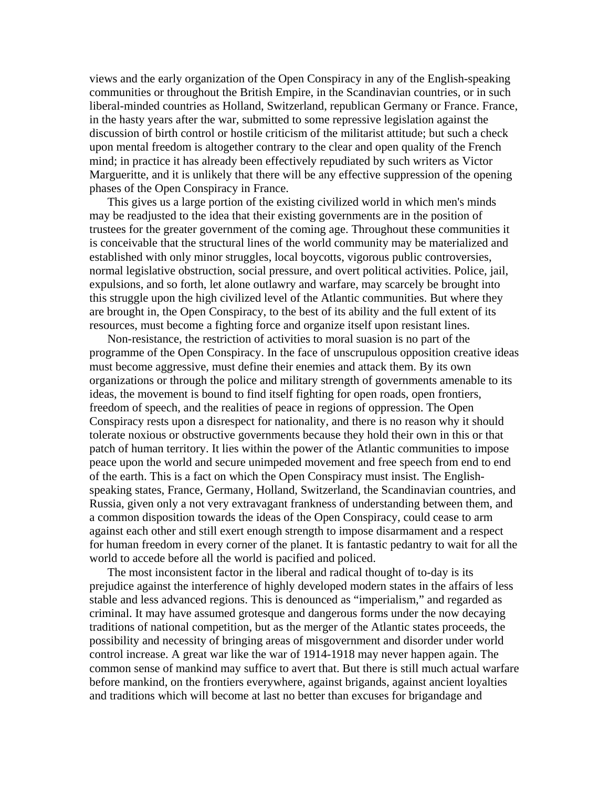views and the early organization of the Open Conspiracy in any of the English-speaking communities or throughout the British Empire, in the Scandinavian countries, or in such liberal-minded countries as Holland, Switzerland, republican Germany or France. France, in the hasty years after the war, submitted to some repressive legislation against the discussion of birth control or hostile criticism of the militarist attitude; but such a check upon mental freedom is altogether contrary to the clear and open quality of the French mind; in practice it has already been effectively repudiated by such writers as Victor Margueritte, and it is unlikely that there will be any effective suppression of the opening phases of the Open Conspiracy in France.

 This gives us a large portion of the existing civilized world in which men's minds may be readjusted to the idea that their existing governments are in the position of trustees for the greater government of the coming age. Throughout these communities it is conceivable that the structural lines of the world community may be materialized and established with only minor struggles, local boycotts, vigorous public controversies, normal legislative obstruction, social pressure, and overt political activities. Police, jail, expulsions, and so forth, let alone outlawry and warfare, may scarcely be brought into this struggle upon the high civilized level of the Atlantic communities. But where they are brought in, the Open Conspiracy, to the best of its ability and the full extent of its resources, must become a fighting force and organize itself upon resistant lines.

 Non-resistance, the restriction of activities to moral suasion is no part of the programme of the Open Conspiracy. In the face of unscrupulous opposition creative ideas must become aggressive, must define their enemies and attack them. By its own organizations or through the police and military strength of governments amenable to its ideas, the movement is bound to find itself fighting for open roads, open frontiers, freedom of speech, and the realities of peace in regions of oppression. The Open Conspiracy rests upon a disrespect for nationality, and there is no reason why it should tolerate noxious or obstructive governments because they hold their own in this or that patch of human territory. It lies within the power of the Atlantic communities to impose peace upon the world and secure unimpeded movement and free speech from end to end of the earth. This is a fact on which the Open Conspiracy must insist. The Englishspeaking states, France, Germany, Holland, Switzerland, the Scandinavian countries, and Russia, given only a not very extravagant frankness of understanding between them, and a common disposition towards the ideas of the Open Conspiracy, could cease to arm against each other and still exert enough strength to impose disarmament and a respect for human freedom in every corner of the planet. It is fantastic pedantry to wait for all the world to accede before all the world is pacified and policed.

 The most inconsistent factor in the liberal and radical thought of to-day is its prejudice against the interference of highly developed modern states in the affairs of less stable and less advanced regions. This is denounced as "imperialism," and regarded as criminal. It may have assumed grotesque and dangerous forms under the now decaying traditions of national competition, but as the merger of the Atlantic states proceeds, the possibility and necessity of bringing areas of misgovernment and disorder under world control increase. A great war like the war of 1914-1918 may never happen again. The common sense of mankind may suffice to avert that. But there is still much actual warfare before mankind, on the frontiers everywhere, against brigands, against ancient loyalties and traditions which will become at last no better than excuses for brigandage and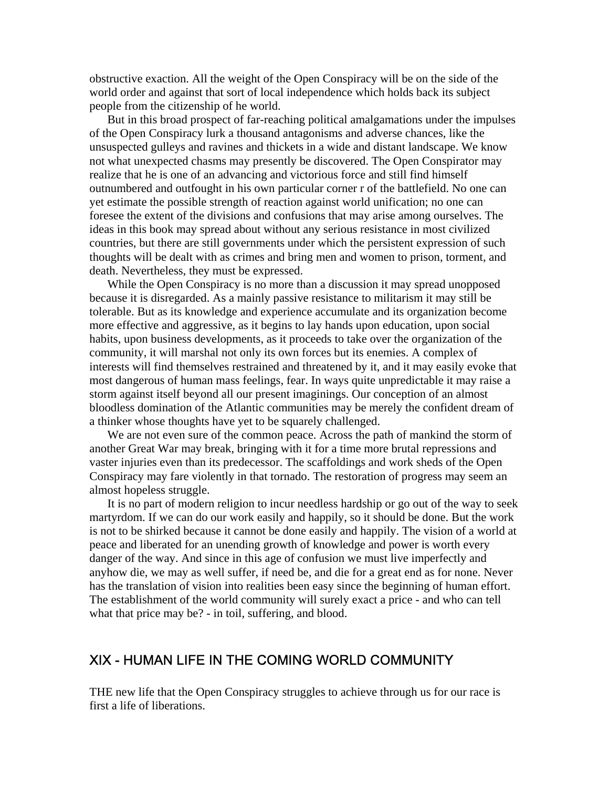obstructive exaction. All the weight of the Open Conspiracy will be on the side of the world order and against that sort of local independence which holds back its subject people from the citizenship of he world.

 But in this broad prospect of far-reaching political amalgamations under the impulses of the Open Conspiracy lurk a thousand antagonisms and adverse chances, like the unsuspected gulleys and ravines and thickets in a wide and distant landscape. We know not what unexpected chasms may presently be discovered. The Open Conspirator may realize that he is one of an advancing and victorious force and still find himself outnumbered and outfought in his own particular corner r of the battlefield. No one can yet estimate the possible strength of reaction against world unification; no one can foresee the extent of the divisions and confusions that may arise among ourselves. The ideas in this book may spread about without any serious resistance in most civilized countries, but there are still governments under which the persistent expression of such thoughts will be dealt with as crimes and bring men and women to prison, torment, and death. Nevertheless, they must be expressed.

 While the Open Conspiracy is no more than a discussion it may spread unopposed because it is disregarded. As a mainly passive resistance to militarism it may still be tolerable. But as its knowledge and experience accumulate and its organization become more effective and aggressive, as it begins to lay hands upon education, upon social habits, upon business developments, as it proceeds to take over the organization of the community, it will marshal not only its own forces but its enemies. A complex of interests will find themselves restrained and threatened by it, and it may easily evoke that most dangerous of human mass feelings, fear. In ways quite unpredictable it may raise a storm against itself beyond all our present imaginings. Our conception of an almost bloodless domination of the Atlantic communities may be merely the confident dream of a thinker whose thoughts have yet to be squarely challenged.

 We are not even sure of the common peace. Across the path of mankind the storm of another Great War may break, bringing with it for a time more brutal repressions and vaster injuries even than its predecessor. The scaffoldings and work sheds of the Open Conspiracy may fare violently in that tornado. The restoration of progress may seem an almost hopeless struggle.

 It is no part of modern religion to incur needless hardship or go out of the way to seek martyrdom. If we can do our work easily and happily, so it should be done. But the work is not to be shirked because it cannot be done easily and happily. The vision of a world at peace and liberated for an unending growth of knowledge and power is worth every danger of the way. And since in this age of confusion we must live imperfectly and anyhow die, we may as well suffer, if need be, and die for a great end as for none. Never has the translation of vision into realities been easy since the beginning of human effort. The establishment of the world community will surely exact a price - and who can tell what that price may be? - in toil, suffering, and blood.

### XIX - HUMAN LIFE IN THE COMING WORLD COMMUNITY

THE new life that the Open Conspiracy struggles to achieve through us for our race is first a life of liberations.